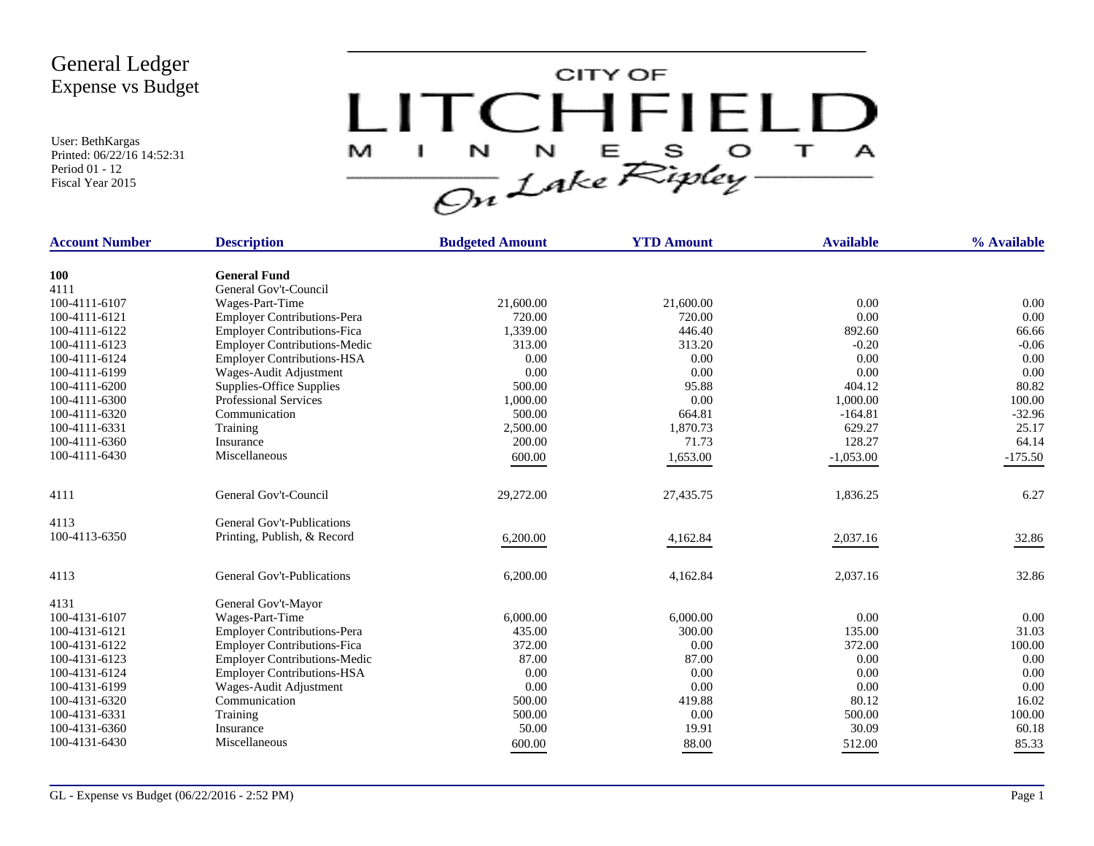User: BethKargas Printed: 06/22/16 14:52:31 Period 01 - 12 Fiscal Year 2015



| <b>Account Number</b> | <b>Description</b>                  | <b>Budgeted Amount</b> | <b>YTD Amount</b> | <b>Available</b> | % Available |
|-----------------------|-------------------------------------|------------------------|-------------------|------------------|-------------|
| <b>100</b>            | <b>General Fund</b>                 |                        |                   |                  |             |
| 4111                  | General Gov't-Council               |                        |                   |                  |             |
| 100-4111-6107         | Wages-Part-Time                     | 21,600.00              | 21,600.00         | 0.00             | 0.00        |
| 100-4111-6121         | <b>Employer Contributions-Pera</b>  | 720.00                 | 720.00            | 0.00             | 0.00        |
| 100-4111-6122         | <b>Employer Contributions-Fica</b>  | 1,339.00               | 446.40            | 892.60           | 66.66       |
| 100-4111-6123         | <b>Employer Contributions-Medic</b> | 313.00                 | 313.20            | $-0.20$          | $-0.06$     |
| 100-4111-6124         | <b>Employer Contributions-HSA</b>   | 0.00                   | 0.00              | 0.00             | 0.00        |
| 100-4111-6199         | Wages-Audit Adjustment              | 0.00                   | 0.00              | 0.00             | 0.00        |
| 100-4111-6200         | Supplies-Office Supplies            | 500.00                 | 95.88             | 404.12           | 80.82       |
| 100-4111-6300         | <b>Professional Services</b>        | 1,000.00               | 0.00              | 1,000.00         | 100.00      |
| 100-4111-6320         | Communication                       | 500.00                 | 664.81            | $-164.81$        | $-32.96$    |
| 100-4111-6331         | Training                            | 2,500.00               | 1,870.73          | 629.27           | 25.17       |
| 100-4111-6360         | Insurance                           | 200.00                 | 71.73             | 128.27           | 64.14       |
| 100-4111-6430         | Miscellaneous                       | 600.00                 | 1,653.00          | $-1,053.00$      | $-175.50$   |
|                       |                                     |                        |                   |                  |             |
| 4111                  | General Gov't-Council               | 29,272.00              | 27,435.75         | 1,836.25         | 6.27        |
| 4113                  | General Gov't-Publications          |                        |                   |                  |             |
| 100-4113-6350         | Printing, Publish, & Record         | 6,200.00               | 4,162.84          | 2,037.16         | 32.86       |
| 4113                  | General Gov't-Publications          | 6,200.00               | 4,162.84          | 2,037.16         | 32.86       |
| 4131                  | General Gov't-Mayor                 |                        |                   |                  |             |
| 100-4131-6107         | Wages-Part-Time                     | 6,000.00               | 6,000.00          | 0.00             | 0.00        |
| 100-4131-6121         | <b>Employer Contributions-Pera</b>  | 435.00                 | 300.00            | 135.00           | 31.03       |
| 100-4131-6122         | <b>Employer Contributions-Fica</b>  | 372.00                 | 0.00              | 372.00           | 100.00      |
| 100-4131-6123         | <b>Employer Contributions-Medic</b> | 87.00                  | 87.00             | 0.00             | 0.00        |
| 100-4131-6124         | <b>Employer Contributions-HSA</b>   | 0.00                   | 0.00              | 0.00             | 0.00        |
| 100-4131-6199         | Wages-Audit Adjustment              | 0.00                   | 0.00              | 0.00             | 0.00        |
| 100-4131-6320         | Communication                       | 500.00                 | 419.88            | 80.12            | 16.02       |
| 100-4131-6331         | Training                            | 500.00                 | 0.00              | 500.00           | 100.00      |
| 100-4131-6360         | Insurance                           | 50.00                  | 19.91             | 30.09            | 60.18       |
| 100-4131-6430         | Miscellaneous                       | 600.00                 | 88.00             | 512.00           | 85.33       |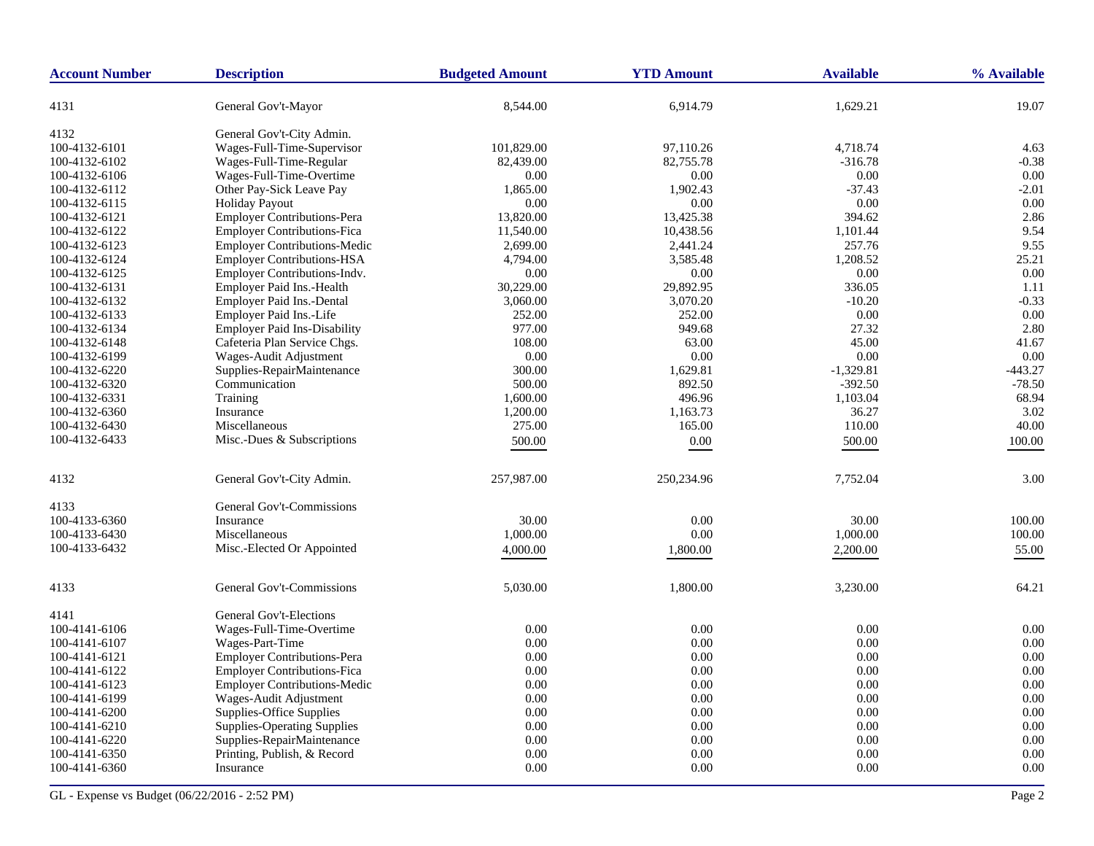| <b>Account Number</b> | <b>Description</b>                  | <b>Budgeted Amount</b> | <b>YTD Amount</b> | <b>Available</b> | % Available |
|-----------------------|-------------------------------------|------------------------|-------------------|------------------|-------------|
| 4131                  | General Gov't-Mayor                 | 8,544.00               | 6,914.79          | 1,629.21         | 19.07       |
| 4132                  | General Gov't-City Admin.           |                        |                   |                  |             |
| 100-4132-6101         | Wages-Full-Time-Supervisor          | 101,829.00             | 97,110.26         | 4,718.74         | 4.63        |
| 100-4132-6102         | Wages-Full-Time-Regular             | 82,439.00              | 82,755.78         | $-316.78$        | $-0.38$     |
| 100-4132-6106         | Wages-Full-Time-Overtime            | 0.00                   | 0.00              | $0.00\,$         | 0.00        |
| 100-4132-6112         | Other Pay-Sick Leave Pay            | 1,865.00               | 1,902.43          | $-37.43$         | $-2.01$     |
| 100-4132-6115         | <b>Holiday Payout</b>               | 0.00                   | 0.00              | 0.00             | 0.00        |
| 100-4132-6121         | <b>Employer Contributions-Pera</b>  | 13,820.00              | 13,425.38         | 394.62           | 2.86        |
| 100-4132-6122         | <b>Employer Contributions-Fica</b>  | 11,540.00              | 10,438.56         | 1,101.44         | 9.54        |
| 100-4132-6123         | <b>Employer Contributions-Medic</b> | 2,699.00               | 2,441.24          | 257.76           | 9.55        |
| 100-4132-6124         | <b>Employer Contributions-HSA</b>   | 4,794.00               | 3,585.48          | 1,208.52         | 25.21       |
| 100-4132-6125         | Employer Contributions-Indv.        | 0.00                   | 0.00              | $0.00\,$         | 0.00        |
| 100-4132-6131         | Employer Paid Ins.-Health           | 30,229.00              | 29,892.95         | 336.05           | 1.11        |
| 100-4132-6132         | Employer Paid Ins.-Dental           | 3,060.00               | 3,070.20          | $-10.20$         | $-0.33$     |
| 100-4132-6133         | Employer Paid Ins.-Life             | 252.00                 | 252.00            | 0.00             | 0.00        |
| 100-4132-6134         | <b>Employer Paid Ins-Disability</b> | 977.00                 | 949.68            | 27.32            | 2.80        |
| 100-4132-6148         | Cafeteria Plan Service Chgs.        | 108.00                 | 63.00             | 45.00            | 41.67       |
| 100-4132-6199         | Wages-Audit Adjustment              | 0.00                   | 0.00              | 0.00             | 0.00        |
| 100-4132-6220         | Supplies-RepairMaintenance          | 300.00                 | 1,629.81          | $-1,329.81$      | $-443.27$   |
| 100-4132-6320         | Communication                       | 500.00                 | 892.50            | $-392.50$        | $-78.50$    |
| 100-4132-6331         | Training                            | 1,600.00               | 496.96            | 1,103.04         | 68.94       |
| 100-4132-6360         | Insurance                           | 1,200.00               | 1,163.73          | 36.27            | 3.02        |
| 100-4132-6430         | Miscellaneous                       | 275.00                 | 165.00            | 110.00           | 40.00       |
| 100-4132-6433         | Misc.-Dues & Subscriptions          | 500.00                 | $0.00\,$          | 500.00           | 100.00      |
| 4132                  | General Gov't-City Admin.           | 257,987.00             | 250,234.96        | 7,752.04         | 3.00        |
| 4133                  | General Gov't-Commissions           |                        |                   |                  |             |
| 100-4133-6360         | Insurance                           | 30.00                  | 0.00              | 30.00            | 100.00      |
| 100-4133-6430         | Miscellaneous                       | 1,000.00               | 0.00              | 1,000.00         | 100.00      |
| 100-4133-6432         | Misc.-Elected Or Appointed          |                        |                   |                  |             |
|                       |                                     | 4,000.00               | 1,800.00          | 2,200.00         | 55.00       |
| 4133                  | General Gov't-Commissions           | 5,030.00               | 1,800.00          | 3,230.00         | 64.21       |
| 4141                  | General Gov't-Elections             |                        |                   |                  |             |
| 100-4141-6106         | Wages-Full-Time-Overtime            | 0.00                   | 0.00              | 0.00             | 0.00        |
| 100-4141-6107         | Wages-Part-Time                     | 0.00                   | 0.00              | 0.00             | 0.00        |
| 100-4141-6121         | <b>Employer Contributions-Pera</b>  | 0.00                   | 0.00              | 0.00             | 0.00        |
| 100-4141-6122         | <b>Employer Contributions-Fica</b>  | 0.00                   | 0.00              | 0.00             | 0.00        |
| 100-4141-6123         | <b>Employer Contributions-Medic</b> | 0.00                   | 0.00              | 0.00             | 0.00        |
| 100-4141-6199         | Wages-Audit Adjustment              | 0.00                   | 0.00              | 0.00             | 0.00        |
| 100-4141-6200         | Supplies-Office Supplies            | 0.00                   | 0.00              | 0.00             | 0.00        |
| 100-4141-6210         | <b>Supplies-Operating Supplies</b>  | 0.00                   | 0.00              | 0.00             | 0.00        |
| 100-4141-6220         | Supplies-RepairMaintenance          | 0.00                   | 0.00              | 0.00             | 0.00        |
| 100-4141-6350         | Printing, Publish, & Record         | 0.00                   | 0.00              | 0.00             | 0.00        |
| 100-4141-6360         | Insurance                           | 0.00                   | 0.00              | 0.00             | 0.00        |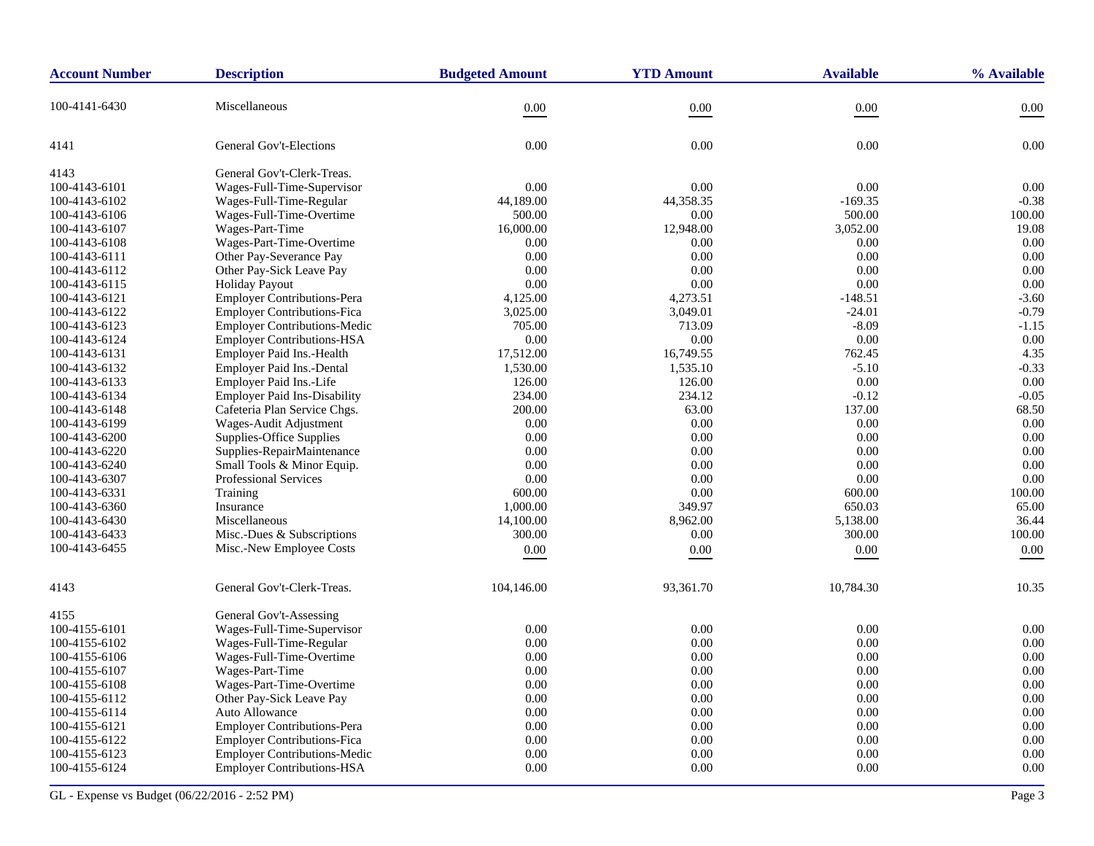| <b>Account Number</b> | <b>Description</b>                  | <b>Budgeted Amount</b> | <b>YTD Amount</b> | <b>Available</b> | % Available |
|-----------------------|-------------------------------------|------------------------|-------------------|------------------|-------------|
| 100-4141-6430         | Miscellaneous                       | 0.00                   | 0.00              | $0.00\,$         | 0.00        |
| 4141                  | <b>General Gov't-Elections</b>      | 0.00                   | 0.00              | 0.00             | 0.00        |
| 4143                  | General Gov't-Clerk-Treas.          |                        |                   |                  |             |
| 100-4143-6101         | Wages-Full-Time-Supervisor          | 0.00                   | 0.00              | 0.00             | 0.00        |
| 100-4143-6102         | Wages-Full-Time-Regular             | 44,189.00              | 44,358.35         | $-169.35$        | $-0.38$     |
| 100-4143-6106         | Wages-Full-Time-Overtime            | 500.00                 | 0.00              | 500.00           | 100.00      |
| 100-4143-6107         | Wages-Part-Time                     | 16,000.00              | 12,948.00         | 3,052.00         | 19.08       |
| 100-4143-6108         | Wages-Part-Time-Overtime            | 0.00                   | 0.00              | 0.00             | 0.00        |
| 100-4143-6111         | Other Pay-Severance Pay             | 0.00                   | 0.00              | 0.00             | 0.00        |
| 100-4143-6112         | Other Pay-Sick Leave Pay            | 0.00                   | 0.00              | 0.00             | 0.00        |
| 100-4143-6115         | <b>Holiday Payout</b>               | 0.00                   | 0.00              | 0.00             | 0.00        |
| 100-4143-6121         | Employer Contributions-Pera         | 4,125.00               | 4,273.51          | $-148.51$        | $-3.60$     |
| 100-4143-6122         | <b>Employer Contributions-Fica</b>  | 3,025.00               | 3,049.01          | $-24.01$         | $-0.79$     |
| 100-4143-6123         | <b>Employer Contributions-Medic</b> | 705.00                 | 713.09            | $-8.09$          | $-1.15$     |
| 100-4143-6124         | <b>Employer Contributions-HSA</b>   | 0.00                   | $0.00\,$          | 0.00             | 0.00        |
| 100-4143-6131         | Employer Paid Ins.-Health           | 17,512.00              | 16,749.55         | 762.45           | 4.35        |
| 100-4143-6132         | Employer Paid Ins.-Dental           | 1,530.00               | 1,535.10          | $-5.10$          | $-0.33$     |
| 100-4143-6133         | Employer Paid Ins.-Life             | 126.00                 | 126.00            | 0.00             | 0.00        |
| 100-4143-6134         | <b>Employer Paid Ins-Disability</b> | 234.00                 | 234.12            | $-0.12$          | $-0.05$     |
| 100-4143-6148         | Cafeteria Plan Service Chgs.        | 200.00                 | 63.00             | 137.00           | 68.50       |
| 100-4143-6199         | Wages-Audit Adjustment              | 0.00                   | 0.00              | 0.00             | 0.00        |
| 100-4143-6200         | Supplies-Office Supplies            | 0.00                   | 0.00              | 0.00             | 0.00        |
| 100-4143-6220         | Supplies-RepairMaintenance          | 0.00                   | 0.00              | 0.00             | 0.00        |
| 100-4143-6240         | Small Tools & Minor Equip.          | 0.00                   | 0.00              | 0.00             | 0.00        |
| 100-4143-6307         | Professional Services               | 0.00                   | 0.00              | 0.00             | 0.00        |
| 100-4143-6331         | Training                            | 600.00                 | 0.00              | 600.00           | 100.00      |
| 100-4143-6360         | Insurance                           | 1,000.00               | 349.97            | 650.03           | 65.00       |
| 100-4143-6430         | Miscellaneous                       | 14,100.00              | 8,962.00          | 5,138.00         | 36.44       |
| 100-4143-6433         | Misc.-Dues & Subscriptions          | 300.00                 | 0.00              | 300.00           | 100.00      |
| 100-4143-6455         | Misc.-New Employee Costs            | 0.00                   | 0.00              | 0.00             | 0.00        |
| 4143                  | General Gov't-Clerk-Treas.          | 104,146.00             | 93,361.70         | 10,784.30        | 10.35       |
| 4155                  | General Gov't-Assessing             |                        |                   |                  |             |
| 100-4155-6101         | Wages-Full-Time-Supervisor          | 0.00                   | 0.00              | 0.00             | 0.00        |
| 100-4155-6102         | Wages-Full-Time-Regular             | 0.00                   | 0.00              | 0.00             | 0.00        |
| 100-4155-6106         | Wages-Full-Time-Overtime            | 0.00                   | 0.00              | 0.00             | 0.00        |
| 100-4155-6107         | Wages-Part-Time                     | 0.00                   | 0.00              | 0.00             | 0.00        |
| 100-4155-6108         | Wages-Part-Time-Overtime            | 0.00                   | 0.00              | 0.00             | 0.00        |
| 100-4155-6112         | Other Pay-Sick Leave Pay            | 0.00                   | 0.00              | 0.00             | 0.00        |
| 100-4155-6114         | Auto Allowance                      | 0.00                   | 0.00              | 0.00             | 0.00        |
| 100-4155-6121         | <b>Employer Contributions-Pera</b>  | 0.00                   | 0.00              | 0.00             | 0.00        |
| 100-4155-6122         | <b>Employer Contributions-Fica</b>  | 0.00                   | 0.00              | 0.00             | 0.00        |
| 100-4155-6123         | <b>Employer Contributions-Medic</b> | 0.00                   | 0.00              | 0.00             | 0.00        |
| 100-4155-6124         | <b>Employer Contributions-HSA</b>   | 0.00                   | 0.00              | 0.00             | 0.00        |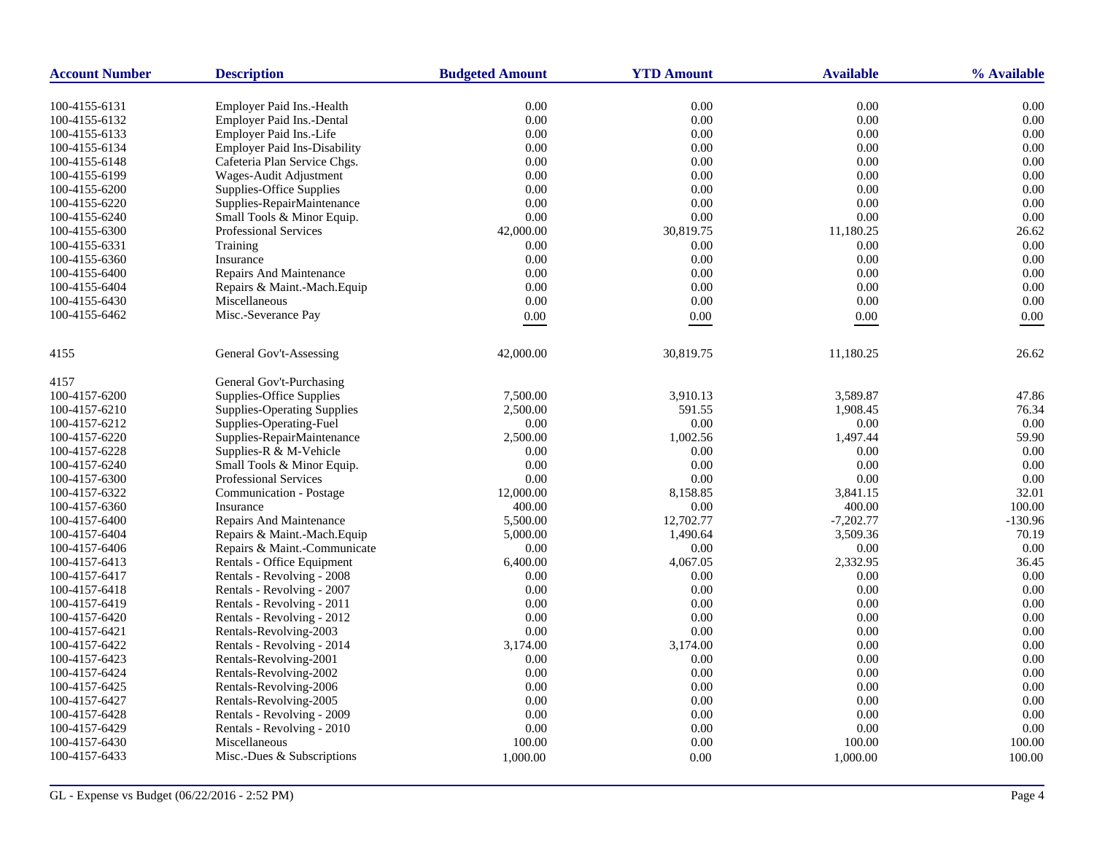| <b>Account Number</b>          | <b>Description</b>                                                   | <b>Budgeted Amount</b> | <b>YTD Amount</b> | <b>Available</b> | % Available  |
|--------------------------------|----------------------------------------------------------------------|------------------------|-------------------|------------------|--------------|
|                                |                                                                      |                        |                   |                  |              |
| 100-4155-6131<br>100-4155-6132 | <b>Employer Paid Ins.-Health</b><br><b>Employer Paid Ins.-Dental</b> | 0.00<br>0.00           | 0.00<br>0.00      | 0.00<br>0.00     | 0.00<br>0.00 |
| 100-4155-6133                  | Employer Paid Ins.-Life                                              | 0.00                   | 0.00              | 0.00             | 0.00         |
|                                |                                                                      |                        | 0.00              | 0.00             | 0.00         |
| 100-4155-6134                  | <b>Employer Paid Ins-Disability</b>                                  | 0.00                   | 0.00              |                  | 0.00         |
| 100-4155-6148                  | Cafeteria Plan Service Chgs.                                         | 0.00                   |                   | 0.00<br>0.00     |              |
| 100-4155-6199                  | Wages-Audit Adjustment                                               | 0.00                   | 0.00<br>0.00      | 0.00             | 0.00<br>0.00 |
| 100-4155-6200                  | Supplies-Office Supplies                                             | 0.00                   |                   |                  |              |
| 100-4155-6220                  | Supplies-RepairMaintenance                                           | 0.00                   | 0.00              | 0.00             | 0.00<br>0.00 |
| 100-4155-6240                  | Small Tools & Minor Equip.                                           | 0.00                   | 0.00              | 0.00             |              |
| 100-4155-6300                  | Professional Services                                                | 42,000.00              | 30,819.75         | 11,180.25        | 26.62        |
| 100-4155-6331                  | Training                                                             | 0.00                   | 0.00              | 0.00             | 0.00         |
| 100-4155-6360                  | Insurance                                                            | 0.00                   | 0.00              | 0.00             | 0.00         |
| 100-4155-6400                  | <b>Repairs And Maintenance</b>                                       | 0.00                   | 0.00              | 0.00             | 0.00         |
| 100-4155-6404                  | Repairs & Maint.-Mach.Equip                                          | 0.00                   | 0.00              | 0.00             | 0.00         |
| 100-4155-6430                  | Miscellaneous                                                        | 0.00                   | 0.00              | 0.00             | 0.00         |
| 100-4155-6462                  | Misc.-Severance Pay                                                  | $0.00\,$               | 0.00              | 0.00             | 0.00         |
| 4155                           | General Gov't-Assessing                                              | 42,000.00              | 30,819.75         | 11,180.25        | 26.62        |
| 4157                           | General Gov't-Purchasing                                             |                        |                   |                  |              |
| 100-4157-6200                  | Supplies-Office Supplies                                             | 7,500.00               | 3.910.13          | 3.589.87         | 47.86        |
| 100-4157-6210                  | <b>Supplies-Operating Supplies</b>                                   | 2,500.00               | 591.55            | 1,908.45         | 76.34        |
| 100-4157-6212                  | Supplies-Operating-Fuel                                              | 0.00                   | 0.00              | 0.00             | 0.00         |
| 100-4157-6220                  | Supplies-RepairMaintenance                                           | 2,500.00               | 1,002.56          | 1,497.44         | 59.90        |
| 100-4157-6228                  | Supplies-R & M-Vehicle                                               | 0.00                   | 0.00              | 0.00             | 0.00         |
| 100-4157-6240                  | Small Tools & Minor Equip.                                           | 0.00                   | 0.00              | 0.00             | 0.00         |
| 100-4157-6300                  | <b>Professional Services</b>                                         | 0.00                   | 0.00              | 0.00             | 0.00         |
| 100-4157-6322                  | Communication - Postage                                              | 12,000.00              | 8,158.85          | 3,841.15         | 32.01        |
| 100-4157-6360                  | Insurance                                                            | 400.00                 | 0.00              | 400.00           | 100.00       |
| 100-4157-6400                  | Repairs And Maintenance                                              | 5,500.00               | 12,702.77         | $-7,202.77$      | $-130.96$    |
| 100-4157-6404                  | Repairs & Maint.-Mach.Equip                                          | 5,000.00               | 1,490.64          | 3,509.36         | 70.19        |
| 100-4157-6406                  | Repairs & Maint.-Communicate                                         | 0.00                   | 0.00              | 0.00             | 0.00         |
| 100-4157-6413                  | Rentals - Office Equipment                                           | 6,400.00               | 4,067.05          | 2,332.95         | 36.45        |
| 100-4157-6417                  | Rentals - Revolving - 2008                                           | 0.00                   | 0.00              | 0.00             | 0.00         |
| 100-4157-6418                  | Rentals - Revolving - 2007                                           | 0.00                   | 0.00              | 0.00             | 0.00         |
| 100-4157-6419                  | Rentals - Revolving - 2011                                           | 0.00                   | 0.00              | 0.00             | 0.00         |
| 100-4157-6420                  | Rentals - Revolving - 2012                                           | 0.00                   | 0.00              | 0.00             | 0.00         |
| 100-4157-6421                  | Rentals-Revolving-2003                                               | 0.00                   | 0.00              | 0.00             | 0.00         |
| 100-4157-6422                  | Rentals - Revolving - 2014                                           | 3,174.00               | 3,174.00          | 0.00             | 0.00         |
| 100-4157-6423                  | Rentals-Revolving-2001                                               | 0.00                   | 0.00              | 0.00             | 0.00         |
| 100-4157-6424                  | Rentals-Revolving-2002                                               | 0.00                   | 0.00              | 0.00             | 0.00         |
| 100-4157-6425                  | Rentals-Revolving-2006                                               | 0.00                   | 0.00              | 0.00             | 0.00         |
| 100-4157-6427                  | Rentals-Revolving-2005                                               | 0.00                   | 0.00              | 0.00             | 0.00         |
| 100-4157-6428                  | Rentals - Revolving - 2009                                           | 0.00                   | 0.00              | 0.00             | 0.00         |
| 100-4157-6429                  | Rentals - Revolving - 2010                                           | 0.00                   | 0.00              | 0.00             | 0.00         |
| 100-4157-6430                  | Miscellaneous                                                        | 100.00                 | 0.00              | 100.00           | 100.00       |
|                                |                                                                      |                        |                   |                  |              |
| 100-4157-6433                  | Misc.-Dues & Subscriptions                                           | 1,000.00               | 0.00              | 1,000.00         | 100.00       |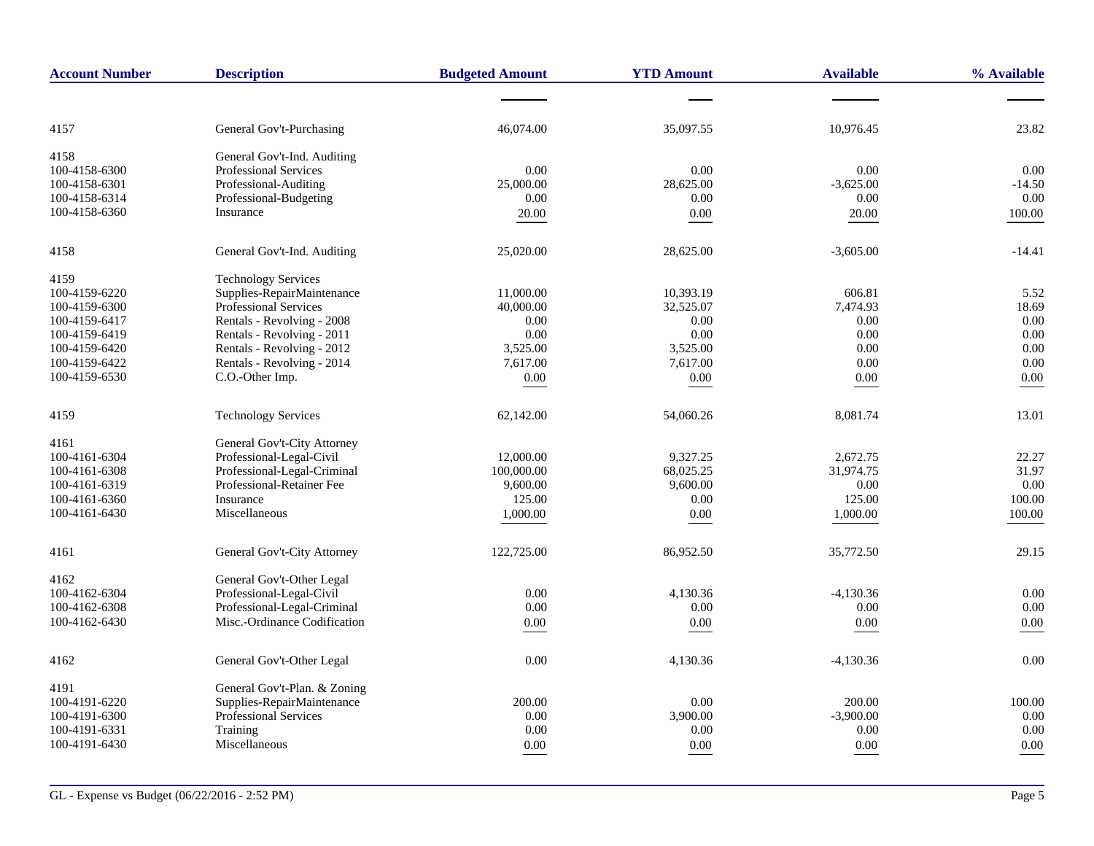| <b>Account Number</b> | <b>Description</b>           | <b>Budgeted Amount</b> | <b>YTD Amount</b> | <b>Available</b> | % Available |
|-----------------------|------------------------------|------------------------|-------------------|------------------|-------------|
|                       |                              |                        |                   |                  |             |
| 4157                  | General Gov't-Purchasing     | 46,074.00              | 35,097.55         | 10,976.45        | 23.82       |
| 4158                  | General Gov't-Ind. Auditing  |                        |                   |                  |             |
| 100-4158-6300         | <b>Professional Services</b> | 0.00                   | 0.00              | 0.00             | 0.00        |
| 100-4158-6301         | Professional-Auditing        | 25,000.00              | 28,625.00         | $-3,625.00$      | $-14.50$    |
| 100-4158-6314         | Professional-Budgeting       | 0.00                   | 0.00              | 0.00             | 0.00        |
| 100-4158-6360         | Insurance                    | 20.00                  | 0.00              | 20.00            | 100.00      |
| 4158                  | General Gov't-Ind. Auditing  | 25,020.00              | 28,625.00         | $-3,605.00$      | $-14.41$    |
| 4159                  | <b>Technology Services</b>   |                        |                   |                  |             |
| 100-4159-6220         | Supplies-RepairMaintenance   | 11,000.00              | 10,393.19         | 606.81           | 5.52        |
| 100-4159-6300         | <b>Professional Services</b> | 40,000.00              | 32,525.07         | 7,474.93         | 18.69       |
| 100-4159-6417         | Rentals - Revolving - 2008   | 0.00                   | 0.00              | 0.00             | 0.00        |
| 100-4159-6419         | Rentals - Revolving - 2011   | 0.00                   | 0.00              | 0.00             | 0.00        |
| 100-4159-6420         | Rentals - Revolving - 2012   | 3,525.00               | 3,525.00          | 0.00             | 0.00        |
| 100-4159-6422         | Rentals - Revolving - 2014   | 7,617.00               | 7,617.00          | 0.00             | 0.00        |
| 100-4159-6530         | C.O.-Other Imp.              | $0.00\,$               | $0.00\,$          | 0.00             | $0.00\,$    |
| 4159                  | <b>Technology Services</b>   | 62,142.00              | 54,060.26         | 8,081.74         | 13.01       |
| 4161                  | General Gov't-City Attorney  |                        |                   |                  |             |
| 100-4161-6304         | Professional-Legal-Civil     | 12,000.00              | 9,327.25          | 2,672.75         | 22.27       |
| 100-4161-6308         | Professional-Legal-Criminal  | 100,000.00             | 68,025.25         | 31,974.75        | 31.97       |
| 100-4161-6319         | Professional-Retainer Fee    | 9,600.00               | 9,600.00          | 0.00             | 0.00        |
| 100-4161-6360         | Insurance                    | 125.00                 | $0.00\,$          | 125.00           | 100.00      |
| 100-4161-6430         | Miscellaneous                | 1,000.00               | 0.00              | 1,000.00         | 100.00      |
|                       |                              |                        |                   |                  |             |
| 4161                  | General Gov't-City Attorney  | 122,725.00             | 86,952.50         | 35,772.50        | 29.15       |
| 4162                  | General Gov't-Other Legal    |                        |                   |                  |             |
| 100-4162-6304         | Professional-Legal-Civil     | 0.00                   | 4,130.36          | $-4,130.36$      | 0.00        |
| 100-4162-6308         | Professional-Legal-Criminal  | 0.00                   | 0.00              | 0.00             | 0.00        |
| 100-4162-6430         | Misc.-Ordinance Codification | 0.00                   | 0.00              | 0.00             | 0.00        |
|                       |                              | 0.00                   |                   |                  | 0.00        |
| 4162                  | General Gov't-Other Legal    |                        | 4,130.36          | $-4,130.36$      |             |
| 4191                  | General Gov't-Plan. & Zoning |                        |                   |                  |             |
| 100-4191-6220         | Supplies-RepairMaintenance   | 200.00                 | 0.00              | 200.00           | 100.00      |
| 100-4191-6300         | Professional Services        | 0.00                   | 3,900.00          | $-3,900.00$      | 0.00        |
| 100-4191-6331         | Training                     | 0.00                   | 0.00              | 0.00             | 0.00        |
| 100-4191-6430         | Miscellaneous                | 0.00                   | $0.00\,$          | 0.00             | 0.00        |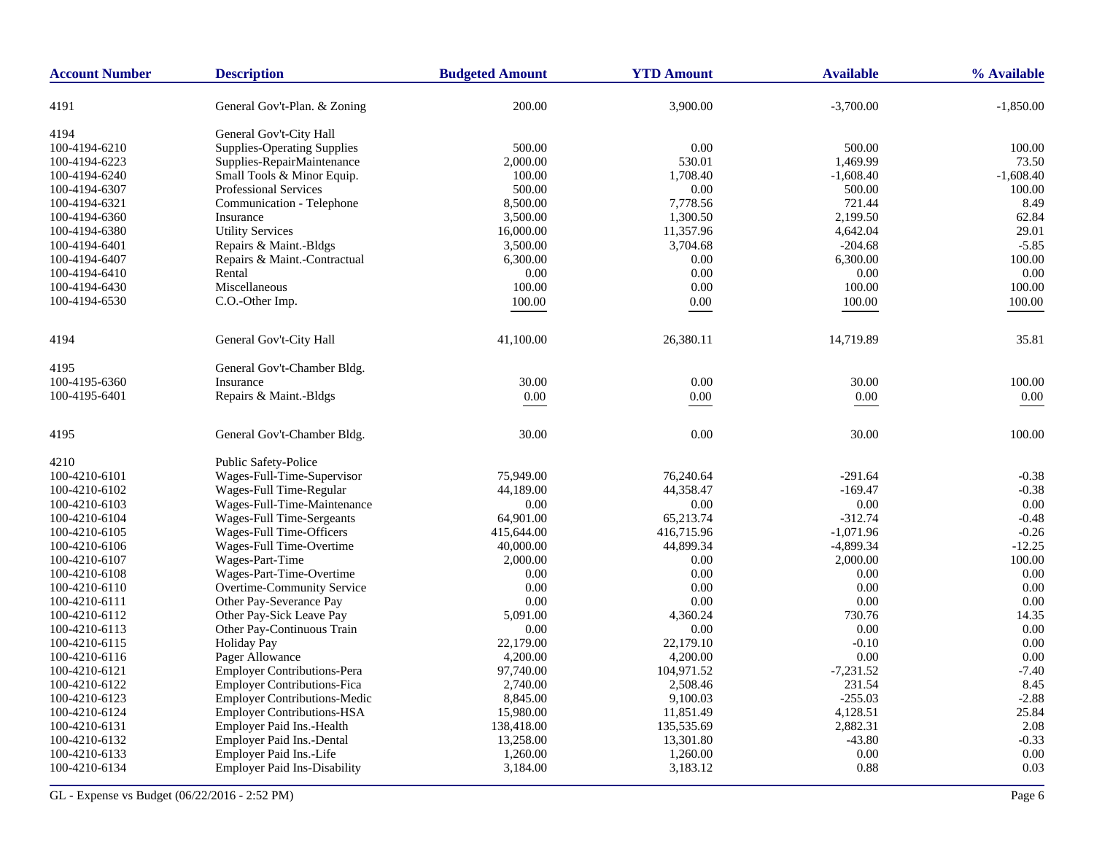| <b>Account Number</b> | <b>Description</b>                  | <b>Budgeted Amount</b> | <b>YTD Amount</b> | <b>Available</b> | % Available |
|-----------------------|-------------------------------------|------------------------|-------------------|------------------|-------------|
| 4191                  | General Gov't-Plan. & Zoning        | 200.00                 | 3,900.00          | $-3,700.00$      | $-1,850.00$ |
| 4194                  | General Gov't-City Hall             |                        |                   |                  |             |
| 100-4194-6210         | <b>Supplies-Operating Supplies</b>  | 500.00                 | 0.00              | 500.00           | 100.00      |
| 100-4194-6223         | Supplies-RepairMaintenance          | 2,000.00               | 530.01            | 1.469.99         | 73.50       |
| 100-4194-6240         | Small Tools & Minor Equip.          | 100.00                 | 1,708.40          | $-1,608.40$      | $-1,608.40$ |
| 100-4194-6307         | Professional Services               | 500.00                 | 0.00              | 500.00           | 100.00      |
| 100-4194-6321         | Communication - Telephone           | 8,500.00               | 7,778.56          | 721.44           | 8.49        |
| 100-4194-6360         | Insurance                           | 3,500.00               | 1,300.50          | 2,199.50         | 62.84       |
| 100-4194-6380         | <b>Utility Services</b>             | 16,000.00              | 11,357.96         | 4,642.04         | 29.01       |
| 100-4194-6401         | Repairs & Maint.-Bldgs              | 3,500.00               | 3,704.68          | $-204.68$        | $-5.85$     |
| 100-4194-6407         | Repairs & Maint.-Contractual        | 6,300.00               | 0.00              | 6,300.00         | 100.00      |
| 100-4194-6410         | Rental                              | 0.00                   | 0.00              | 0.00             | 0.00        |
| 100-4194-6430         | Miscellaneous                       | 100.00                 | 0.00              | 100.00           | 100.00      |
| 100-4194-6530         | C.O.-Other Imp.                     | 100.00                 | $0.00\,$          | 100.00           | 100.00      |
|                       |                                     |                        |                   |                  |             |
| 4194                  | General Gov't-City Hall             | 41,100.00              | 26,380.11         | 14,719.89        | 35.81       |
| 4195                  | General Gov't-Chamber Bldg.         |                        |                   |                  |             |
| 100-4195-6360         | Insurance                           | 30.00                  | 0.00              | 30.00            | 100.00      |
| 100-4195-6401         | Repairs & Maint.-Bldgs              | $0.00\,$               | $0.00\,$          | $0.00\,$         | $0.00\,$    |
| 4195                  | General Gov't-Chamber Bldg.         | 30.00                  | 0.00              | 30.00            | 100.00      |
| 4210                  | Public Safety-Police                |                        |                   |                  |             |
| 100-4210-6101         | Wages-Full-Time-Supervisor          | 75,949.00              | 76,240.64         | $-291.64$        | $-0.38$     |
| 100-4210-6102         | Wages-Full Time-Regular             | 44,189.00              | 44,358.47         | $-169.47$        | $-0.38$     |
| 100-4210-6103         | Wages-Full-Time-Maintenance         | 0.00                   | 0.00              | 0.00             | 0.00        |
| 100-4210-6104         | Wages-Full Time-Sergeants           | 64,901.00              | 65,213.74         | $-312.74$        | $-0.48$     |
| 100-4210-6105         | Wages-Full Time-Officers            | 415,644.00             | 416,715.96        | $-1,071.96$      | $-0.26$     |
| 100-4210-6106         | Wages-Full Time-Overtime            | 40,000.00              | 44,899.34         | $-4,899.34$      | $-12.25$    |
| 100-4210-6107         | Wages-Part-Time                     | 2,000.00               | 0.00              | 2,000.00         | 100.00      |
| 100-4210-6108         | Wages-Part-Time-Overtime            | 0.00                   | 0.00              | 0.00             | 0.00        |
| 100-4210-6110         | Overtime-Community Service          | 0.00                   | 0.00              | 0.00             | 0.00        |
| 100-4210-6111         | Other Pay-Severance Pay             | 0.00                   | 0.00              | 0.00             | 0.00        |
| 100-4210-6112         | Other Pay-Sick Leave Pay            | 5,091.00               | 4,360.24          | 730.76           | 14.35       |
| 100-4210-6113         | Other Pay-Continuous Train          | 0.00                   | 0.00              | 0.00             | 0.00        |
| 100-4210-6115         | <b>Holiday Pay</b>                  | 22,179.00              | 22,179.10         | $-0.10$          | 0.00        |
| 100-4210-6116         | Pager Allowance                     | 4,200.00               | 4,200.00          | 0.00             | 0.00        |
| 100-4210-6121         | <b>Employer Contributions-Pera</b>  | 97,740.00              | 104,971.52        | $-7,231.52$      | $-7.40$     |
| 100-4210-6122         | <b>Employer Contributions-Fica</b>  | 2,740.00               | 2,508.46          | 231.54           | 8.45        |
| 100-4210-6123         | <b>Employer Contributions-Medic</b> | 8,845.00               | 9,100.03          | $-255.03$        | $-2.88$     |
| 100-4210-6124         | <b>Employer Contributions-HSA</b>   | 15,980.00              | 11,851.49         | 4,128.51         | 25.84       |
| 100-4210-6131         | Employer Paid Ins.-Health           | 138,418.00             | 135,535.69        | 2,882.31         | 2.08        |
| 100-4210-6132         | <b>Employer Paid Ins.-Dental</b>    | 13,258.00              | 13,301.80         | $-43.80$         | $-0.33$     |
| 100-4210-6133         | Employer Paid Ins.-Life             | 1,260.00               | 1,260.00          | 0.00             | 0.00        |
| 100-4210-6134         | <b>Employer Paid Ins-Disability</b> | 3,184.00               | 3,183.12          | 0.88             | 0.03        |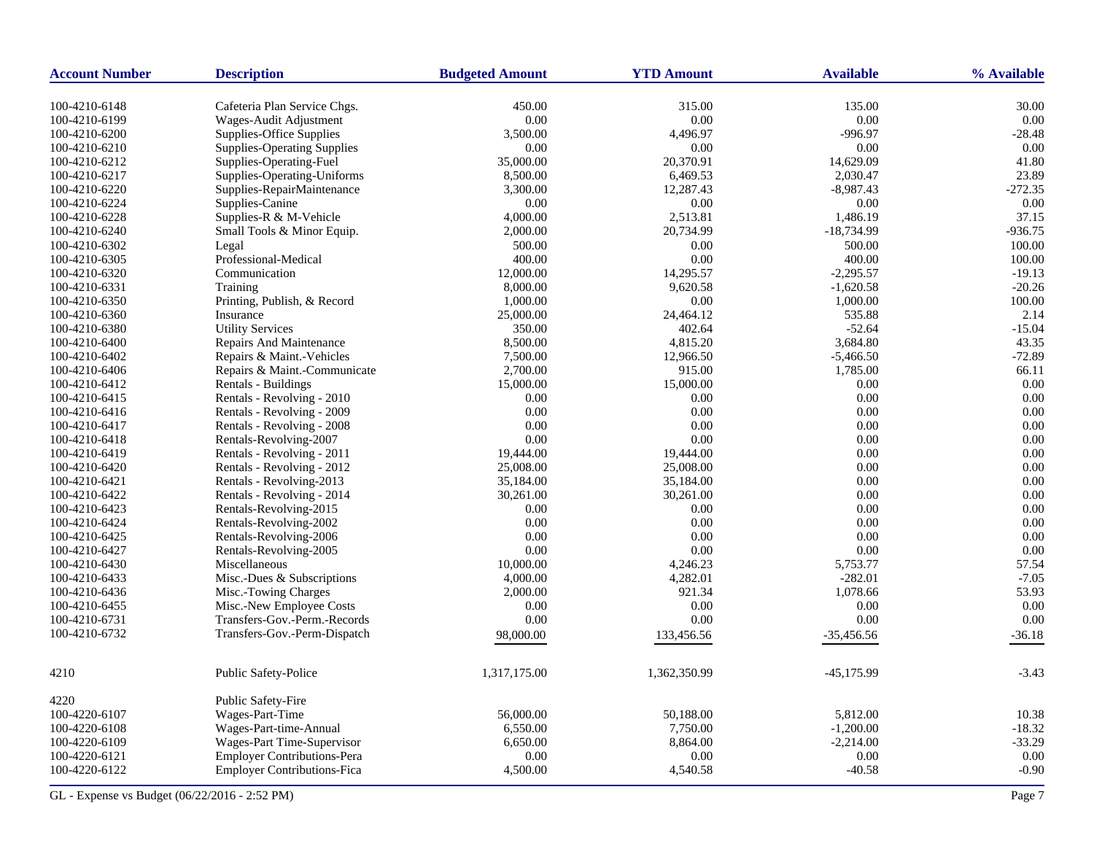| <b>Account Number</b> | <b>Description</b>                                | <b>Budgeted Amount</b> | <b>YTD Amount</b> | <b>Available</b> | % Available  |
|-----------------------|---------------------------------------------------|------------------------|-------------------|------------------|--------------|
| 100-4210-6148         | Cafeteria Plan Service Chgs.                      | 450.00                 | 315.00            | 135.00           | 30.00        |
| 100-4210-6199         | Wages-Audit Adjustment                            | 0.00                   | $0.00\,$          | 0.00             | 0.00         |
| 100-4210-6200         | Supplies-Office Supplies                          | 3,500.00               | 4,496.97          | $-996.97$        | $-28.48$     |
| 100-4210-6210         | <b>Supplies-Operating Supplies</b>                | 0.00                   | 0.00              | 0.00             | 0.00         |
| 100-4210-6212         | Supplies-Operating-Fuel                           | 35,000.00              | 20,370.91         | 14,629.09        | 41.80        |
| 100-4210-6217         | Supplies-Operating-Uniforms                       | 8,500.00               | 6,469.53          | 2,030.47         | 23.89        |
| 100-4210-6220         | Supplies-RepairMaintenance                        | 3,300.00               | 12,287.43         | $-8,987.43$      | $-272.35$    |
| 100-4210-6224         | Supplies-Canine                                   | 0.00                   | 0.00              | 0.00             | 0.00         |
| 100-4210-6228         | Supplies-R & M-Vehicle                            | 4,000.00               | 2,513.81          | 1,486.19         | 37.15        |
| 100-4210-6240         | Small Tools & Minor Equip.                        | 2,000.00               | 20,734.99         | $-18,734.99$     | $-936.75$    |
| 100-4210-6302         | Legal                                             | 500.00                 | 0.00              | 500.00           | 100.00       |
| 100-4210-6305         | Professional-Medical                              | 400.00                 | 0.00              | 400.00           | 100.00       |
| 100-4210-6320         | Communication                                     | 12,000.00              | 14,295.57         | $-2,295.57$      | $-19.13$     |
| 100-4210-6331         | Training                                          | 8,000.00               | 9,620.58          | $-1,620.58$      | $-20.26$     |
| 100-4210-6350         | Printing, Publish, & Record                       | 1,000.00               | 0.00              | 1,000.00         | 100.00       |
| 100-4210-6360         | Insurance                                         | 25,000.00              | 24,464.12         | 535.88           | 2.14         |
| 100-4210-6380         | <b>Utility Services</b>                           | 350.00                 | 402.64            | $-52.64$         | $-15.04$     |
| 100-4210-6400         | Repairs And Maintenance                           | 8,500.00               | 4,815.20          | 3,684.80         | 43.35        |
| 100-4210-6402         | Repairs & Maint.-Vehicles                         | 7,500.00               | 12,966.50         | $-5,466.50$      | $-72.89$     |
| 100-4210-6406         | Repairs & Maint.-Communicate                      | 2,700.00               | 915.00            | 1,785.00         | 66.11        |
| 100-4210-6412         |                                                   | 15,000.00              | 15,000.00         | 0.00             | 0.00         |
| 100-4210-6415         | Rentals - Buildings<br>Rentals - Revolving - 2010 | 0.00                   | 0.00              | 0.00             | 0.00         |
| 100-4210-6416         | Rentals - Revolving - 2009                        | 0.00                   | 0.00              | 0.00             | 0.00         |
|                       |                                                   |                        |                   |                  | 0.00         |
| 100-4210-6417         | Rentals - Revolving - 2008                        | 0.00                   | 0.00              | 0.00<br>0.00     |              |
| 100-4210-6418         | Rentals-Revolving-2007                            | 0.00                   | 0.00              |                  | 0.00<br>0.00 |
| 100-4210-6419         | Rentals - Revolving - 2011                        | 19,444.00              | 19,444.00         | 0.00             |              |
| 100-4210-6420         | Rentals - Revolving - 2012                        | 25,008.00              | 25,008.00         | 0.00             | 0.00         |
| 100-4210-6421         | Rentals - Revolving-2013                          | 35,184.00              | 35,184.00         | 0.00             | 0.00         |
| 100-4210-6422         | Rentals - Revolving - 2014                        | 30,261.00              | 30,261.00         | 0.00             | 0.00         |
| 100-4210-6423         | Rentals-Revolving-2015                            | 0.00                   | 0.00              | 0.00             | 0.00         |
| 100-4210-6424         | Rentals-Revolving-2002                            | 0.00                   | 0.00              | 0.00             | 0.00         |
| 100-4210-6425         | Rentals-Revolving-2006                            | 0.00                   | 0.00              | 0.00             | 0.00         |
| 100-4210-6427         | Rentals-Revolving-2005                            | 0.00                   | 0.00              | 0.00             | 0.00         |
| 100-4210-6430         | Miscellaneous                                     | 10,000.00              | 4,246.23          | 5,753.77         | 57.54        |
| 100-4210-6433         | Misc.-Dues & Subscriptions                        | 4,000.00               | 4,282.01          | $-282.01$        | $-7.05$      |
| 100-4210-6436         | Misc.-Towing Charges                              | 2,000.00               | 921.34            | 1,078.66         | 53.93        |
| 100-4210-6455         | Misc.-New Employee Costs                          | 0.00                   | 0.00              | 0.00             | 0.00         |
| 100-4210-6731         | Transfers-Gov.-Perm.-Records                      | 0.00                   | 0.00              | 0.00             | 0.00         |
| 100-4210-6732         | Transfers-Gov.-Perm-Dispatch                      | 98,000.00              | 133,456.56        | $-35,456.56$     | $-36.18$     |
| 4210                  | Public Safety-Police                              | 1,317,175.00           | 1,362,350.99      | -45,175.99       | $-3.43$      |
| 4220                  | Public Safety-Fire                                |                        |                   |                  |              |
| 100-4220-6107         | Wages-Part-Time                                   | 56,000.00              | 50,188.00         | 5,812.00         | 10.38        |
| 100-4220-6108         | Wages-Part-time-Annual                            | 6,550.00               | 7,750.00          | $-1,200.00$      | $-18.32$     |
| 100-4220-6109         | Wages-Part Time-Supervisor                        | 6,650.00               | 8,864.00          | $-2,214.00$      | $-33.29$     |
| 100-4220-6121         | <b>Employer Contributions-Pera</b>                | 0.00                   | 0.00              | 0.00             | 0.00         |
| 100-4220-6122         | <b>Employer Contributions-Fica</b>                | 4,500.00               | 4,540.58          | $-40.58$         | $-0.90$      |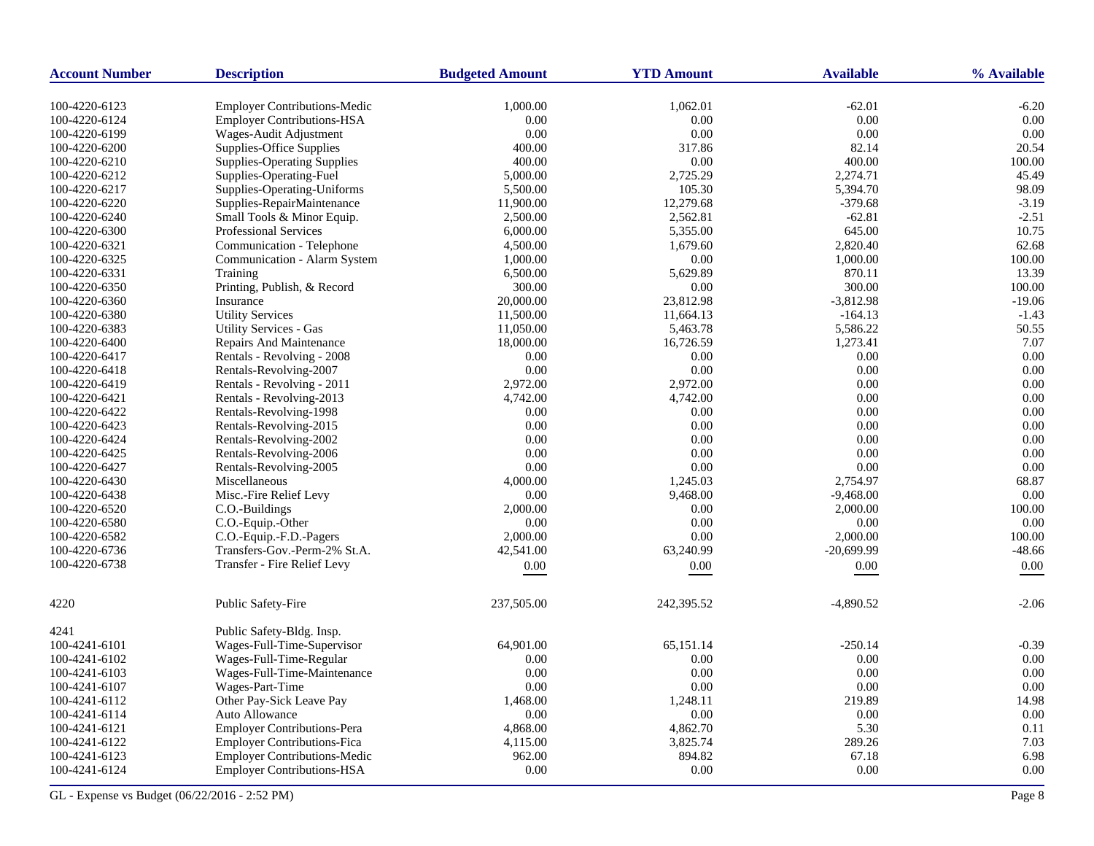| <b>Account Number</b> | <b>Description</b>                  | <b>Budgeted Amount</b> | <b>YTD Amount</b> | <b>Available</b> | % Available |
|-----------------------|-------------------------------------|------------------------|-------------------|------------------|-------------|
| 100-4220-6123         | <b>Employer Contributions-Medic</b> | 1,000.00               | 1,062.01          | $-62.01$         | $-6.20$     |
| 100-4220-6124         | <b>Employer Contributions-HSA</b>   | 0.00                   | 0.00              | 0.00             | 0.00        |
| 100-4220-6199         | Wages-Audit Adjustment              | 0.00                   | 0.00              | 0.00             | 0.00        |
| 100-4220-6200         | <b>Supplies-Office Supplies</b>     | 400.00                 | 317.86            | 82.14            | 20.54       |
| 100-4220-6210         | <b>Supplies-Operating Supplies</b>  | 400.00                 | 0.00              | 400.00           | 100.00      |
| 100-4220-6212         | Supplies-Operating-Fuel             | 5,000.00               | 2,725.29          | 2,274.71         | 45.49       |
| 100-4220-6217         | Supplies-Operating-Uniforms         | 5,500.00               | 105.30            | 5,394.70         | 98.09       |
| 100-4220-6220         | Supplies-RepairMaintenance          | 11,900.00              | 12,279.68         | $-379.68$        | $-3.19$     |
| 100-4220-6240         | Small Tools & Minor Equip.          | 2,500.00               | 2,562.81          | $-62.81$         | $-2.51$     |
| 100-4220-6300         | <b>Professional Services</b>        | 6,000.00               | 5,355.00          | 645.00           | 10.75       |
| 100-4220-6321         | Communication - Telephone           | 4,500.00               | 1,679.60          | 2,820.40         | 62.68       |
| 100-4220-6325         | Communication - Alarm System        | 1,000.00               | 0.00              | 1,000.00         | 100.00      |
| 100-4220-6331         | Training                            | 6,500.00               | 5,629.89          | 870.11           | 13.39       |
| 100-4220-6350         | Printing, Publish, & Record         | 300.00                 | 0.00              | 300.00           | 100.00      |
| 100-4220-6360         | Insurance                           | 20,000.00              | 23,812.98         | $-3,812.98$      | $-19.06$    |
| 100-4220-6380         | <b>Utility Services</b>             | 11,500.00              | 11,664.13         | $-164.13$        | $-1.43$     |
| 100-4220-6383         | <b>Utility Services - Gas</b>       | 11,050.00              | 5,463.78          | 5,586.22         | 50.55       |
| 100-4220-6400         | Repairs And Maintenance             | 18,000.00              | 16,726.59         | 1,273.41         | 7.07        |
| 100-4220-6417         | Rentals - Revolving - 2008          | 0.00                   | 0.00              | 0.00             | 0.00        |
| 100-4220-6418         | Rentals-Revolving-2007              | 0.00                   | $0.00\,$          | 0.00             | 0.00        |
| 100-4220-6419         | Rentals - Revolving - 2011          | 2,972.00               | 2,972.00          | 0.00             | 0.00        |
| 100-4220-6421         | Rentals - Revolving-2013            | 4,742.00               | 4,742.00          | 0.00             | 0.00        |
| 100-4220-6422         | Rentals-Revolving-1998              | 0.00                   | 0.00              | 0.00             | 0.00        |
| 100-4220-6423         | Rentals-Revolving-2015              | 0.00                   | 0.00              | 0.00             | 0.00        |
| 100-4220-6424         | Rentals-Revolving-2002              | 0.00                   | 0.00              | 0.00             | 0.00        |
| 100-4220-6425         | Rentals-Revolving-2006              | 0.00                   | 0.00              | 0.00             | 0.00        |
| 100-4220-6427         | Rentals-Revolving-2005              | 0.00                   | 0.00              | 0.00             | 0.00        |
| 100-4220-6430         | Miscellaneous                       | 4,000.00               | 1,245.03          | 2,754.97         | 68.87       |
| 100-4220-6438         | Misc.-Fire Relief Levy              | 0.00                   | 9,468.00          | $-9,468.00$      | 0.00        |
| 100-4220-6520         | C.O.-Buildings                      | 2,000.00               | 0.00              | 2,000.00         | 100.00      |
| 100-4220-6580         | C.O.-Equip.-Other                   | 0.00                   | 0.00              | 0.00             | 0.00        |
| 100-4220-6582         | C.O.-Equip.-F.D.-Pagers             | 2,000.00               | 0.00              | 2,000.00         | 100.00      |
| 100-4220-6736         | Transfers-Gov.-Perm-2% St.A.        | 42,541.00              | 63,240.99         | $-20,699.99$     | $-48.66$    |
| 100-4220-6738         | Transfer - Fire Relief Levy         | 0.00                   | 0.00              | 0.00             | 0.00        |
| 4220                  | Public Safety-Fire                  | 237,505.00             | 242,395.52        | $-4,890.52$      | $-2.06$     |
| 4241                  | Public Safety-Bldg. Insp.           |                        |                   |                  |             |
| 100-4241-6101         | Wages-Full-Time-Supervisor          | 64,901.00              | 65,151.14         | $-250.14$        | $-0.39$     |
| 100-4241-6102         | Wages-Full-Time-Regular             | 0.00                   | 0.00              | 0.00             | 0.00        |
| 100-4241-6103         | Wages-Full-Time-Maintenance         | 0.00                   | 0.00              | 0.00             | 0.00        |
| 100-4241-6107         | Wages-Part-Time                     | 0.00                   | 0.00              | 0.00             | 0.00        |
| 100-4241-6112         | Other Pay-Sick Leave Pay            | 1,468.00               | 1,248.11          | 219.89           | 14.98       |
| 100-4241-6114         | Auto Allowance                      | 0.00                   | 0.00              | 0.00             | 0.00        |
| 100-4241-6121         | <b>Employer Contributions-Pera</b>  | 4,868.00               | 4,862.70          | 5.30             | 0.11        |
| 100-4241-6122         | <b>Employer Contributions-Fica</b>  | 4,115.00               | 3,825.74          | 289.26           | 7.03        |
| 100-4241-6123         | <b>Employer Contributions-Medic</b> | 962.00                 | 894.82            | 67.18            | 6.98        |
| 100-4241-6124         | <b>Employer Contributions-HSA</b>   | 0.00                   | 0.00              | 0.00             | 0.00        |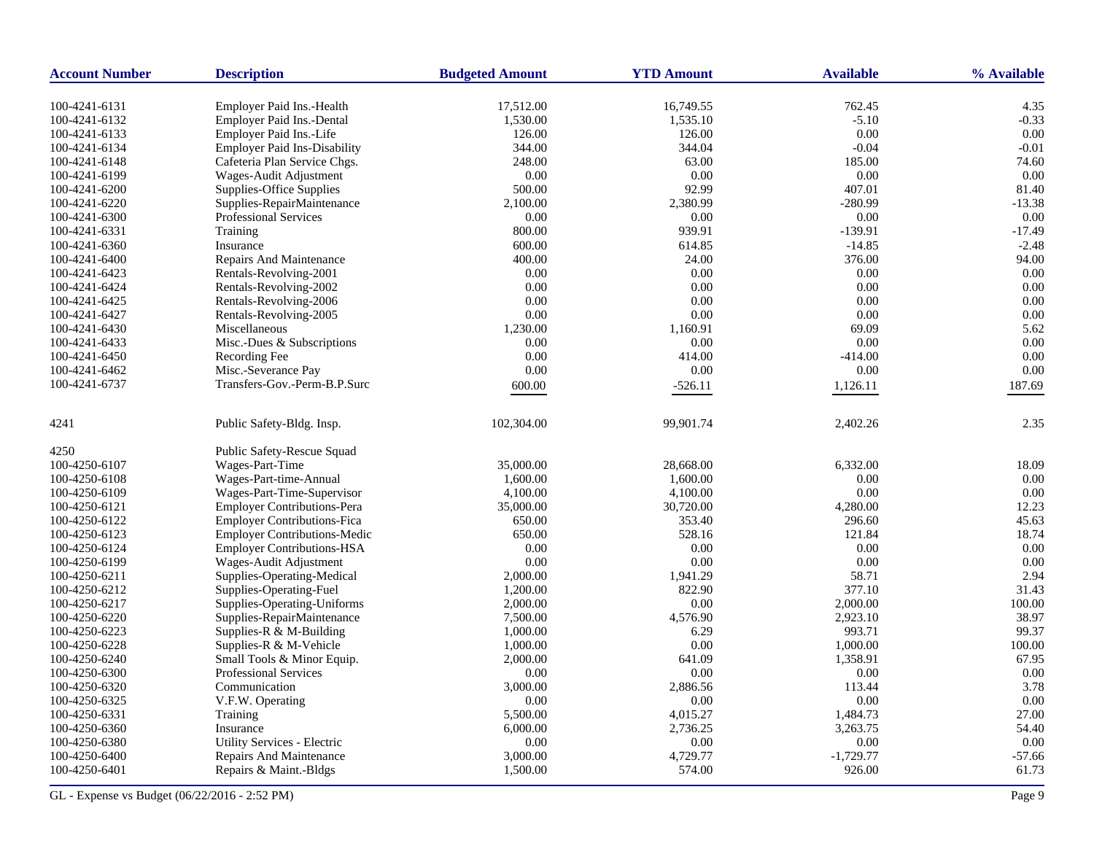| <b>Account Number</b> | <b>Description</b>                  | <b>Budgeted Amount</b> | <b>YTD Amount</b> | <b>Available</b> | % Available |
|-----------------------|-------------------------------------|------------------------|-------------------|------------------|-------------|
| 100-4241-6131         | Employer Paid Ins.-Health           | 17,512.00              | 16,749.55         | 762.45           | 4.35        |
| 100-4241-6132         | Employer Paid Ins.-Dental           | 1,530.00               | 1,535.10          | $-5.10$          | $-0.33$     |
| 100-4241-6133         | Employer Paid Ins.-Life             | 126.00                 | 126.00            | $0.00\,$         | 0.00        |
| 100-4241-6134         | <b>Employer Paid Ins-Disability</b> | 344.00                 | 344.04            | $-0.04$          | $-0.01$     |
| 100-4241-6148         | Cafeteria Plan Service Chgs.        | 248.00                 | 63.00             | 185.00           | 74.60       |
| 100-4241-6199         | Wages-Audit Adjustment              | 0.00                   | 0.00              | 0.00             | 0.00        |
| 100-4241-6200         | Supplies-Office Supplies            | 500.00                 | 92.99             | 407.01           | 81.40       |
| 100-4241-6220         | Supplies-RepairMaintenance          | 2,100.00               | 2,380.99          | $-280.99$        | $-13.38$    |
| 100-4241-6300         | <b>Professional Services</b>        | 0.00                   | 0.00              | 0.00             | 0.00        |
| 100-4241-6331         | Training                            | 800.00                 | 939.91            | $-139.91$        | $-17.49$    |
| 100-4241-6360         | Insurance                           | 600.00                 | 614.85            | $-14.85$         | $-2.48$     |
| 100-4241-6400         | Repairs And Maintenance             | 400.00                 | 24.00             | 376.00           | 94.00       |
| 100-4241-6423         | Rentals-Revolving-2001              | 0.00                   | 0.00              | 0.00             | 0.00        |
| 100-4241-6424         | Rentals-Revolving-2002              | 0.00                   | 0.00              | 0.00             | 0.00        |
| 100-4241-6425         | Rentals-Revolving-2006              | 0.00                   | 0.00              | 0.00             | 0.00        |
| 100-4241-6427         | Rentals-Revolving-2005              | 0.00                   | 0.00              | $0.00\,$         | 0.00        |
| 100-4241-6430         | Miscellaneous                       | 1,230.00               | 1,160.91          | 69.09            | 5.62        |
| 100-4241-6433         | Misc.-Dues & Subscriptions          | 0.00                   | 0.00              | 0.00             | 0.00        |
| 100-4241-6450         | Recording Fee                       | 0.00                   | 414.00            | $-414.00$        | 0.00        |
| 100-4241-6462         | Misc.-Severance Pay                 | 0.00                   | 0.00              | 0.00             | 0.00        |
| 100-4241-6737         | Transfers-Gov.-Perm-B.P.Surc        | 600.00                 | $-526.11$         | 1,126.11         | 187.69      |
|                       |                                     |                        |                   |                  |             |
| 4241                  | Public Safety-Bldg. Insp.           | 102,304.00             | 99,901.74         | 2,402.26         | 2.35        |
| 4250                  | Public Safety-Rescue Squad          |                        |                   |                  |             |
| 100-4250-6107         | Wages-Part-Time                     | 35,000.00              | 28,668.00         | 6,332.00         | 18.09       |
| 100-4250-6108         | Wages-Part-time-Annual              | 1,600.00               | 1,600.00          | 0.00             | 0.00        |
| 100-4250-6109         | Wages-Part-Time-Supervisor          | 4,100.00               | 4,100.00          | 0.00             | 0.00        |
| 100-4250-6121         | <b>Employer Contributions-Pera</b>  | 35,000.00              | 30,720.00         | 4,280.00         | 12.23       |
| 100-4250-6122         | <b>Employer Contributions-Fica</b>  | 650.00                 | 353.40            | 296.60           | 45.63       |
| 100-4250-6123         | <b>Employer Contributions-Medic</b> | 650.00                 | 528.16            | 121.84           | 18.74       |
| 100-4250-6124         | Employer Contributions-HSA          | 0.00                   | 0.00              | 0.00             | 0.00        |
| 100-4250-6199         | Wages-Audit Adjustment              | 0.00                   | 0.00              | 0.00             | 0.00        |
| 100-4250-6211         | Supplies-Operating-Medical          | 2,000.00               | 1,941.29          | 58.71            | 2.94        |
| 100-4250-6212         | Supplies-Operating-Fuel             | 1,200.00               | 822.90            | 377.10           | 31.43       |
| 100-4250-6217         | Supplies-Operating-Uniforms         | 2,000.00               | 0.00              | 2,000.00         | 100.00      |
| 100-4250-6220         | Supplies-RepairMaintenance          | 7,500.00               | 4,576.90          | 2,923.10         | 38.97       |
| 100-4250-6223         | Supplies-R & M-Building             | 1,000.00               | 6.29              | 993.71           | 99.37       |
| 100-4250-6228         | Supplies-R & M-Vehicle              | 1,000.00               | 0.00              | 1,000.00         | 100.00      |
| 100-4250-6240         | Small Tools & Minor Equip.          | 2,000.00               | 641.09            | 1,358.91         | 67.95       |
| 100-4250-6300         | <b>Professional Services</b>        | 0.00                   | 0.00              | 0.00             | 0.00        |
| 100-4250-6320         | Communication                       | 3,000.00               | 2,886.56          | 113.44           | 3.78        |
| 100-4250-6325         | V.F.W. Operating                    | 0.00                   | 0.00              | $0.00\,$         | 0.00        |
| 100-4250-6331         | Training                            | 5,500.00               | 4,015.27          | 1,484.73         | 27.00       |
| 100-4250-6360         | Insurance                           | 6,000.00               | 2,736.25          | 3,263.75         | 54.40       |
| 100-4250-6380         | Utility Services - Electric         | 0.00                   | 0.00              | 0.00             | 0.00        |
| 100-4250-6400         | <b>Repairs And Maintenance</b>      | 3,000.00               | 4,729.77          | $-1,729.77$      | $-57.66$    |
| 100-4250-6401         | Repairs & Maint.-Bldgs              | 1,500.00               | 574.00            | 926.00           | 61.73       |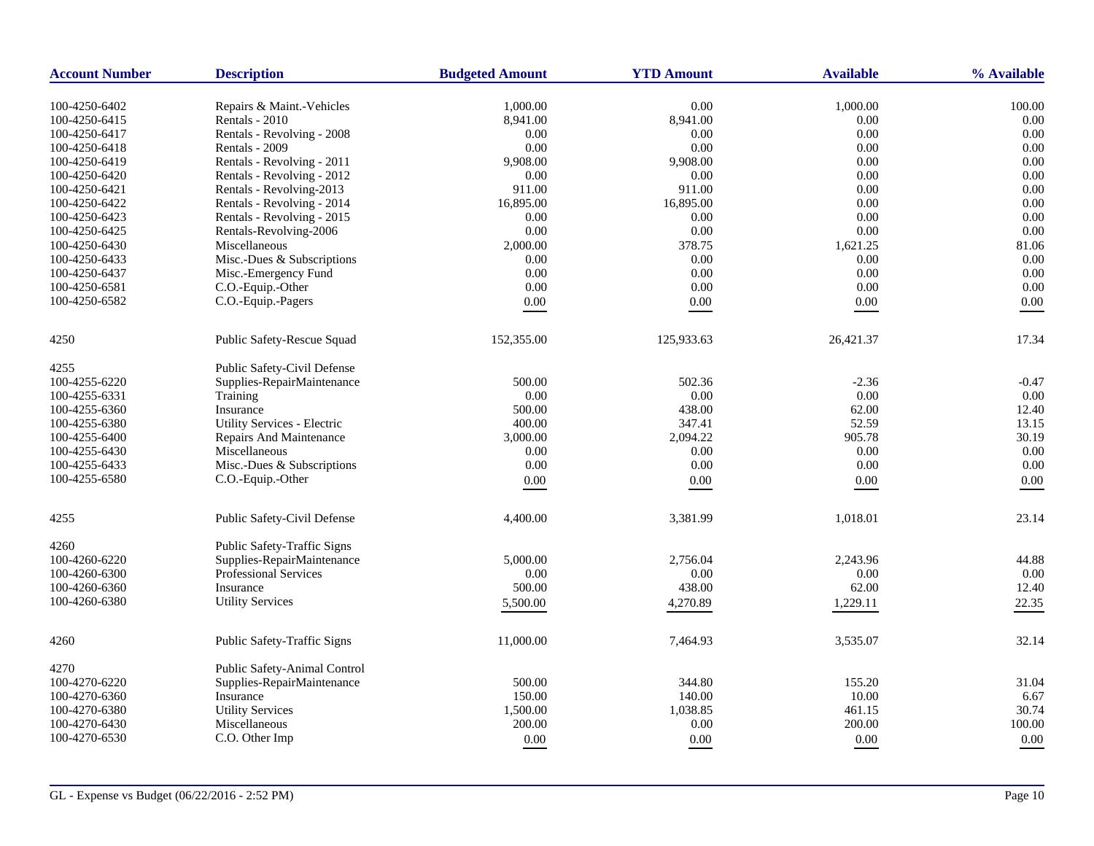| <b>Account Number</b> | <b>Description</b>                                         | <b>Budgeted Amount</b> | <b>YTD Amount</b> | <b>Available</b> | % Available |
|-----------------------|------------------------------------------------------------|------------------------|-------------------|------------------|-------------|
|                       |                                                            |                        |                   |                  |             |
| 100-4250-6402         | Repairs & Maint.-Vehicles                                  | 1,000.00               | 0.00              | 1,000.00         | 100.00      |
| 100-4250-6415         | Rentals - 2010                                             | 8,941.00               | 8,941.00          | 0.00<br>0.00     | 0.00        |
| 100-4250-6417         | Rentals - Revolving - 2008                                 | 0.00                   | 0.00              |                  | 0.00        |
| 100-4250-6418         | Rentals - 2009                                             | 0.00                   | 0.00              | 0.00             | 0.00        |
| 100-4250-6419         | Rentals - Revolving - 2011                                 | 9,908.00               | 9,908.00          | 0.00             | 0.00        |
| 100-4250-6420         | Rentals - Revolving - 2012                                 | 0.00                   | 0.00              | 0.00             | 0.00        |
| 100-4250-6421         | Rentals - Revolving-2013                                   | 911.00                 | 911.00            | 0.00             | 0.00        |
| 100-4250-6422         | Rentals - Revolving - 2014                                 | 16,895.00              | 16,895.00         | 0.00             | 0.00        |
| 100-4250-6423         | Rentals - Revolving - 2015                                 | 0.00                   | 0.00              | 0.00             | 0.00        |
| 100-4250-6425         | Rentals-Revolving-2006                                     | 0.00                   | 0.00              | 0.00             | 0.00        |
| 100-4250-6430         | Miscellaneous                                              | 2,000.00               | 378.75            | 1,621.25         | 81.06       |
| 100-4250-6433         | Misc.-Dues & Subscriptions                                 | 0.00                   | 0.00              | 0.00             | 0.00        |
| 100-4250-6437         | Misc.-Emergency Fund                                       | 0.00                   | 0.00              | 0.00             | 0.00        |
| 100-4250-6581         | C.O.-Equip.-Other                                          | 0.00                   | 0.00              | $0.00\,$         | 0.00        |
| 100-4250-6582         | C.O.-Equip.-Pagers                                         | $0.00\,$               | $0.00\,$          | $0.00\,$         | $0.00\,$    |
| 4250                  | Public Safety-Rescue Squad                                 | 152,355.00             | 125,933.63        | 26,421.37        | 17.34       |
| 4255                  | Public Safety-Civil Defense                                |                        |                   |                  |             |
| 100-4255-6220         | Supplies-RepairMaintenance                                 | 500.00                 | 502.36            | $-2.36$          | $-0.47$     |
| 100-4255-6331         | Training                                                   | 0.00                   | 0.00              | 0.00             | 0.00        |
| 100-4255-6360         | Insurance                                                  | 500.00                 | 438.00            | 62.00            | 12.40       |
| 100-4255-6380         | Utility Services - Electric                                | 400.00                 | 347.41            | 52.59            | 13.15       |
| 100-4255-6400         | Repairs And Maintenance                                    | 3,000.00               | 2,094.22          | 905.78           | 30.19       |
| 100-4255-6430         | Miscellaneous                                              | 0.00                   | 0.00              | 0.00             | 0.00        |
| 100-4255-6433         | Misc.-Dues & Subscriptions                                 | 0.00                   | 0.00              | 0.00             | 0.00        |
| 100-4255-6580         | C.O.-Equip.-Other                                          | $0.00\,$               | 0.00              | $0.00\,$         | $0.00\,$    |
|                       |                                                            |                        |                   |                  |             |
| 4255                  | Public Safety-Civil Defense                                | 4,400.00               | 3,381.99          | 1,018.01         | 23.14       |
| 4260                  | Public Safety-Traffic Signs                                |                        |                   |                  |             |
| 100-4260-6220         | Supplies-RepairMaintenance                                 | 5,000.00               | 2,756.04          | 2,243.96         | 44.88       |
| 100-4260-6300         | <b>Professional Services</b>                               | 0.00                   | 0.00              | 0.00             | 0.00        |
| 100-4260-6360         | Insurance                                                  | 500.00                 | 438.00            | 62.00            | 12.40       |
| 100-4260-6380         | <b>Utility Services</b>                                    | 5,500.00               | 4,270.89          | 1,229.11         | 22.35       |
| 4260                  | Public Safety-Traffic Signs                                | 11,000.00              | 7,464.93          | 3,535.07         | 32.14       |
|                       |                                                            |                        |                   |                  |             |
| 4270<br>100-4270-6220 | Public Safety-Animal Control<br>Supplies-RepairMaintenance | 500.00                 | 344.80            | 155.20           | 31.04       |
| 100-4270-6360         |                                                            | 150.00                 | 140.00            | 10.00            | 6.67        |
|                       | Insurance                                                  |                        | 1,038.85          |                  | 30.74       |
| 100-4270-6380         | <b>Utility Services</b>                                    | 1,500.00               |                   | 461.15           |             |
| 100-4270-6430         | Miscellaneous                                              | 200.00                 | 0.00              | 200.00           | 100.00      |
| 100-4270-6530         | C.O. Other Imp                                             | 0.00                   | 0.00              | 0.00             | 0.00        |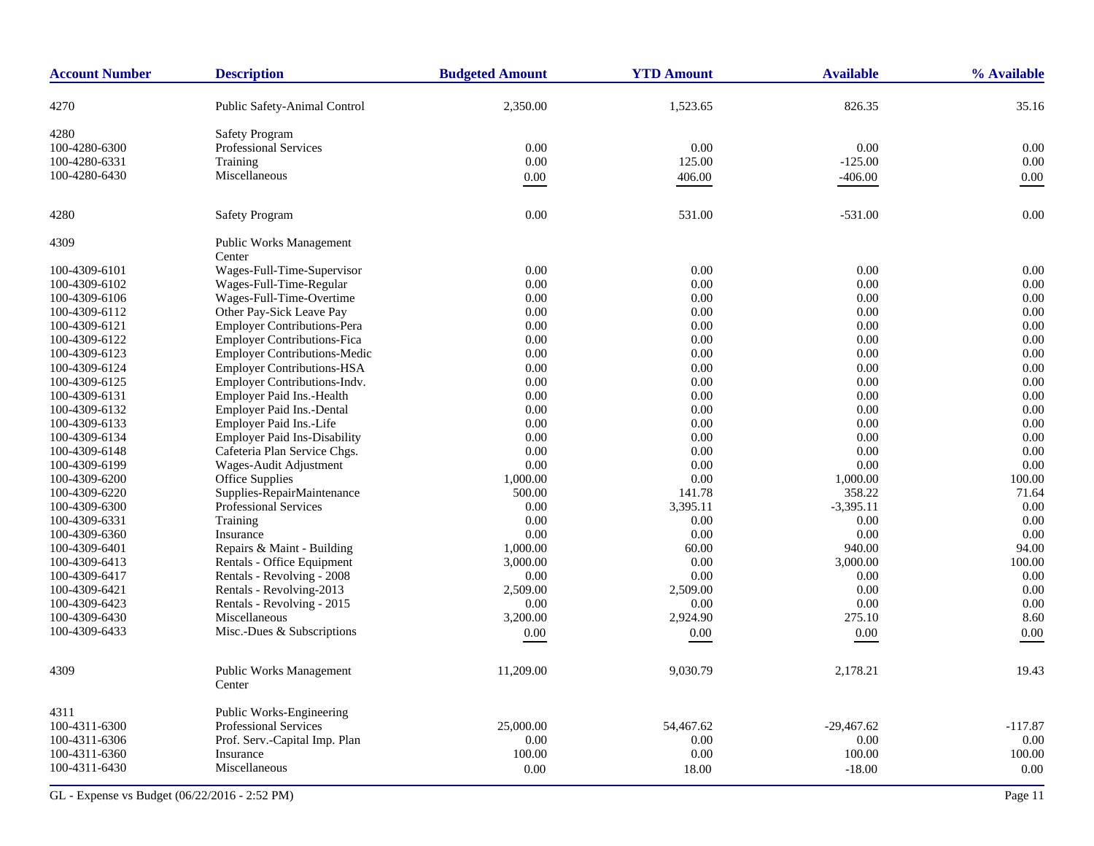| <b>Account Number</b> | <b>Description</b>                       | <b>Budgeted Amount</b> | <b>YTD Amount</b> | <b>Available</b> | % Available |
|-----------------------|------------------------------------------|------------------------|-------------------|------------------|-------------|
| 4270                  | Public Safety-Animal Control             | 2,350.00               | 1,523.65          | 826.35           | 35.16       |
| 4280                  | <b>Safety Program</b>                    |                        |                   |                  |             |
| 100-4280-6300         | Professional Services                    | 0.00                   | 0.00              | 0.00             | 0.00        |
| 100-4280-6331         | Training                                 | 0.00                   | 125.00            | $-125.00$        | 0.00        |
| 100-4280-6430         | Miscellaneous                            | 0.00                   | 406.00            | $-406.00$        | 0.00        |
|                       |                                          |                        |                   |                  |             |
| 4280                  | <b>Safety Program</b>                    | 0.00                   | 531.00            | $-531.00$        | 0.00        |
| 4309                  | <b>Public Works Management</b><br>Center |                        |                   |                  |             |
| 100-4309-6101         | Wages-Full-Time-Supervisor               | 0.00                   | 0.00              | 0.00             | 0.00        |
| 100-4309-6102         | Wages-Full-Time-Regular                  | 0.00                   | 0.00              | 0.00             | 0.00        |
| 100-4309-6106         | Wages-Full-Time-Overtime                 | 0.00                   | 0.00              | 0.00             | 0.00        |
| 100-4309-6112         | Other Pay-Sick Leave Pay                 | 0.00                   | 0.00              | 0.00             | 0.00        |
| 100-4309-6121         | Employer Contributions-Pera              | 0.00                   | 0.00              | 0.00             | 0.00        |
| 100-4309-6122         | <b>Employer Contributions-Fica</b>       | 0.00                   | 0.00              | 0.00             | 0.00        |
| 100-4309-6123         | <b>Employer Contributions-Medic</b>      | 0.00                   | 0.00              | 0.00             | 0.00        |
| 100-4309-6124         | <b>Employer Contributions-HSA</b>        | 0.00                   | 0.00              | 0.00             | 0.00        |
| 100-4309-6125         | Employer Contributions-Indv.             | 0.00                   | 0.00              | 0.00             | 0.00        |
| 100-4309-6131         | Employer Paid Ins.-Health                | 0.00                   | 0.00              | 0.00             | 0.00        |
| 100-4309-6132         | Employer Paid Ins.-Dental                | 0.00                   | 0.00              | 0.00             | 0.00        |
| 100-4309-6133         | Employer Paid Ins.-Life                  | 0.00                   | 0.00              | 0.00             | 0.00        |
| 100-4309-6134         | <b>Employer Paid Ins-Disability</b>      | 0.00                   | 0.00              | 0.00             | 0.00        |
| 100-4309-6148         | Cafeteria Plan Service Chgs.             | 0.00                   | 0.00              | 0.00             | 0.00        |
| 100-4309-6199         | Wages-Audit Adjustment                   | 0.00                   | 0.00              | 0.00             | 0.00        |
| 100-4309-6200         | Office Supplies                          | 1,000.00               | 0.00              | 1,000.00         | 100.00      |
| 100-4309-6220         | Supplies-RepairMaintenance               | 500.00                 | 141.78            | 358.22           | 71.64       |
| 100-4309-6300         | <b>Professional Services</b>             | 0.00                   | 3,395.11          | $-3,395.11$      | 0.00        |
| 100-4309-6331         | Training                                 | 0.00                   | 0.00              | 0.00             | 0.00        |
| 100-4309-6360         | Insurance                                | 0.00                   | 0.00              | 0.00             | 0.00        |
| 100-4309-6401         | Repairs & Maint - Building               | 1,000.00               | 60.00             | 940.00           | 94.00       |
| 100-4309-6413         | Rentals - Office Equipment               | 3,000.00               | 0.00              | 3,000.00         | 100.00      |
| 100-4309-6417         | Rentals - Revolving - 2008               | 0.00                   | 0.00              | 0.00             | 0.00        |
| 100-4309-6421         | Rentals - Revolving-2013                 | 2,509.00               | 2,509.00          | 0.00             | 0.00        |
| 100-4309-6423         | Rentals - Revolving - 2015               | 0.00                   | 0.00              | 0.00             | 0.00        |
| 100-4309-6430         | Miscellaneous                            | 3,200.00               | 2,924.90          | 275.10           | 8.60        |
| 100-4309-6433         | Misc.-Dues & Subscriptions               | 0.00                   | 0.00              | $0.00\,$         | 0.00        |
|                       |                                          |                        |                   |                  |             |
| 4309                  | <b>Public Works Management</b><br>Center | 11,209.00              | 9,030.79          | 2,178.21         | 19.43       |
| 4311                  | Public Works-Engineering                 |                        |                   |                  |             |
| 100-4311-6300         | Professional Services                    | 25,000.00              | 54,467.62         | $-29,467.62$     | $-117.87$   |
| 100-4311-6306         | Prof. Serv.-Capital Imp. Plan            | 0.00                   | 0.00              | 0.00             | 0.00        |
| 100-4311-6360         | Insurance                                | 100.00                 | 0.00              | 100.00           | 100.00      |
| 100-4311-6430         | Miscellaneous                            | 0.00                   | 18.00             | $-18.00$         | 0.00        |
|                       |                                          |                        |                   |                  |             |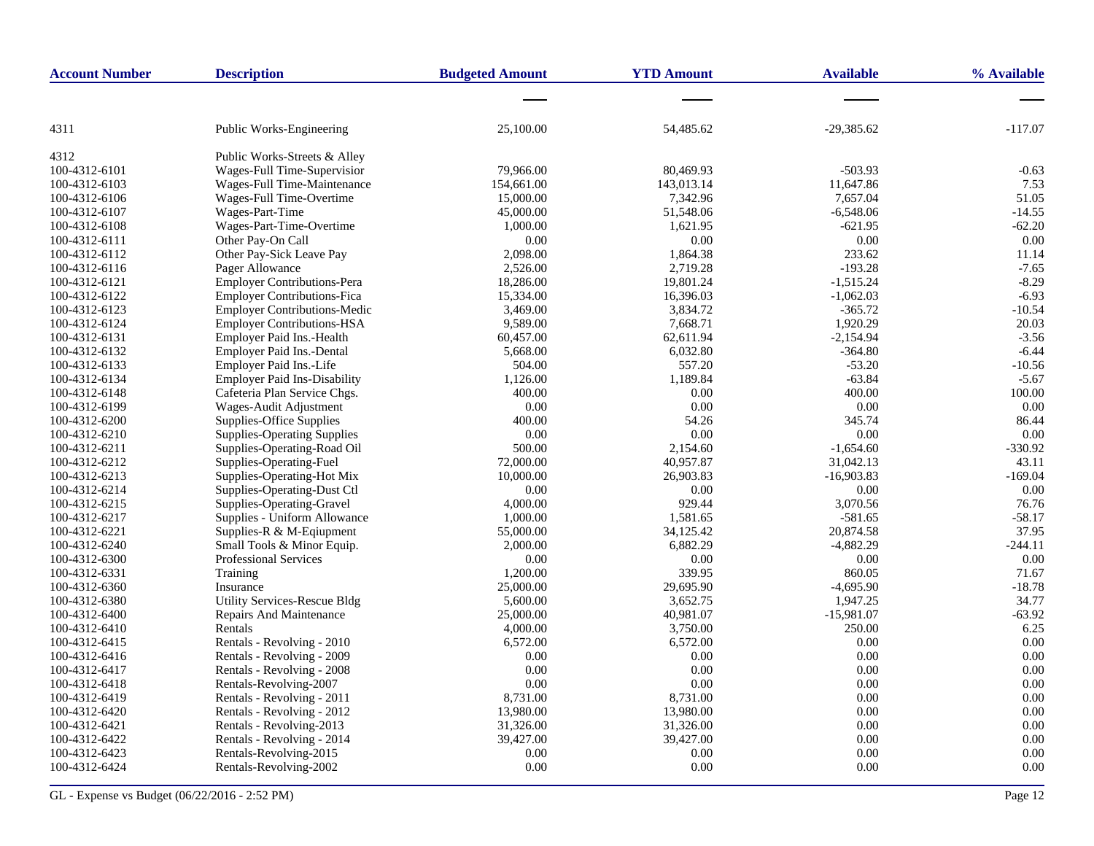| <b>Account Number</b> | <b>Description</b>                  | <b>Budgeted Amount</b> | <b>YTD Amount</b> | <b>Available</b> | % Available |
|-----------------------|-------------------------------------|------------------------|-------------------|------------------|-------------|
|                       |                                     |                        |                   |                  |             |
| 4311                  | Public Works-Engineering            | 25,100.00              | 54,485.62         | $-29,385.62$     | $-117.07$   |
| 4312                  | Public Works-Streets & Alley        |                        |                   |                  |             |
| 100-4312-6101         | Wages-Full Time-Supervisior         | 79,966.00              | 80,469.93         | $-503.93$        | $-0.63$     |
| 100-4312-6103         | Wages-Full Time-Maintenance         | 154,661.00             | 143,013.14        | 11,647.86        | 7.53        |
| 100-4312-6106         | Wages-Full Time-Overtime            | 15,000.00              | 7,342.96          | 7,657.04         | 51.05       |
| 100-4312-6107         | Wages-Part-Time                     | 45,000.00              | 51,548.06         | $-6,548.06$      | $-14.55$    |
| 100-4312-6108         | Wages-Part-Time-Overtime            | 1,000.00               | 1,621.95          | $-621.95$        | $-62.20$    |
| 100-4312-6111         | Other Pay-On Call                   | 0.00                   | 0.00              | 0.00             | 0.00        |
| 100-4312-6112         | Other Pay-Sick Leave Pay            | 2,098.00               | 1,864.38          | 233.62           | 11.14       |
| 100-4312-6116         | Pager Allowance                     | 2,526.00               | 2,719.28          | $-193.28$        | $-7.65$     |
| 100-4312-6121         | <b>Employer Contributions-Pera</b>  | 18,286.00              | 19,801.24         | $-1,515.24$      | $-8.29$     |
| 100-4312-6122         | <b>Employer Contributions-Fica</b>  | 15,334.00              | 16,396.03         | $-1,062.03$      | $-6.93$     |
| 100-4312-6123         | <b>Employer Contributions-Medic</b> | 3,469.00               | 3,834.72          | $-365.72$        | $-10.54$    |
| 100-4312-6124         | <b>Employer Contributions-HSA</b>   | 9,589.00               | 7,668.71          | 1,920.29         | 20.03       |
| 100-4312-6131         | Employer Paid Ins.-Health           | 60,457.00              | 62,611.94         | $-2,154.94$      | $-3.56$     |
| 100-4312-6132         | Employer Paid Ins.-Dental           | 5,668.00               | 6,032.80          | $-364.80$        | $-6.44$     |
| 100-4312-6133         | Employer Paid Ins.-Life             | 504.00                 | 557.20            | $-53.20$         | $-10.56$    |
| 100-4312-6134         | <b>Employer Paid Ins-Disability</b> | 1,126.00               | 1,189.84          | $-63.84$         | $-5.67$     |
| 100-4312-6148         | Cafeteria Plan Service Chgs.        | 400.00                 | 0.00              | 400.00           | 100.00      |
| 100-4312-6199         | Wages-Audit Adjustment              | 0.00                   | 0.00              | 0.00             | 0.00        |
| 100-4312-6200         | Supplies-Office Supplies            | 400.00                 | 54.26             | 345.74           | 86.44       |
| 100-4312-6210         | <b>Supplies-Operating Supplies</b>  | 0.00                   | 0.00              | 0.00             | 0.00        |
| 100-4312-6211         | Supplies-Operating-Road Oil         | 500.00                 | 2,154.60          | $-1,654.60$      | $-330.92$   |
| 100-4312-6212         | Supplies-Operating-Fuel             | 72,000.00              | 40,957.87         | 31,042.13        | 43.11       |
| 100-4312-6213         | Supplies-Operating-Hot Mix          | 10,000.00              | 26,903.83         | $-16,903.83$     | $-169.04$   |
| 100-4312-6214         | Supplies-Operating-Dust Ctl         | 0.00                   | 0.00              | 0.00             | 0.00        |
| 100-4312-6215         | Supplies-Operating-Gravel           | 4,000.00               | 929.44            | 3,070.56         | 76.76       |
| 100-4312-6217         | Supplies - Uniform Allowance        | 1,000.00               | 1,581.65          | $-581.65$        | -58.17      |
| 100-4312-6221         | Supplies-R & M-Eqiupment            | 55,000.00              | 34,125.42         | 20,874.58        | 37.95       |
| 100-4312-6240         | Small Tools & Minor Equip.          | 2,000.00               | 6,882.29          | $-4,882.29$      | $-244.11$   |
| 100-4312-6300         | Professional Services               | 0.00                   | 0.00              | 0.00             | 0.00        |
| 100-4312-6331         | Training                            | 1,200.00               | 339.95            | 860.05           | 71.67       |
| 100-4312-6360         | Insurance                           | 25,000.00              | 29,695.90         | $-4,695.90$      | $-18.78$    |
| 100-4312-6380         | <b>Utility Services-Rescue Bldg</b> | 5,600.00               | 3,652.75          | 1,947.25         | 34.77       |
| 100-4312-6400         | <b>Repairs And Maintenance</b>      | 25,000.00              | 40,981.07         | $-15,981.07$     | $-63.92$    |
| 100-4312-6410         | Rentals                             | 4,000.00               | 3,750.00          | 250.00           | 6.25        |
| 100-4312-6415         | Rentals - Revolving - 2010          | 6,572.00               | 6,572.00          | 0.00             | 0.00        |
| 100-4312-6416         | Rentals - Revolving - 2009          | 0.00                   | 0.00              | 0.00             | 0.00        |
| 100-4312-6417         | Rentals - Revolving - 2008          | 0.00                   | 0.00              | 0.00             | 0.00        |
| 100-4312-6418         | Rentals-Revolving-2007              | 0.00                   | 0.00              | 0.00             | 0.00        |
| 100-4312-6419         | Rentals - Revolving - 2011          | 8,731.00               | 8,731.00          | 0.00             | 0.00        |
| 100-4312-6420         | Rentals - Revolving - 2012          | 13,980.00              | 13,980.00         | 0.00             | 0.00        |
| 100-4312-6421         | Rentals - Revolving-2013            | 31,326.00              | 31,326.00         | 0.00             | 0.00        |
| 100-4312-6422         | Rentals - Revolving - 2014          | 39,427.00              | 39,427.00         | 0.00             | 0.00        |
| 100-4312-6423         | Rentals-Revolving-2015              | 0.00                   | 0.00              | 0.00             | 0.00        |
| 100-4312-6424         | Rentals-Revolving-2002              | 0.00                   | 0.00              | 0.00             | 0.00        |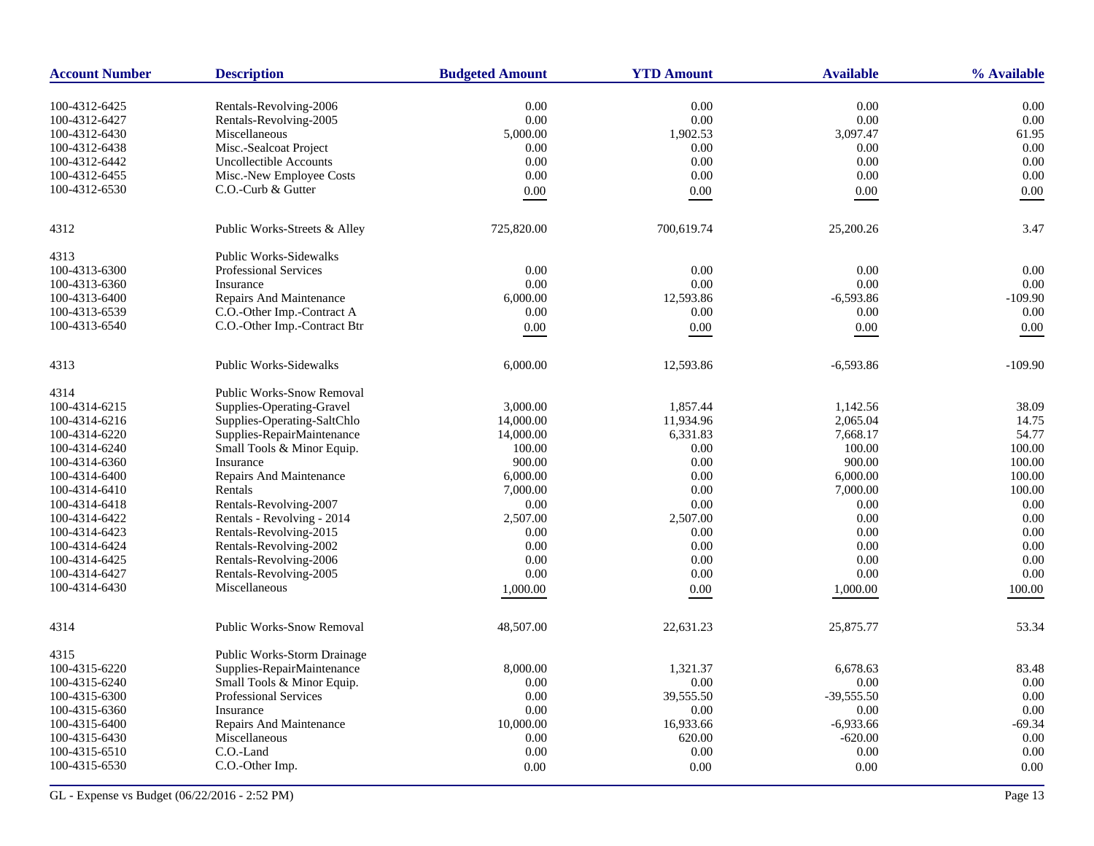| <b>Account Number</b> | <b>Description</b>               | <b>Budgeted Amount</b> | <b>YTD Amount</b> | <b>Available</b> | % Available |
|-----------------------|----------------------------------|------------------------|-------------------|------------------|-------------|
| 100-4312-6425         | Rentals-Revolving-2006           | 0.00                   | 0.00              | 0.00             | 0.00        |
| 100-4312-6427         | Rentals-Revolving-2005           | 0.00                   | 0.00              | 0.00             | 0.00        |
| 100-4312-6430         | Miscellaneous                    | 5,000.00               | 1,902.53          | 3,097.47         | 61.95       |
| 100-4312-6438         | Misc.-Sealcoat Project           | 0.00                   | $0.00\,$          | $0.00\,$         | 0.00        |
| 100-4312-6442         | <b>Uncollectible Accounts</b>    | 0.00                   | 0.00              | 0.00             | 0.00        |
| 100-4312-6455         | Misc.-New Employee Costs         | 0.00                   | 0.00              | 0.00             | 0.00        |
| 100-4312-6530         | C.O.-Curb & Gutter               | 0.00                   | 0.00              | 0.00             | $0.00\,$    |
|                       |                                  |                        |                   |                  |             |
| 4312                  | Public Works-Streets & Alley     | 725,820.00             | 700,619.74        | 25,200.26        | 3.47        |
| 4313                  | <b>Public Works-Sidewalks</b>    |                        |                   |                  |             |
| 100-4313-6300         | <b>Professional Services</b>     | 0.00                   | 0.00              | 0.00             | 0.00        |
| 100-4313-6360         | Insurance                        | 0.00                   | 0.00              | 0.00             | 0.00        |
| 100-4313-6400         | Repairs And Maintenance          | 6,000.00               | 12,593.86         | $-6,593.86$      | $-109.90$   |
| 100-4313-6539         | C.O.-Other Imp.-Contract A       | 0.00                   | 0.00              | 0.00             | 0.00        |
| 100-4313-6540         | C.O.-Other Imp.-Contract Btr     | 0.00                   | 0.00              | 0.00             | $0.00\,$    |
| 4313                  | <b>Public Works-Sidewalks</b>    | 6,000.00               | 12,593.86         | $-6,593.86$      | $-109.90$   |
|                       |                                  |                        |                   |                  |             |
| 4314                  | Public Works-Snow Removal        |                        |                   |                  |             |
| 100-4314-6215         | Supplies-Operating-Gravel        | 3,000.00               | 1,857.44          | 1,142.56         | 38.09       |
| 100-4314-6216         | Supplies-Operating-SaltChlo      | 14,000.00              | 11,934.96         | 2,065.04         | 14.75       |
| 100-4314-6220         | Supplies-RepairMaintenance       | 14,000.00              | 6,331.83          | 7,668.17         | 54.77       |
| 100-4314-6240         | Small Tools & Minor Equip.       | 100.00                 | 0.00              | 100.00           | 100.00      |
| 100-4314-6360         | Insurance                        | 900.00                 | 0.00              | 900.00           | 100.00      |
| 100-4314-6400         | Repairs And Maintenance          | 6,000.00               | 0.00              | 6,000.00         | 100.00      |
| 100-4314-6410         | Rentals                          | 7,000.00               | 0.00              | 7,000.00         | 100.00      |
| 100-4314-6418         | Rentals-Revolving-2007           | 0.00                   | 0.00              | 0.00             | 0.00        |
| 100-4314-6422         | Rentals - Revolving - 2014       | 2,507.00               | 2,507.00          | 0.00             | 0.00        |
| 100-4314-6423         | Rentals-Revolving-2015           | 0.00                   | 0.00              | 0.00             | 0.00        |
| 100-4314-6424         | Rentals-Revolving-2002           | 0.00                   | 0.00              | 0.00             | 0.00        |
| 100-4314-6425         | Rentals-Revolving-2006           | 0.00                   | 0.00              | 0.00             | 0.00        |
| 100-4314-6427         | Rentals-Revolving-2005           | 0.00                   | 0.00              | 0.00             | 0.00        |
| 100-4314-6430         | Miscellaneous                    | 1,000.00               | 0.00              | 1,000.00         | 100.00      |
| 4314                  | <b>Public Works-Snow Removal</b> | 48,507.00              | 22,631.23         | 25,875.77        | 53.34       |
|                       |                                  |                        |                   |                  |             |
| 4315                  | Public Works-Storm Drainage      |                        |                   |                  |             |
| 100-4315-6220         | Supplies-RepairMaintenance       | 8,000.00               | 1,321.37          | 6,678.63         | 83.48       |
| 100-4315-6240         | Small Tools & Minor Equip.       | 0.00                   | 0.00              | 0.00             | 0.00        |
| 100-4315-6300         | Professional Services            | 0.00                   | 39,555.50         | $-39,555.50$     | 0.00        |
| 100-4315-6360         | Insurance                        | 0.00                   | 0.00              | 0.00             | 0.00        |
| 100-4315-6400         | Repairs And Maintenance          | 10,000.00              | 16,933.66         | $-6,933.66$      | $-69.34$    |
| 100-4315-6430         | Miscellaneous                    | 0.00                   | 620.00            | $-620.00$        | 0.00        |
| 100-4315-6510         | C.O.-Land                        | 0.00                   | 0.00              | 0.00             | 0.00        |
| 100-4315-6530         | C.O.-Other Imp.                  | 0.00                   | 0.00              | 0.00             | 0.00        |
|                       |                                  |                        |                   |                  |             |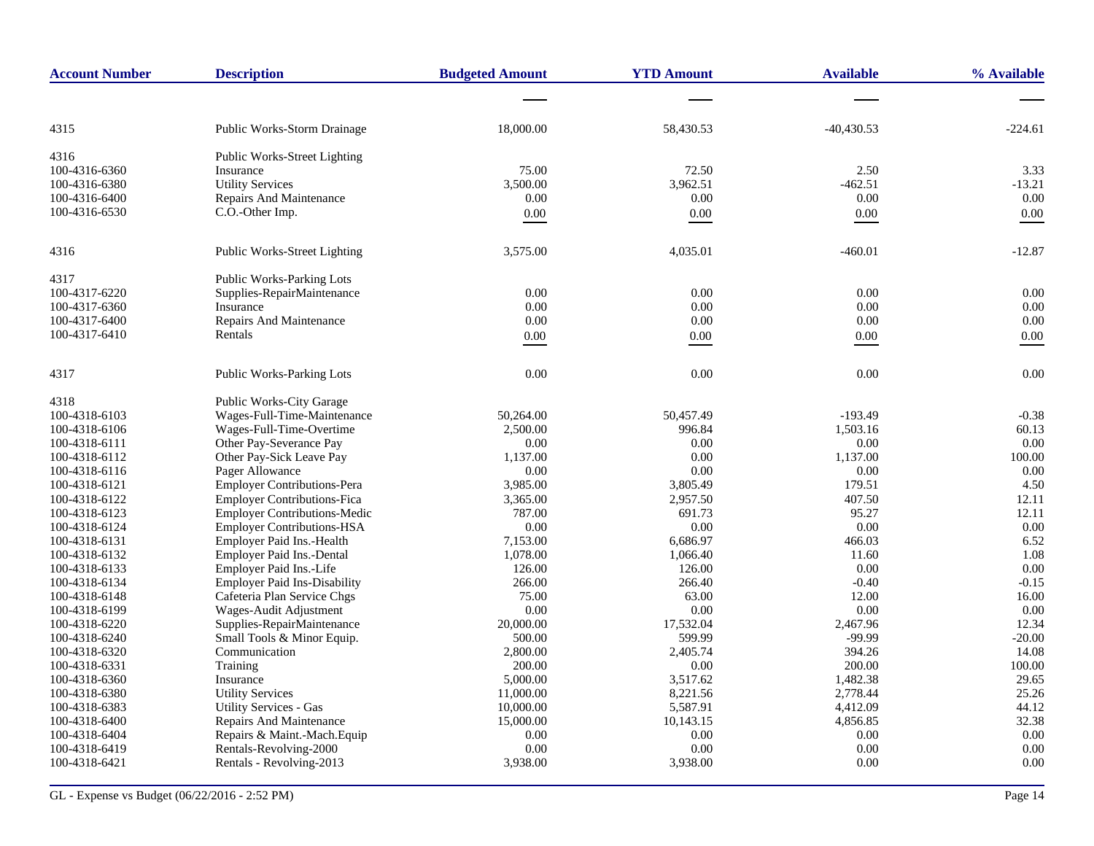| <b>Account Number</b> | <b>Description</b>                  | <b>Budgeted Amount</b> | <b>YTD Amount</b> | <b>Available</b> | % Available |
|-----------------------|-------------------------------------|------------------------|-------------------|------------------|-------------|
|                       |                                     |                        |                   |                  |             |
| 4315                  | <b>Public Works-Storm Drainage</b>  | 18,000.00              | 58,430.53         | $-40,430.53$     | -224.61     |
| 4316                  | Public Works-Street Lighting        |                        |                   |                  |             |
| 100-4316-6360         | Insurance                           | 75.00                  | 72.50             | 2.50             | 3.33        |
| 100-4316-6380         | <b>Utility Services</b>             | 3,500.00               | 3,962.51          | $-462.51$        | $-13.21$    |
| 100-4316-6400         | Repairs And Maintenance             | 0.00                   | 0.00              | 0.00             | 0.00        |
| 100-4316-6530         | C.O.-Other Imp.                     | 0.00                   | $0.00\,$          | 0.00             | $0.00\,$    |
| 4316                  | <b>Public Works-Street Lighting</b> | 3,575.00               | 4,035.01          | $-460.01$        | $-12.87$    |
| 4317                  | <b>Public Works-Parking Lots</b>    |                        |                   |                  |             |
| 100-4317-6220         | Supplies-RepairMaintenance          | 0.00                   | 0.00              | 0.00             | 0.00        |
| 100-4317-6360         | Insurance                           | 0.00                   | 0.00              | 0.00             | 0.00        |
| 100-4317-6400         | Repairs And Maintenance             | 0.00                   | 0.00              | 0.00             | 0.00        |
| 100-4317-6410         | Rentals                             | 0.00                   | 0.00              | $0.00\,$         | $0.00\,$    |
| 4317                  | <b>Public Works-Parking Lots</b>    | 0.00                   | 0.00              | 0.00             | 0.00        |
| 4318                  | <b>Public Works-City Garage</b>     |                        |                   |                  |             |
| 100-4318-6103         | Wages-Full-Time-Maintenance         | 50,264.00              | 50.457.49         | $-193.49$        | $-0.38$     |
| 100-4318-6106         | Wages-Full-Time-Overtime            | 2,500.00               | 996.84            | 1,503.16         | 60.13       |
| 100-4318-6111         | Other Pay-Severance Pay             | 0.00                   | 0.00              | 0.00             | 0.00        |
| 100-4318-6112         | Other Pay-Sick Leave Pay            | 1,137.00               | 0.00              | 1,137.00         | 100.00      |
| 100-4318-6116         | Pager Allowance                     | 0.00                   | 0.00              | 0.00             | 0.00        |
| 100-4318-6121         | <b>Employer Contributions-Pera</b>  | 3,985.00               | 3,805.49          | 179.51           | 4.50        |
| 100-4318-6122         | <b>Employer Contributions-Fica</b>  | 3,365.00               | 2,957.50          | 407.50           | 12.11       |
| 100-4318-6123         | <b>Employer Contributions-Medic</b> | 787.00                 | 691.73            | 95.27            | 12.11       |
| 100-4318-6124         | <b>Employer Contributions-HSA</b>   | 0.00                   | $0.00\,$          | 0.00             | 0.00        |
| 100-4318-6131         | Employer Paid Ins.-Health           | 7,153.00               | 6,686.97          | 466.03           | 6.52        |
| 100-4318-6132         | Employer Paid Ins.-Dental           | 1,078.00               | 1,066.40          | 11.60            | 1.08        |
| 100-4318-6133         | Employer Paid Ins.-Life             | 126.00                 | 126.00            | 0.00             | 0.00        |
| 100-4318-6134         | <b>Employer Paid Ins-Disability</b> | 266.00                 | 266.40            | $-0.40$          | $-0.15$     |
| 100-4318-6148         | Cafeteria Plan Service Chgs         | 75.00                  | 63.00             | 12.00            | 16.00       |
| 100-4318-6199         | Wages-Audit Adjustment              | 0.00                   | 0.00              | 0.00             | 0.00        |
| 100-4318-6220         | Supplies-RepairMaintenance          | 20,000.00              | 17,532.04         | 2,467.96         | 12.34       |
| 100-4318-6240         | Small Tools & Minor Equip.          | 500.00                 | 599.99            | $-99.99$         | $-20.00$    |
| 100-4318-6320         | Communication                       | 2,800.00               | 2,405.74          | 394.26           | 14.08       |
| 100-4318-6331         | Training                            | 200.00                 | 0.00              | 200.00           | 100.00      |
| 100-4318-6360         | Insurance                           | 5,000.00               | 3,517.62          | 1,482.38         | 29.65       |
| 100-4318-6380         | <b>Utility Services</b>             | 11,000.00              | 8,221.56          | 2,778.44         | 25.26       |
| 100-4318-6383         | <b>Utility Services - Gas</b>       | 10,000.00              | 5,587.91          | 4,412.09         | 44.12       |
| 100-4318-6400         | <b>Repairs And Maintenance</b>      | 15,000.00              | 10,143.15         | 4,856.85         | 32.38       |
| 100-4318-6404         | Repairs & Maint.-Mach.Equip         | 0.00                   | 0.00              | 0.00             | 0.00        |
| 100-4318-6419         | Rentals-Revolving-2000              | 0.00                   | 0.00              | 0.00             | 0.00        |
| 100-4318-6421         | Rentals - Revolving-2013            | 3,938.00               | 3,938.00          | 0.00             | 0.00        |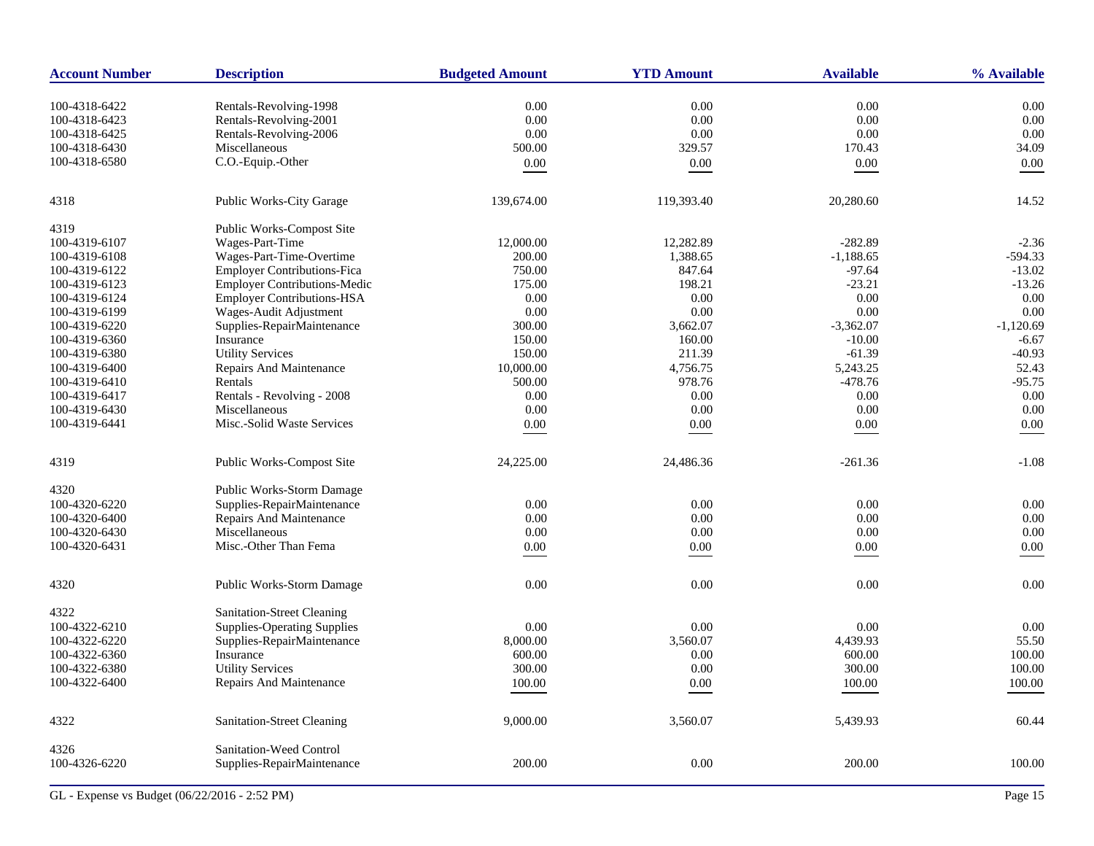| <b>Account Number</b> | <b>Description</b>                  | <b>Budgeted Amount</b> | <b>YTD Amount</b> | <b>Available</b> | % Available |
|-----------------------|-------------------------------------|------------------------|-------------------|------------------|-------------|
| 100-4318-6422         | Rentals-Revolving-1998              | 0.00                   | 0.00              | 0.00             | 0.00        |
| 100-4318-6423         | Rentals-Revolving-2001              | 0.00                   | $0.00\,$          | 0.00             | 0.00        |
| 100-4318-6425         | Rentals-Revolving-2006              | 0.00                   | 0.00              | 0.00             | 0.00        |
| 100-4318-6430         | Miscellaneous                       | 500.00                 | 329.57            | 170.43           | 34.09       |
| 100-4318-6580         | C.O.-Equip.-Other                   | 0.00                   | $0.00\,$          | $0.00\,$         | 0.00        |
| 4318                  | Public Works-City Garage            | 139,674.00             | 119,393.40        | 20,280.60        | 14.52       |
|                       |                                     |                        |                   |                  |             |
| 4319                  | Public Works-Compost Site           |                        |                   |                  |             |
| 100-4319-6107         | Wages-Part-Time                     | 12,000.00              | 12,282.89         | $-282.89$        | $-2.36$     |
| 100-4319-6108         | Wages-Part-Time-Overtime            | 200.00                 | 1,388.65          | $-1,188.65$      | $-594.33$   |
| 100-4319-6122         | <b>Employer Contributions-Fica</b>  | 750.00                 | 847.64            | $-97.64$         | $-13.02$    |
| 100-4319-6123         | <b>Employer Contributions-Medic</b> | 175.00                 | 198.21            | $-23.21$         | $-13.26$    |
| 100-4319-6124         | <b>Employer Contributions-HSA</b>   | 0.00                   | 0.00              | 0.00             | 0.00        |
| 100-4319-6199         | Wages-Audit Adjustment              | 0.00                   | 0.00              | 0.00             | 0.00        |
| 100-4319-6220         | Supplies-RepairMaintenance          | 300.00                 | 3,662.07          | $-3,362.07$      | $-1,120.69$ |
| 100-4319-6360         | Insurance                           | 150.00                 | 160.00            | $-10.00$         | $-6.67$     |
| 100-4319-6380         | <b>Utility Services</b>             | 150.00                 | 211.39            | $-61.39$         | $-40.93$    |
| 100-4319-6400         | Repairs And Maintenance             | 10,000.00              | 4,756.75          | 5,243.25         | 52.43       |
| 100-4319-6410         | Rentals                             | 500.00                 | 978.76            | $-478.76$        | $-95.75$    |
| 100-4319-6417         | Rentals - Revolving - 2008          | 0.00                   | 0.00              | 0.00             | 0.00        |
| 100-4319-6430         | Miscellaneous                       | 0.00                   | 0.00              | 0.00             | 0.00        |
| 100-4319-6441         | Misc.-Solid Waste Services          | 0.00                   | 0.00              | 0.00             | 0.00        |
|                       |                                     |                        |                   |                  |             |
| 4319                  | Public Works-Compost Site           | 24,225.00              | 24,486.36         | $-261.36$        | $-1.08$     |
| 4320                  | Public Works-Storm Damage           |                        |                   |                  |             |
| 100-4320-6220         | Supplies-RepairMaintenance          | 0.00                   | 0.00              | 0.00             | 0.00        |
| 100-4320-6400         | Repairs And Maintenance             | 0.00                   | 0.00              | 0.00             | 0.00        |
| 100-4320-6430         | Miscellaneous                       | 0.00                   | 0.00              | 0.00             | 0.00        |
| 100-4320-6431         | Misc.-Other Than Fema               | 0.00                   | 0.00              | 0.00             | 0.00        |
|                       |                                     |                        |                   |                  |             |
| 4320                  | Public Works-Storm Damage           | 0.00                   | 0.00              | 0.00             | 0.00        |
| 4322                  | <b>Sanitation-Street Cleaning</b>   |                        |                   |                  |             |
| 100-4322-6210         | <b>Supplies-Operating Supplies</b>  | 0.00                   | 0.00              | 0.00             | 0.00        |
|                       |                                     |                        |                   |                  | 55.50       |
| 100-4322-6220         | Supplies-RepairMaintenance          | 8,000.00               | 3,560.07          | 4,439.93         |             |
| 100-4322-6360         | Insurance                           | 600.00                 | 0.00              | 600.00           | 100.00      |
| 100-4322-6380         | <b>Utility Services</b>             | 300.00                 | 0.00              | 300.00           | 100.00      |
| 100-4322-6400         | Repairs And Maintenance             | 100.00                 | 0.00              | 100.00           | 100.00      |
| 4322                  | Sanitation-Street Cleaning          | 9,000.00               | 3,560.07          | 5,439.93         | 60.44       |
| 4326                  | Sanitation-Weed Control             |                        |                   |                  |             |
| 100-4326-6220         | Supplies-RepairMaintenance          | 200.00                 | 0.00              | 200.00           | 100.00      |
|                       |                                     |                        |                   |                  |             |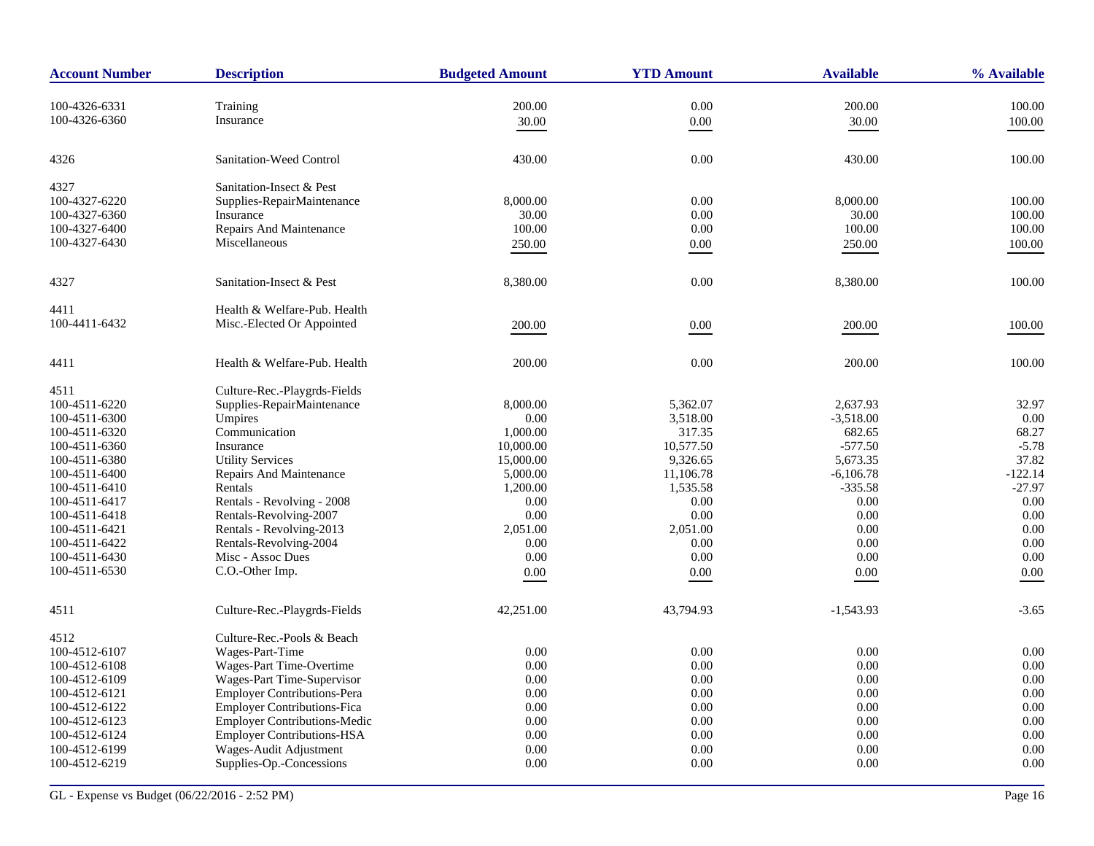| <b>Account Number</b> | <b>Description</b>                  | <b>Budgeted Amount</b> | <b>YTD Amount</b> | <b>Available</b> | % Available |
|-----------------------|-------------------------------------|------------------------|-------------------|------------------|-------------|
| 100-4326-6331         | Training                            | 200.00                 | $0.00\,$          | 200.00           | 100.00      |
| 100-4326-6360         | Insurance                           |                        |                   |                  |             |
|                       |                                     | 30.00                  | $0.00\,$          | 30.00            | 100.00      |
| 4326                  | Sanitation-Weed Control             | 430.00                 | 0.00              | 430.00           | 100.00      |
| 4327                  | Sanitation-Insect & Pest            |                        |                   |                  |             |
| 100-4327-6220         | Supplies-RepairMaintenance          | 8,000.00               | 0.00              | 8,000.00         | 100.00      |
| 100-4327-6360         | Insurance                           | 30.00                  | 0.00              | 30.00            | 100.00      |
| 100-4327-6400         | Repairs And Maintenance             | 100.00                 | 0.00              | 100.00           | 100.00      |
| 100-4327-6430         | Miscellaneous                       | 250.00                 | $0.00\,$          | 250.00           | 100.00      |
| 4327                  | Sanitation-Insect & Pest            | 8,380.00               | 0.00              | 8,380.00         | 100.00      |
| 4411                  | Health & Welfare-Pub. Health        |                        |                   |                  |             |
| 100-4411-6432         | Misc.-Elected Or Appointed          | 200.00                 | 0.00              | 200.00           | 100.00      |
|                       |                                     |                        |                   |                  |             |
| 4411                  | Health & Welfare-Pub. Health        | 200.00                 | 0.00              | 200.00           | 100.00      |
| 4511                  | Culture-Rec.-Playgrds-Fields        |                        |                   |                  |             |
| 100-4511-6220         | Supplies-RepairMaintenance          | 8,000.00               | 5,362.07          | 2,637.93         | 32.97       |
| 100-4511-6300         | Umpires                             | 0.00                   | 3,518.00          | $-3,518.00$      | 0.00        |
| 100-4511-6320         | Communication                       | 1,000.00               | 317.35            | 682.65           | 68.27       |
| 100-4511-6360         | Insurance                           | 10,000.00              | 10,577.50         | $-577.50$        | $-5.78$     |
| 100-4511-6380         | <b>Utility Services</b>             | 15,000.00              | 9,326.65          | 5,673.35         | 37.82       |
| 100-4511-6400         | Repairs And Maintenance             | 5,000.00               | 11,106.78         | $-6,106.78$      | $-122.14$   |
| 100-4511-6410         | Rentals                             | 1,200.00               | 1,535.58          | $-335.58$        | $-27.97$    |
| 100-4511-6417         | Rentals - Revolving - 2008          | 0.00                   | 0.00              | 0.00             | 0.00        |
| 100-4511-6418         | Rentals-Revolving-2007              | 0.00                   | 0.00              | 0.00             | 0.00        |
| 100-4511-6421         | Rentals - Revolving-2013            | 2,051.00               | 2,051.00          | 0.00             | 0.00        |
| 100-4511-6422         | Rentals-Revolving-2004              | 0.00                   | 0.00              | 0.00             | 0.00        |
| 100-4511-6430         | Misc - Assoc Dues                   | 0.00                   | 0.00              | 0.00             | 0.00        |
| 100-4511-6530         | C.O.-Other Imp.                     | 0.00                   | 0.00              | $0.00\,$         | 0.00        |
| 4511                  | Culture-Rec.-Playgrds-Fields        | 42,251.00              | 43,794.93         | $-1,543.93$      | $-3.65$     |
| 4512                  | Culture-Rec.-Pools & Beach          |                        |                   |                  |             |
| 100-4512-6107         | Wages-Part-Time                     | 0.00                   | 0.00              | 0.00             | 0.00        |
| 100-4512-6108         | Wages-Part Time-Overtime            | 0.00                   | 0.00              | 0.00             | 0.00        |
| 100-4512-6109         | Wages-Part Time-Supervisor          | 0.00                   | 0.00              | 0.00             | 0.00        |
| 100-4512-6121         | <b>Employer Contributions-Pera</b>  | 0.00                   | 0.00              | 0.00             | 0.00        |
| 100-4512-6122         | <b>Employer Contributions-Fica</b>  | 0.00                   | 0.00              | 0.00             | 0.00        |
| 100-4512-6123         | <b>Employer Contributions-Medic</b> | 0.00                   | 0.00              | 0.00             | 0.00        |
| 100-4512-6124         | <b>Employer Contributions-HSA</b>   | 0.00                   | 0.00              | 0.00             | 0.00        |
| 100-4512-6199         | Wages-Audit Adjustment              | 0.00                   | 0.00              | 0.00             | 0.00        |
| 100-4512-6219         | Supplies-Op.-Concessions            | 0.00                   | 0.00              | 0.00             | 0.00        |
|                       |                                     |                        |                   |                  |             |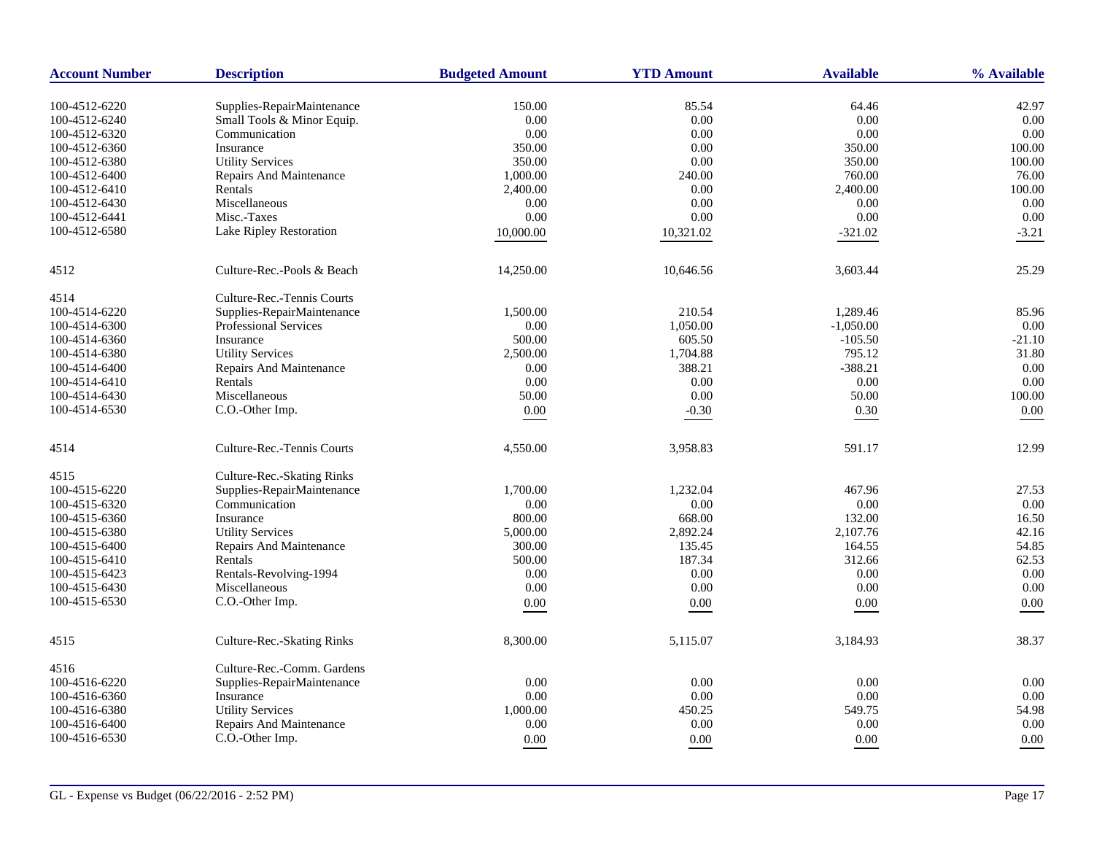| <b>Account Number</b> | <b>Description</b>             | <b>Budgeted Amount</b> | <b>YTD Amount</b> | <b>Available</b> | % Available   |
|-----------------------|--------------------------------|------------------------|-------------------|------------------|---------------|
|                       |                                |                        |                   |                  |               |
| 100-4512-6220         | Supplies-RepairMaintenance     | 150.00                 | 85.54<br>$0.00\,$ | 64.46<br>0.00    | 42.97<br>0.00 |
| 100-4512-6240         | Small Tools & Minor Equip.     | 0.00                   |                   | 0.00             | 0.00          |
| 100-4512-6320         | Communication                  | 0.00                   | 0.00              |                  |               |
| 100-4512-6360         | Insurance                      | 350.00                 | 0.00              | 350.00           | 100.00        |
| 100-4512-6380         | <b>Utility Services</b>        | 350.00                 | 0.00              | 350.00           | 100.00        |
| 100-4512-6400         | Repairs And Maintenance        | 1,000.00               | 240.00            | 760.00           | 76.00         |
| 100-4512-6410         | Rentals                        | 2,400.00               | $0.00\,$          | 2,400.00         | 100.00        |
| 100-4512-6430         | Miscellaneous                  | 0.00                   | 0.00              | 0.00             | 0.00          |
| 100-4512-6441         | Misc.-Taxes                    | 0.00                   | $0.00\,$          | 0.00             | 0.00          |
| 100-4512-6580         | Lake Ripley Restoration        | 10,000.00              | 10,321.02         | $-321.02$        | $-3.21$       |
| 4512                  | Culture-Rec.-Pools & Beach     | 14,250.00              | 10,646.56         | 3,603.44         | 25.29         |
| 4514                  | Culture-Rec.-Tennis Courts     |                        |                   |                  |               |
| 100-4514-6220         | Supplies-RepairMaintenance     | 1,500.00               | 210.54            | 1,289.46         | 85.96         |
| 100-4514-6300         | Professional Services          | 0.00                   | 1,050.00          | $-1,050.00$      | 0.00          |
| 100-4514-6360         | Insurance                      | 500.00                 | 605.50            | $-105.50$        | $-21.10$      |
| 100-4514-6380         | <b>Utility Services</b>        | 2,500.00               | 1,704.88          | 795.12           | 31.80         |
| 100-4514-6400         | <b>Repairs And Maintenance</b> | 0.00                   | 388.21            | $-388.21$        | 0.00          |
| 100-4514-6410         | Rentals                        | 0.00                   | 0.00              | 0.00             | 0.00          |
| 100-4514-6430         | Miscellaneous                  | 50.00                  | $0.00\,$          | 50.00            | 100.00        |
| 100-4514-6530         | C.O.-Other Imp.                | $0.00\,$               | $-0.30$           | $0.30\,$         | $0.00\,$      |
| 4514                  | Culture-Rec.-Tennis Courts     | 4,550.00               | 3,958.83          | 591.17           | 12.99         |
| 4515                  | Culture-Rec.-Skating Rinks     |                        |                   |                  |               |
| 100-4515-6220         | Supplies-RepairMaintenance     | 1,700.00               | 1,232.04          | 467.96           | 27.53         |
| 100-4515-6320         | Communication                  | 0.00                   | 0.00              | 0.00             | 0.00          |
| 100-4515-6360         | Insurance                      | 800.00                 | 668.00            | 132.00           | 16.50         |
| 100-4515-6380         | <b>Utility Services</b>        | 5,000.00               | 2,892.24          | 2,107.76         | 42.16         |
| 100-4515-6400         | Repairs And Maintenance        | 300.00                 | 135.45            | 164.55           | 54.85         |
| 100-4515-6410         | Rentals                        | 500.00                 | 187.34            | 312.66           | 62.53         |
| 100-4515-6423         | Rentals-Revolving-1994         | 0.00                   | 0.00              | 0.00             | 0.00          |
| 100-4515-6430         | Miscellaneous                  | $0.00\,$               | $0.00\,$          | 0.00             | 0.00          |
| 100-4515-6530         | C.O.-Other Imp.                |                        |                   |                  |               |
|                       |                                | 0.00                   | 0.00              | $0.00\,$         | 0.00          |
| 4515                  | Culture-Rec.-Skating Rinks     | 8,300.00               | 5,115.07          | 3,184.93         | 38.37         |
| 4516                  | Culture-Rec.-Comm. Gardens     |                        |                   |                  |               |
| 100-4516-6220         | Supplies-RepairMaintenance     | 0.00                   | $0.00\,$          | 0.00             | 0.00          |
| 100-4516-6360         | Insurance                      | 0.00                   | 0.00              | 0.00             | 0.00          |
| 100-4516-6380         | <b>Utility Services</b>        | 1,000.00               | 450.25            | 549.75           | 54.98         |
| 100-4516-6400         | Repairs And Maintenance        | 0.00                   | 0.00              | 0.00             | 0.00          |
| 100-4516-6530         | C.O.-Other Imp.                | 0.00                   | 0.00              | 0.00             | 0.00          |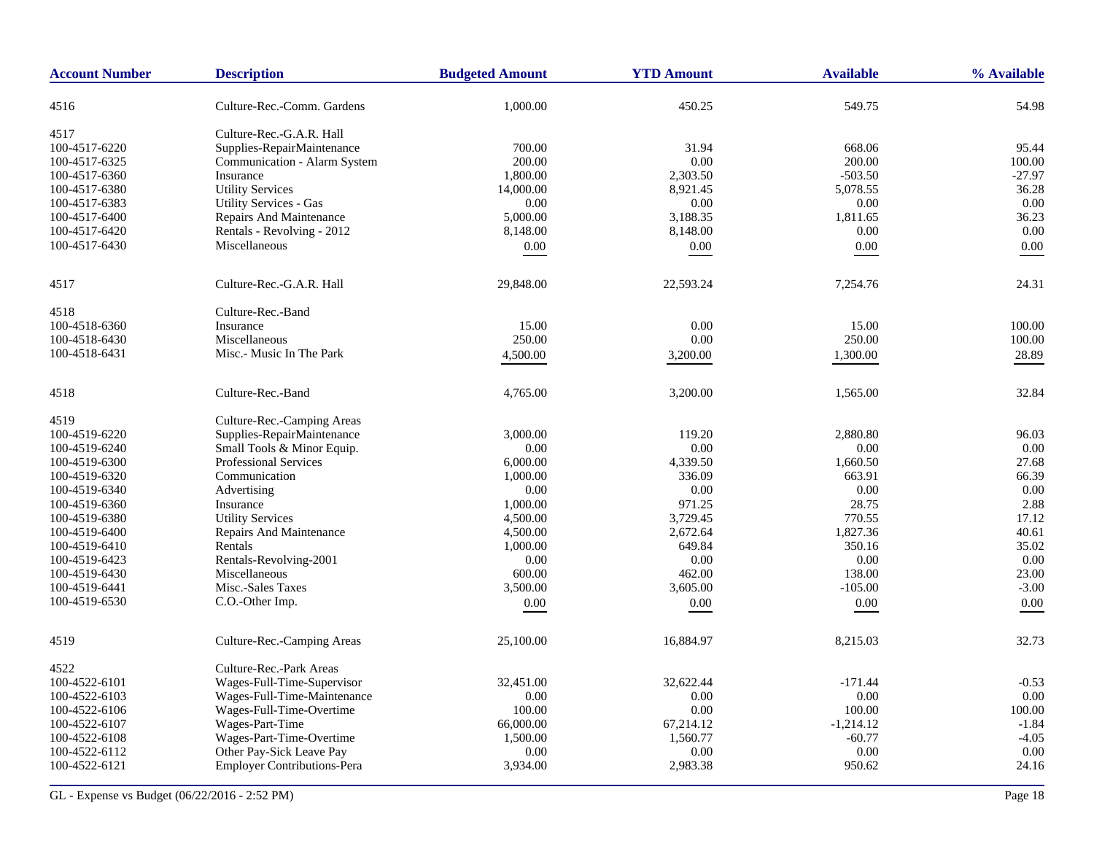| <b>Account Number</b> | <b>Description</b>                 | <b>Budgeted Amount</b> | <b>YTD Amount</b> | <b>Available</b> | % Available |
|-----------------------|------------------------------------|------------------------|-------------------|------------------|-------------|
| 4516                  | Culture-Rec.-Comm. Gardens         | 1,000.00               | 450.25            | 549.75           | 54.98       |
| 4517                  | Culture-Rec.-G.A.R. Hall           |                        |                   |                  |             |
| 100-4517-6220         | Supplies-RepairMaintenance         | 700.00                 | 31.94             | 668.06           | 95.44       |
| 100-4517-6325         | Communication - Alarm System       | 200.00                 | 0.00              | 200.00           | 100.00      |
| 100-4517-6360         | Insurance                          | 1,800.00               | 2,303.50          | $-503.50$        | $-27.97$    |
| 100-4517-6380         | <b>Utility Services</b>            | 14,000.00              | 8,921.45          | 5,078.55         | 36.28       |
| 100-4517-6383         | Utility Services - Gas             | 0.00                   | 0.00              | 0.00             | 0.00        |
| 100-4517-6400         | Repairs And Maintenance            | 5,000.00               | 3,188.35          | 1,811.65         | 36.23       |
| 100-4517-6420         | Rentals - Revolving - 2012         | 8,148.00               | 8,148.00          | 0.00             | 0.00        |
|                       | Miscellaneous                      |                        |                   |                  |             |
| 100-4517-6430         |                                    | 0.00                   | 0.00              | $0.00\,$         | 0.00        |
| 4517                  | Culture-Rec.-G.A.R. Hall           | 29,848.00              | 22,593.24         | 7,254.76         | 24.31       |
| 4518                  | Culture-Rec.-Band                  |                        |                   |                  |             |
| 100-4518-6360         | Insurance                          | 15.00                  | 0.00              | 15.00            | 100.00      |
| 100-4518-6430         | Miscellaneous                      | 250.00                 | 0.00              | 250.00           | 100.00      |
| 100-4518-6431         | Misc.- Music In The Park           | 4,500.00               | 3,200.00          | 1,300.00         | 28.89       |
|                       |                                    |                        |                   |                  |             |
| 4518                  | Culture-Rec.-Band                  | 4,765.00               | 3,200.00          | 1,565.00         | 32.84       |
| 4519                  | Culture-Rec.-Camping Areas         |                        |                   |                  |             |
| 100-4519-6220         | Supplies-RepairMaintenance         | 3,000.00               | 119.20            | 2,880.80         | 96.03       |
| 100-4519-6240         | Small Tools & Minor Equip.         | 0.00                   | 0.00              | 0.00             | 0.00        |
| 100-4519-6300         | <b>Professional Services</b>       | 6,000.00               | 4,339.50          | 1,660.50         | 27.68       |
| 100-4519-6320         | Communication                      | 1,000.00               | 336.09            | 663.91           | 66.39       |
| 100-4519-6340         | Advertising                        | 0.00                   | 0.00              | 0.00             | 0.00        |
| 100-4519-6360         | Insurance                          | 1,000.00               | 971.25            | 28.75            | 2.88        |
| 100-4519-6380         | <b>Utility Services</b>            | 4,500.00               | 3,729.45          | 770.55           | 17.12       |
| 100-4519-6400         | Repairs And Maintenance            | 4,500.00               | 2,672.64          | 1,827.36         | 40.61       |
| 100-4519-6410         | Rentals                            | 1,000.00               | 649.84            | 350.16           | 35.02       |
| 100-4519-6423         | Rentals-Revolving-2001             | 0.00                   | 0.00              | 0.00             | 0.00        |
| 100-4519-6430         | Miscellaneous                      | 600.00                 | 462.00            | 138.00           | 23.00       |
| 100-4519-6441         | Misc.-Sales Taxes                  | 3,500.00               | 3,605.00          | $-105.00$        | $-3.00$     |
| 100-4519-6530         | C.O.-Other Imp.                    | 0.00                   | 0.00              | 0.00             | 0.00        |
|                       |                                    |                        |                   |                  |             |
| 4519                  | Culture-Rec.-Camping Areas         | 25,100.00              | 16,884.97         | 8,215.03         | 32.73       |
| 4522                  | Culture-Rec.-Park Areas            |                        |                   |                  |             |
| 100-4522-6101         | Wages-Full-Time-Supervisor         | 32,451.00              | 32,622.44         | $-171.44$        | $-0.53$     |
| 100-4522-6103         | Wages-Full-Time-Maintenance        | 0.00                   | 0.00              | 0.00             | 0.00        |
| 100-4522-6106         | Wages-Full-Time-Overtime           | 100.00                 | 0.00              | 100.00           | 100.00      |
| 100-4522-6107         | Wages-Part-Time                    | 66,000.00              | 67,214.12         | $-1,214.12$      | $-1.84$     |
| 100-4522-6108         | Wages-Part-Time-Overtime           | 1,500.00               | 1,560.77          | $-60.77$         | $-4.05$     |
| 100-4522-6112         | Other Pay-Sick Leave Pay           | 0.00                   | 0.00              | 0.00             | 0.00        |
| 100-4522-6121         | <b>Employer Contributions-Pera</b> | 3,934.00               | 2,983.38          | 950.62           | 24.16       |
|                       |                                    |                        |                   |                  |             |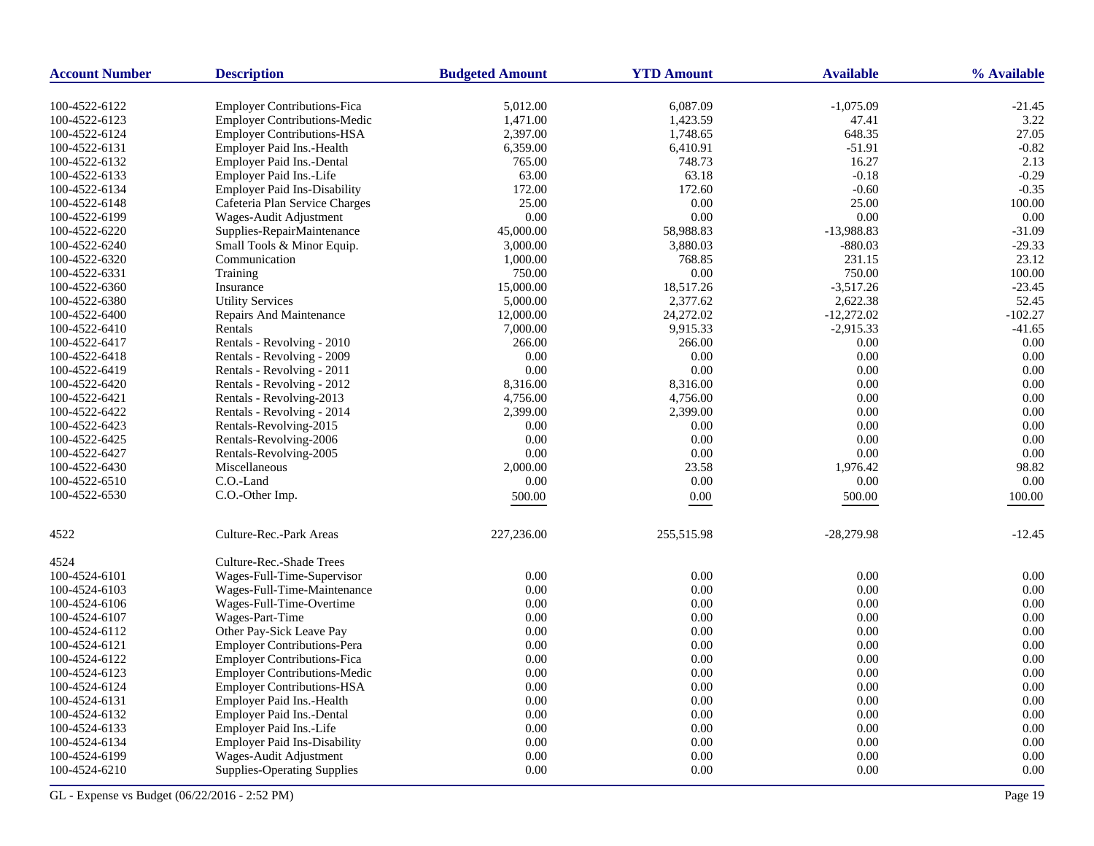| <b>Account Number</b>          | <b>Description</b>                  | <b>Budgeted Amount</b> | <b>YTD Amount</b>     | <b>Available</b> | % Available           |
|--------------------------------|-------------------------------------|------------------------|-----------------------|------------------|-----------------------|
| 100-4522-6122                  | <b>Employer Contributions-Fica</b>  | 5,012.00               | 6,087.09              | $-1,075.09$      | $-21.45$              |
| 100-4522-6123                  | Employer Contributions-Medic        | 1,471.00               | 1,423.59              | 47.41            | 3.22                  |
| 100-4522-6124                  | <b>Employer Contributions-HSA</b>   | 2,397.00               | 1,748.65              | 648.35           | 27.05                 |
| 100-4522-6131                  | Employer Paid Ins.-Health           | 6,359.00               | 6,410.91              | $-51.91$         | $-0.82$               |
| 100-4522-6132                  | Employer Paid Ins.-Dental           | 765.00                 | 748.73                | 16.27            | 2.13                  |
| 100-4522-6133                  | Employer Paid Ins.-Life             | 63.00                  | 63.18                 | $-0.18$          | $-0.29$               |
| 100-4522-6134                  | <b>Employer Paid Ins-Disability</b> | 172.00                 | 172.60                | $-0.60$          | $-0.35$               |
| 100-4522-6148                  | Cafeteria Plan Service Charges      | 25.00                  | 0.00                  | 25.00            | 100.00                |
| 100-4522-6199                  | Wages-Audit Adjustment              | 0.00                   | 0.00                  | 0.00             | 0.00                  |
| 100-4522-6220                  | Supplies-RepairMaintenance          | 45,000.00              | 58,988.83             | $-13,988.83$     | $-31.09$              |
| 100-4522-6240                  | Small Tools & Minor Equip.          | 3,000.00               | 3,880.03              | $-880.03$        | $-29.33$              |
| 100-4522-6320                  | Communication                       | 1,000.00               | 768.85                | 231.15           | 23.12                 |
| 100-4522-6331                  | Training                            | 750.00                 | 0.00                  | 750.00           | 100.00                |
| 100-4522-6360                  | Insurance                           | 15,000.00              | 18,517.26             | $-3,517.26$      | $-23.45$              |
| 100-4522-6380                  |                                     |                        | 2,377.62              | 2,622.38         | 52.45                 |
|                                | <b>Utility Services</b>             | 5,000.00               |                       |                  |                       |
| 100-4522-6400<br>100-4522-6410 | Repairs And Maintenance<br>Rentals  | 12,000.00<br>7,000.00  | 24,272.02<br>9,915.33 | $-12,272.02$     | $-102.27$<br>$-41.65$ |
|                                |                                     |                        |                       | $-2,915.33$      | 0.00                  |
| 100-4522-6417                  | Rentals - Revolving - 2010          | 266.00                 | 266.00                | 0.00             |                       |
| 100-4522-6418                  | Rentals - Revolving - 2009          | 0.00                   | 0.00                  | 0.00             | 0.00                  |
| 100-4522-6419                  | Rentals - Revolving - 2011          | 0.00                   | 0.00                  | 0.00             | 0.00                  |
| 100-4522-6420                  | Rentals - Revolving - 2012          | 8,316.00               | 8,316.00              | 0.00             | 0.00<br>0.00          |
| 100-4522-6421                  | Rentals - Revolving-2013            | 4,756.00               | 4,756.00              | 0.00             |                       |
| 100-4522-6422                  | Rentals - Revolving - 2014          | 2,399.00               | 2,399.00              | 0.00             | 0.00                  |
| 100-4522-6423                  | Rentals-Revolving-2015              | 0.00                   | 0.00                  | 0.00             | 0.00                  |
| 100-4522-6425                  | Rentals-Revolving-2006              | 0.00                   | 0.00                  | 0.00             | 0.00                  |
| 100-4522-6427                  | Rentals-Revolving-2005              | 0.00                   | 0.00                  | 0.00             | 0.00                  |
| 100-4522-6430                  | Miscellaneous                       | 2,000.00               | 23.58                 | 1,976.42         | 98.82                 |
| 100-4522-6510                  | C.O.-Land                           | 0.00                   | 0.00                  | 0.00             | 0.00                  |
| 100-4522-6530                  | C.O.-Other Imp.                     | 500.00                 | 0.00                  | 500.00           | 100.00                |
| 4522                           | Culture-Rec.-Park Areas             | 227,236.00             | 255,515.98            | $-28,279.98$     | $-12.45$              |
| 4524                           | Culture-Rec.-Shade Trees            |                        |                       |                  |                       |
| 100-4524-6101                  | Wages-Full-Time-Supervisor          | 0.00                   | 0.00                  | 0.00             | 0.00                  |
| 100-4524-6103                  | Wages-Full-Time-Maintenance         | 0.00                   | 0.00                  | 0.00             | 0.00                  |
| 100-4524-6106                  | Wages-Full-Time-Overtime            | 0.00                   | 0.00                  | 0.00             | 0.00                  |
| 100-4524-6107                  | Wages-Part-Time                     | 0.00                   | 0.00                  | 0.00             | 0.00                  |
| 100-4524-6112                  | Other Pay-Sick Leave Pay            | 0.00                   | 0.00                  | 0.00             | 0.00                  |
| 100-4524-6121                  | <b>Employer Contributions-Pera</b>  | 0.00                   | 0.00                  | 0.00             | 0.00                  |
| 100-4524-6122                  | <b>Employer Contributions-Fica</b>  | 0.00                   | 0.00                  | 0.00             | 0.00                  |
| 100-4524-6123                  | <b>Employer Contributions-Medic</b> | 0.00                   | 0.00                  | 0.00             | 0.00                  |
| 100-4524-6124                  | <b>Employer Contributions-HSA</b>   | 0.00                   | 0.00                  | 0.00             | 0.00                  |
| 100-4524-6131                  | Employer Paid Ins.-Health           | 0.00                   | 0.00                  | 0.00             | 0.00                  |
| 100-4524-6132                  | Employer Paid Ins.-Dental           | 0.00                   | 0.00                  | 0.00             | 0.00                  |
| 100-4524-6133                  | Employer Paid Ins.-Life             | 0.00                   | 0.00                  | 0.00             | 0.00                  |
| 100-4524-6134                  | <b>Employer Paid Ins-Disability</b> | 0.00                   | 0.00                  | 0.00             | 0.00                  |
| 100-4524-6199                  | Wages-Audit Adjustment              | 0.00                   | 0.00                  | 0.00             | 0.00                  |
| 100-4524-6210                  | <b>Supplies-Operating Supplies</b>  | 0.00                   | 0.00                  | 0.00             | 0.00                  |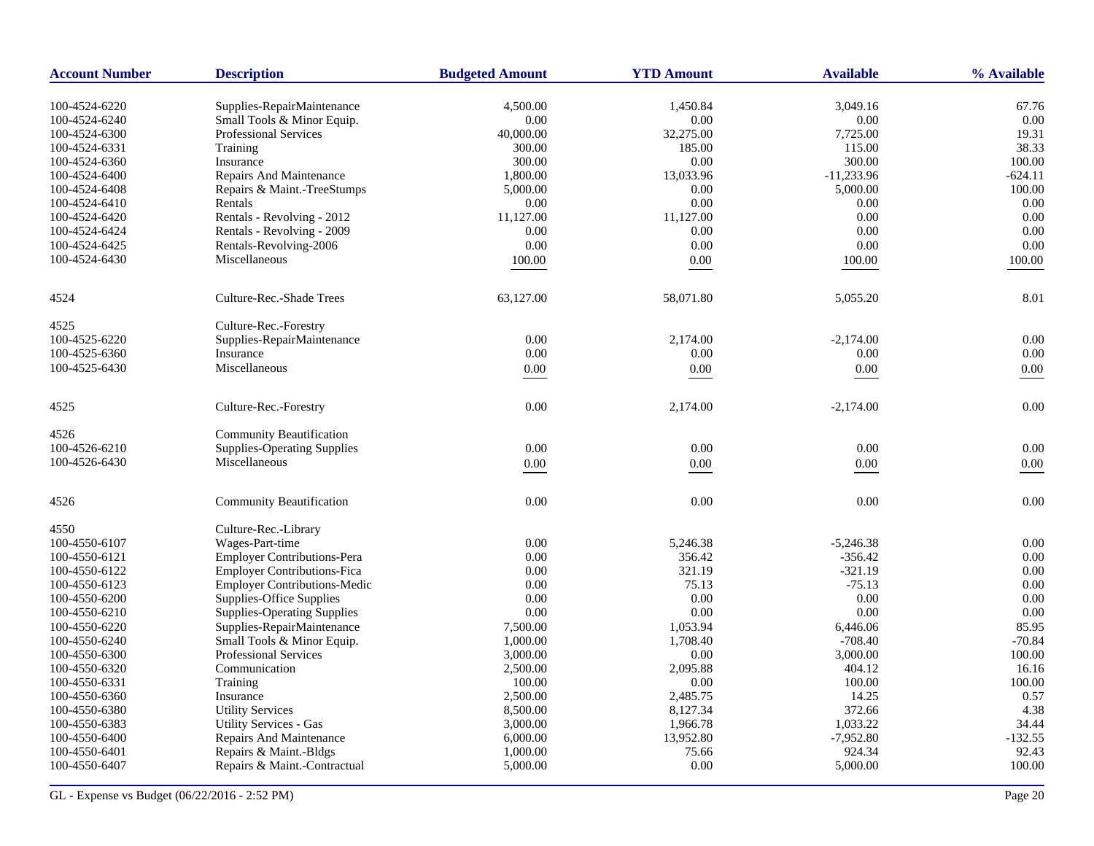| <b>Account Number</b>          | <b>Description</b>                                       | <b>Budgeted Amount</b> | <b>YTD Amount</b> | <b>Available</b> | % Available   |
|--------------------------------|----------------------------------------------------------|------------------------|-------------------|------------------|---------------|
|                                |                                                          |                        |                   |                  |               |
| 100-4524-6220<br>100-4524-6240 | Supplies-RepairMaintenance<br>Small Tools & Minor Equip. | 4,500.00<br>0.00       | 1,450.84<br>0.00  | 3,049.16<br>0.00 | 67.76<br>0.00 |
| 100-4524-6300                  | <b>Professional Services</b>                             | 40,000.00              | 32,275.00         | 7,725.00         | 19.31         |
| 100-4524-6331                  | Training                                                 | 300.00                 | 185.00            | 115.00           | 38.33         |
| 100-4524-6360                  | Insurance                                                | 300.00                 | 0.00              | 300.00           | 100.00        |
| 100-4524-6400                  | <b>Repairs And Maintenance</b>                           | 1,800.00               | 13,033.96         | $-11,233.96$     | $-624.11$     |
| 100-4524-6408                  | Repairs & Maint.-TreeStumps                              | 5,000.00               | 0.00              | 5,000.00         | 100.00        |
| 100-4524-6410                  | Rentals                                                  | 0.00                   | 0.00              | 0.00             | 0.00          |
| 100-4524-6420                  | Rentals - Revolving - 2012                               | 11,127.00              | 11,127.00         | 0.00             | 0.00          |
| 100-4524-6424                  | Rentals - Revolving - 2009                               | 0.00                   | 0.00              | 0.00             | 0.00          |
| 100-4524-6425                  | Rentals-Revolving-2006                                   | 0.00                   | 0.00              | 0.00             | 0.00          |
| 100-4524-6430                  | Miscellaneous                                            |                        |                   |                  |               |
|                                |                                                          | 100.00                 | 0.00              | 100.00           | 100.00        |
| 4524                           | Culture-Rec.-Shade Trees                                 | 63,127.00              | 58,071.80         | 5,055.20         | 8.01          |
| 4525                           | Culture-Rec.-Forestry                                    |                        |                   |                  |               |
| 100-4525-6220                  | Supplies-RepairMaintenance                               | 0.00                   | 2,174.00          | $-2,174.00$      | 0.00          |
| 100-4525-6360                  | Insurance                                                | 0.00                   | 0.00              | 0.00             | 0.00          |
| 100-4525-6430                  | Miscellaneous                                            | 0.00                   | $0.00\,$          | 0.00             | 0.00          |
| 4525                           | Culture-Rec.-Forestry                                    | 0.00                   | 2,174.00          | $-2,174.00$      | 0.00          |
| 4526                           | <b>Community Beautification</b>                          |                        |                   |                  |               |
| 100-4526-6210                  | <b>Supplies-Operating Supplies</b>                       | 0.00                   | 0.00              | 0.00             | 0.00          |
| 100-4526-6430                  | Miscellaneous                                            | $0.00\,$               | $0.00\,$          | $0.00\,$         | 0.00          |
|                                |                                                          |                        |                   |                  |               |
| 4526                           | <b>Community Beautification</b>                          | 0.00                   | 0.00              | 0.00             | 0.00          |
| 4550                           | Culture-Rec.-Library                                     |                        |                   |                  |               |
| 100-4550-6107                  | Wages-Part-time                                          | 0.00                   | 5,246.38          | $-5,246.38$      | 0.00          |
| 100-4550-6121                  | <b>Employer Contributions-Pera</b>                       | 0.00                   | 356.42            | $-356.42$        | 0.00          |
| 100-4550-6122                  | <b>Employer Contributions-Fica</b>                       | 0.00                   | 321.19            | $-321.19$        | 0.00          |
| 100-4550-6123                  | <b>Employer Contributions-Medic</b>                      | 0.00                   | 75.13             | $-75.13$         | 0.00          |
| 100-4550-6200                  | Supplies-Office Supplies                                 | 0.00                   | 0.00              | 0.00             | 0.00          |
| 100-4550-6210                  | <b>Supplies-Operating Supplies</b>                       | 0.00                   | 0.00              | 0.00             | 0.00          |
| 100-4550-6220                  | Supplies-RepairMaintenance                               | 7,500.00               | 1,053.94          | 6,446.06         | 85.95         |
| 100-4550-6240                  | Small Tools & Minor Equip.                               | 1,000.00               | 1,708.40          | $-708.40$        | $-70.84$      |
| 100-4550-6300                  | <b>Professional Services</b>                             | 3,000.00               | $0.00\,$          | 3,000.00         | 100.00        |
| 100-4550-6320                  | Communication                                            | 2,500.00               | 2,095.88          | 404.12           | 16.16         |
| 100-4550-6331                  | Training                                                 | 100.00                 | $0.00\,$          | 100.00           | 100.00        |
| 100-4550-6360                  | Insurance                                                | 2,500.00               | 2,485.75          | 14.25            | 0.57          |
| 100-4550-6380                  | <b>Utility Services</b>                                  | 8,500.00               | 8,127.34          | 372.66           | 4.38          |
| 100-4550-6383                  | <b>Utility Services - Gas</b>                            | 3,000.00               | 1,966.78          | 1,033.22         | 34.44         |
| 100-4550-6400                  | Repairs And Maintenance                                  | 6,000.00               | 13,952.80         | $-7,952.80$      | $-132.55$     |
| 100-4550-6401                  | Repairs & Maint.-Bldgs                                   | 1,000.00               | 75.66             | 924.34           | 92.43         |
| 100-4550-6407                  | Repairs & Maint.-Contractual                             | 5,000.00               | 0.00              | 5,000.00         | 100.00        |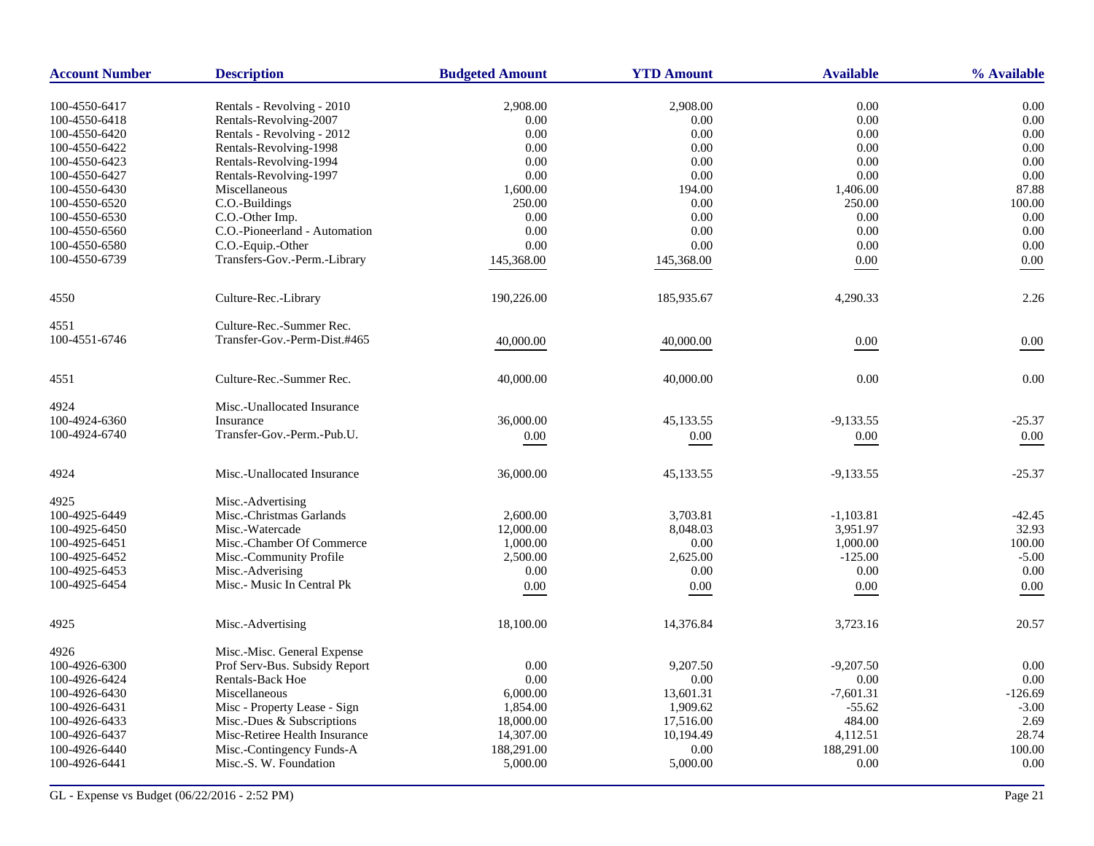| <b>Account Number</b>          | <b>Description</b>                                   | <b>Budgeted Amount</b> | <b>YTD Amount</b> | <b>Available</b> | % Available |
|--------------------------------|------------------------------------------------------|------------------------|-------------------|------------------|-------------|
|                                |                                                      |                        |                   | $0.00\,$         | 0.00        |
| 100-4550-6417<br>100-4550-6418 | Rentals - Revolving - 2010                           | 2,908.00<br>0.00       | 2,908.00<br>0.00  | 0.00             | 0.00        |
| 100-4550-6420                  | Rentals-Revolving-2007<br>Rentals - Revolving - 2012 | 0.00                   | 0.00              | 0.00             | 0.00        |
| 100-4550-6422                  | Rentals-Revolving-1998                               | 0.00                   | 0.00              | 0.00             | 0.00        |
| 100-4550-6423                  | Rentals-Revolving-1994                               | 0.00                   | 0.00              | 0.00             | 0.00        |
| 100-4550-6427                  | Rentals-Revolving-1997                               | 0.00                   | $0.00\,$          | 0.00             | 0.00        |
| 100-4550-6430                  | Miscellaneous                                        | 1,600.00               | 194.00            | 1,406.00         | 87.88       |
| 100-4550-6520                  | C.O.-Buildings                                       | 250.00                 | 0.00              | 250.00           | 100.00      |
| 100-4550-6530                  | C.O.-Other Imp.                                      | 0.00                   | 0.00              | 0.00             | 0.00        |
| 100-4550-6560                  | C.O.-Pioneerland - Automation                        | 0.00                   | 0.00              | 0.00             | 0.00        |
| 100-4550-6580                  | C.O.-Equip.-Other                                    | 0.00                   | 0.00              | 0.00             | 0.00        |
| 100-4550-6739                  | Transfers-Gov.-Perm.-Library                         | 145,368.00             | 145,368.00        | 0.00             | 0.00        |
|                                |                                                      |                        |                   |                  |             |
| 4550                           | Culture-Rec.-Library                                 | 190,226.00             | 185,935.67        | 4,290.33         | 2.26        |
| 4551                           | Culture-Rec.-Summer Rec.                             |                        |                   |                  |             |
| 100-4551-6746                  | Transfer-Gov.-Perm-Dist.#465                         | 40,000.00              | 40,000.00         | $0.00\,$         | 0.00        |
| 4551                           | Culture-Rec.-Summer Rec.                             | 40,000.00              | 40,000.00         | 0.00             | 0.00        |
| 4924                           | Misc.-Unallocated Insurance                          |                        |                   |                  |             |
| 100-4924-6360                  | Insurance                                            | 36,000.00              | 45,133.55         | $-9,133.55$      | $-25.37$    |
| 100-4924-6740                  | Transfer-Gov.-Perm.-Pub.U.                           | $0.00\,$               | $0.00\,$          | 0.00             | $0.00\,$    |
| 4924                           | Misc.-Unallocated Insurance                          | 36,000.00              | 45,133.55         | $-9,133.55$      | $-25.37$    |
| 4925                           | Misc.-Advertising                                    |                        |                   |                  |             |
| 100-4925-6449                  | Misc.-Christmas Garlands                             | 2,600.00               | 3,703.81          | $-1,103.81$      | $-42.45$    |
| 100-4925-6450                  | Misc.-Watercade                                      | 12,000.00              | 8,048.03          | 3,951.97         | 32.93       |
| 100-4925-6451                  | Misc.-Chamber Of Commerce                            | 1,000.00               | 0.00              | 1,000.00         | 100.00      |
| 100-4925-6452                  | Misc.-Community Profile                              | 2,500.00               | 2,625.00          | $-125.00$        | $-5.00$     |
| 100-4925-6453                  | Misc.-Adverising                                     | 0.00                   | 0.00              | 0.00             | 0.00        |
| 100-4925-6454                  | Misc.- Music In Central Pk                           | 0.00                   | 0.00              | 0.00             | 0.00        |
| 4925                           | Misc.-Advertising                                    | 18,100.00              | 14,376.84         | 3,723.16         | 20.57       |
| 4926                           | Misc.-Misc. General Expense                          |                        |                   |                  |             |
| 100-4926-6300                  | Prof Serv-Bus. Subsidy Report                        | 0.00                   | 9,207.50          | $-9,207.50$      | 0.00        |
| 100-4926-6424                  | <b>Rentals-Back Hoe</b>                              | 0.00                   | 0.00              | 0.00             | 0.00        |
| 100-4926-6430                  | Miscellaneous                                        | 6,000.00               | 13,601.31         | $-7,601.31$      | $-126.69$   |
| 100-4926-6431                  | Misc - Property Lease - Sign                         | 1,854.00               | 1,909.62          | $-55.62$         | $-3.00$     |
| 100-4926-6433                  | Misc.-Dues & Subscriptions                           | 18,000.00              | 17,516.00         | 484.00           | 2.69        |
| 100-4926-6437                  | Misc-Retiree Health Insurance                        | 14,307.00              | 10,194.49         | 4,112.51         | 28.74       |
| 100-4926-6440                  | Misc.-Contingency Funds-A                            | 188,291.00             | 0.00              | 188,291.00       | 100.00      |
| 100-4926-6441                  | Misc.-S. W. Foundation                               | 5,000.00               | 5,000.00          | 0.00             | 0.00        |
|                                |                                                      |                        |                   |                  |             |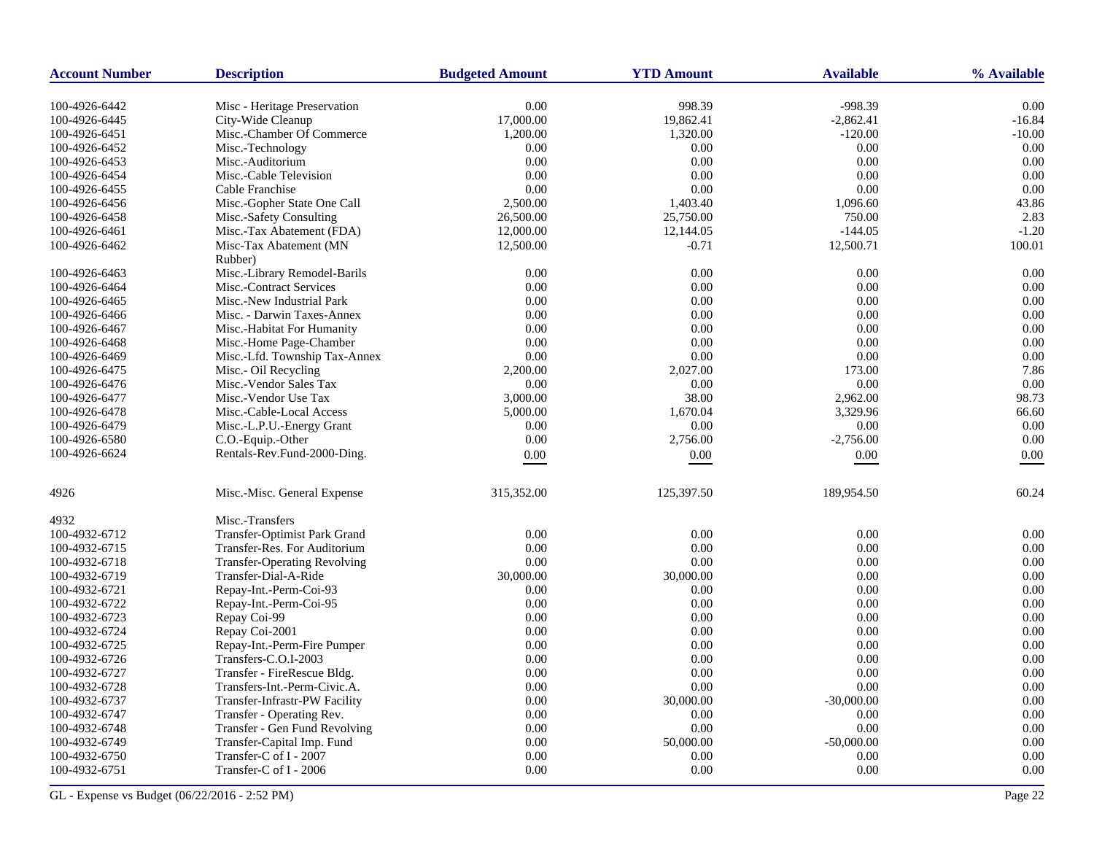| <b>Account Number</b> | <b>Description</b>                  | <b>Budgeted Amount</b> | <b>YTD Amount</b> | <b>Available</b> | % Available |
|-----------------------|-------------------------------------|------------------------|-------------------|------------------|-------------|
| 100-4926-6442         | Misc - Heritage Preservation        | 0.00                   | 998.39            | $-998.39$        | 0.00        |
| 100-4926-6445         | City-Wide Cleanup                   | 17,000.00              | 19,862.41         | $-2,862.41$      | $-16.84$    |
| 100-4926-6451         | Misc.-Chamber Of Commerce           | 1,200.00               | 1,320.00          | $-120.00$        | $-10.00$    |
| 100-4926-6452         | Misc.-Technology                    | 0.00                   | 0.00              | 0.00             | 0.00        |
| 100-4926-6453         | Misc.-Auditorium                    | 0.00                   | 0.00              | 0.00             | 0.00        |
| 100-4926-6454         | Misc.-Cable Television              | 0.00                   | 0.00              | 0.00             | 0.00        |
| 100-4926-6455         | Cable Franchise                     | 0.00                   | 0.00              | 0.00             | 0.00        |
| 100-4926-6456         | Misc.-Gopher State One Call         | 2,500.00               | 1,403.40          | 1,096.60         | 43.86       |
| 100-4926-6458         | Misc.-Safety Consulting             | 26,500.00              | 25,750.00         | 750.00           | 2.83        |
| 100-4926-6461         | Misc.-Tax Abatement (FDA)           | 12,000.00              | 12,144.05         | $-144.05$        | $-1.20$     |
| 100-4926-6462         | Misc-Tax Abatement (MN              | 12,500.00              | $-0.71$           | 12,500.71        | 100.01      |
|                       | Rubber)                             |                        |                   |                  |             |
| 100-4926-6463         | Misc.-Library Remodel-Barils        | 0.00                   | 0.00              | 0.00             | 0.00        |
| 100-4926-6464         | Misc.-Contract Services             | 0.00                   | 0.00              | 0.00             | 0.00        |
| 100-4926-6465         | Misc.-New Industrial Park           | 0.00                   | 0.00              | 0.00             | 0.00        |
| 100-4926-6466         | Misc. - Darwin Taxes-Annex          | 0.00                   | 0.00              | 0.00             | 0.00        |
| 100-4926-6467         | Misc.-Habitat For Humanity          | 0.00                   | 0.00              | 0.00             | 0.00        |
| 100-4926-6468         | Misc.-Home Page-Chamber             | 0.00                   | 0.00              | 0.00             | 0.00        |
| 100-4926-6469         | Misc.-Lfd. Township Tax-Annex       | 0.00                   | 0.00              | 0.00             | 0.00        |
| 100-4926-6475         | Misc.- Oil Recycling                | 2,200.00               | 2,027.00          | 173.00           | 7.86        |
| 100-4926-6476         | Misc.-Vendor Sales Tax              | 0.00                   | 0.00              | 0.00             | 0.00        |
| 100-4926-6477         | Misc.-Vendor Use Tax                | 3,000.00               | 38.00             | 2,962.00         | 98.73       |
| 100-4926-6478         | Misc.-Cable-Local Access            | 5,000.00               | 1,670.04          | 3,329.96         | 66.60       |
| 100-4926-6479         | Misc.-L.P.U.-Energy Grant           | 0.00                   | 0.00              | 0.00             | 0.00        |
| 100-4926-6580         | C.O.-Equip.-Other                   | 0.00                   | 2,756.00          | $-2,756.00$      | 0.00        |
| 100-4926-6624         | Rentals-Rev.Fund-2000-Ding.         | 0.00                   | 0.00              | 0.00             | 0.00        |
| 4926                  | Misc.-Misc. General Expense         | 315,352.00             | 125,397.50        | 189,954.50       | 60.24       |
|                       |                                     |                        |                   |                  |             |
| 4932                  | Misc.-Transfers                     |                        |                   |                  |             |
| 100-4932-6712         | Transfer-Optimist Park Grand        | 0.00                   | 0.00              | 0.00             | 0.00        |
| 100-4932-6715         | Transfer-Res. For Auditorium        | 0.00                   | 0.00              | 0.00             | 0.00        |
| 100-4932-6718         | <b>Transfer-Operating Revolving</b> | 0.00                   | 0.00              | 0.00             | 0.00        |
| 100-4932-6719         | Transfer-Dial-A-Ride                | 30,000.00              | 30,000.00         | 0.00             | 0.00        |
| 100-4932-6721         | Repay-Int.-Perm-Coi-93              | 0.00                   | 0.00              | 0.00             | 0.00        |
| 100-4932-6722         | Repay-Int.-Perm-Coi-95              | 0.00                   | 0.00              | 0.00             | 0.00        |
| 100-4932-6723         | Repay Coi-99                        | 0.00                   | 0.00              | 0.00             | 0.00        |
| 100-4932-6724         | Repay Coi-2001                      | 0.00                   | 0.00              | 0.00             | 0.00        |
| 100-4932-6725         | Repay-Int.-Perm-Fire Pumper         | 0.00                   | 0.00              | 0.00             | 0.00        |
| 100-4932-6726         | Transfers-C.O.I-2003                | 0.00                   | 0.00              | 0.00             | 0.00        |
| 100-4932-6727         | Transfer - FireRescue Bldg.         | 0.00                   | 0.00              | 0.00             | 0.00        |
| 100-4932-6728         | Transfers-Int.-Perm-Civic.A.        | 0.00                   | 0.00              | 0.00             | 0.00        |
| 100-4932-6737         | Transfer-Infrastr-PW Facility       | 0.00                   | 30,000.00         | $-30,000.00$     | 0.00        |
| 100-4932-6747         | Transfer - Operating Rev.           | 0.00                   | 0.00              | 0.00             | 0.00        |
| 100-4932-6748         | Transfer - Gen Fund Revolving       | 0.00                   | 0.00              | 0.00             | 0.00        |
| 100-4932-6749         | Transfer-Capital Imp. Fund          | 0.00                   | 50,000.00         | $-50,000.00$     | 0.00        |
| 100-4932-6750         | Transfer-C of I - 2007              | 0.00                   | 0.00              | 0.00             | 0.00        |
| 100-4932-6751         | Transfer-C of I - 2006              | 0.00                   | 0.00              | 0.00             | 0.00        |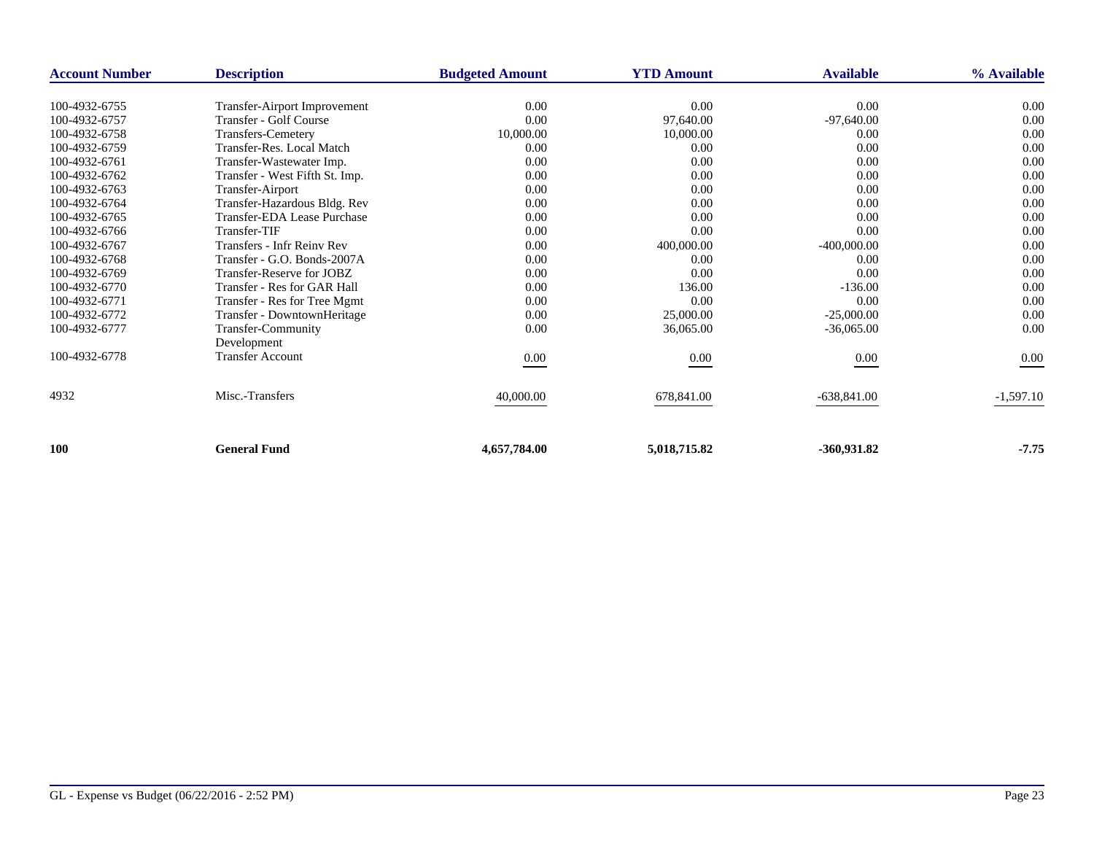| <b>Account Number</b> | <b>Description</b>                | <b>Budgeted Amount</b> | <b>YTD Amount</b> | <b>Available</b> | % Available |
|-----------------------|-----------------------------------|------------------------|-------------------|------------------|-------------|
|                       |                                   |                        |                   |                  |             |
| 100-4932-6755         | Transfer-Airport Improvement      | 0.00                   | 0.00              | 0.00             | 0.00        |
| 100-4932-6757         | Transfer - Golf Course            | 0.00                   | 97,640.00         | $-97,640.00$     | 0.00        |
| 100-4932-6758         | <b>Transfers-Cemetery</b>         | 10,000.00              | 10,000.00         | 0.00             | 0.00        |
| 100-4932-6759         | Transfer-Res. Local Match         | 0.00                   | 0.00              | 0.00             | 0.00        |
| 100-4932-6761         | Transfer-Wastewater Imp.          | 0.00                   | 0.00              | 0.00             | 0.00        |
| 100-4932-6762         | Transfer - West Fifth St. Imp.    | 0.00                   | 0.00              | 0.00             | 0.00        |
| 100-4932-6763         | Transfer-Airport                  | 0.00                   | 0.00              | 0.00             | 0.00        |
| 100-4932-6764         | Transfer-Hazardous Bldg. Rev      | 0.00                   | 0.00              | 0.00             | 0.00        |
| 100-4932-6765         | Transfer-EDA Lease Purchase       | 0.00                   | 0.00              | 0.00             | 0.00        |
| 100-4932-6766         | Transfer-TIF                      | 0.00                   | 0.00              | 0.00             | 0.00        |
| 100-4932-6767         | <b>Transfers - Infr Reiny Rev</b> | 0.00                   | 400,000.00        | $-400,000.00$    | 0.00        |
| 100-4932-6768         | Transfer - G.O. Bonds-2007A       | 0.00                   | 0.00              | 0.00             | 0.00        |
| 100-4932-6769         | Transfer-Reserve for JOBZ         | 0.00                   | 0.00              | 0.00             | 0.00        |
| 100-4932-6770         | Transfer - Res for GAR Hall       | 0.00                   | 136.00            | $-136.00$        | 0.00        |
| 100-4932-6771         | Transfer - Res for Tree Mgmt      | 0.00                   | 0.00              | 0.00             | 0.00        |
| 100-4932-6772         | Transfer - DowntownHeritage       | 0.00                   | 25,000.00         | $-25,000.00$     | 0.00        |
| 100-4932-6777         | <b>Transfer-Community</b>         | 0.00                   | 36,065.00         | $-36,065.00$     | 0.00        |
|                       | Development                       |                        |                   |                  |             |
| 100-4932-6778         | <b>Transfer Account</b>           | $0.00\,$               | $0.00\,$          | 0.00             | 0.00        |
|                       |                                   |                        |                   |                  |             |
| 4932                  | Misc.-Transfers                   | 40,000.00              | 678,841.00        | $-638,841.00$    | $-1,597.10$ |
|                       |                                   |                        |                   |                  |             |
| <b>100</b>            | <b>General Fund</b>               | 4,657,784.00           | 5,018,715.82      | $-360,931.82$    | $-7.75$     |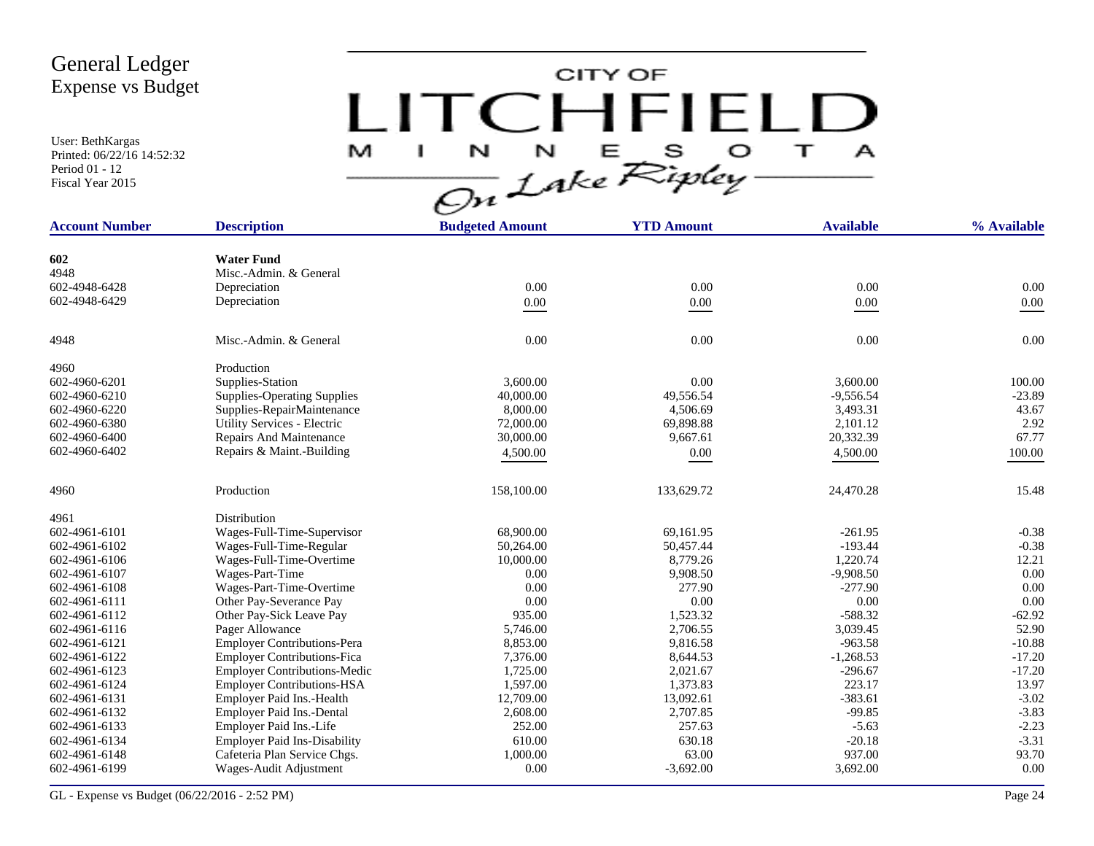User: BethKargas Printed: 06/22/16 14:52:32 Period 01 - 12 Fiscal Year 2015

CITY OF LITCHFIELD  $M$  I N N E S O T A<br>On Lake Ripley

| <b>Account Number</b> | <b>Description</b>                  | <b>Budgeted Amount</b> | <b>YTD Amount</b> | <b>Available</b> | % Available |
|-----------------------|-------------------------------------|------------------------|-------------------|------------------|-------------|
|                       |                                     |                        |                   |                  |             |
| 602                   | <b>Water Fund</b>                   |                        |                   |                  |             |
| 4948                  | Misc.-Admin. & General              |                        |                   |                  |             |
| 602-4948-6428         | Depreciation                        | 0.00                   | 0.00              | 0.00             | 0.00        |
| 602-4948-6429         | Depreciation                        | $0.00\,$               | $0.00\,$          | $0.00\,$         | $0.00\,$    |
| 4948                  | Misc.-Admin. & General              | 0.00                   | 0.00              | 0.00             | 0.00        |
| 4960                  | Production                          |                        |                   |                  |             |
| 602-4960-6201         | Supplies-Station                    | 3,600.00               | 0.00              | 3,600.00         | 100.00      |
| 602-4960-6210         | <b>Supplies-Operating Supplies</b>  | 40,000.00              | 49,556.54         | $-9,556.54$      | $-23.89$    |
| 602-4960-6220         | Supplies-RepairMaintenance          | 8,000.00               | 4,506.69          | 3,493.31         | 43.67       |
| 602-4960-6380         | Utility Services - Electric         | 72,000.00              | 69,898.88         | 2,101.12         | 2.92        |
| 602-4960-6400         | Repairs And Maintenance             | 30,000.00              | 9,667.61          | 20,332.39        | 67.77       |
| 602-4960-6402         | Repairs & Maint.-Building           | 4,500.00               | 0.00              | 4,500.00         | 100.00      |
|                       |                                     |                        |                   |                  |             |
| 4960                  | Production                          | 158,100.00             | 133,629.72        | 24,470.28        | 15.48       |
| 4961                  | Distribution                        |                        |                   |                  |             |
| 602-4961-6101         | Wages-Full-Time-Supervisor          | 68,900.00              | 69,161.95         | $-261.95$        | $-0.38$     |
| 602-4961-6102         | Wages-Full-Time-Regular             | 50,264.00              | 50,457.44         | $-193.44$        | $-0.38$     |
| 602-4961-6106         | Wages-Full-Time-Overtime            | 10,000.00              | 8,779.26          | 1,220.74         | 12.21       |
| 602-4961-6107         | Wages-Part-Time                     | 0.00                   | 9,908.50          | $-9,908.50$      | 0.00        |
| 602-4961-6108         | Wages-Part-Time-Overtime            | 0.00                   | 277.90            | $-277.90$        | 0.00        |
| 602-4961-6111         | Other Pay-Severance Pay             | 0.00                   | 0.00              | 0.00             | 0.00        |
| 602-4961-6112         | Other Pay-Sick Leave Pay            | 935.00                 | 1,523.32          | $-588.32$        | $-62.92$    |
| 602-4961-6116         | Pager Allowance                     | 5,746.00               | 2,706.55          | 3,039.45         | 52.90       |
| 602-4961-6121         | <b>Employer Contributions-Pera</b>  | 8,853.00               | 9,816.58          | $-963.58$        | $-10.88$    |
| 602-4961-6122         | <b>Employer Contributions-Fica</b>  | 7,376.00               | 8,644.53          | $-1,268.53$      | $-17.20$    |
| 602-4961-6123         | <b>Employer Contributions-Medic</b> | 1,725.00               | 2,021.67          | $-296.67$        | $-17.20$    |
| 602-4961-6124         | <b>Employer Contributions-HSA</b>   | 1,597.00               | 1,373.83          | 223.17           | 13.97       |
| 602-4961-6131         | Employer Paid Ins.-Health           | 12,709.00              | 13,092.61         | $-383.61$        | $-3.02$     |
| 602-4961-6132         | Employer Paid Ins.-Dental           | 2,608.00               | 2,707.85          | $-99.85$         | $-3.83$     |
| 602-4961-6133         | Employer Paid Ins.-Life             | 252.00                 | 257.63            | $-5.63$          | $-2.23$     |
| 602-4961-6134         | <b>Employer Paid Ins-Disability</b> | 610.00                 | 630.18            | $-20.18$         | $-3.31$     |
| 602-4961-6148         | Cafeteria Plan Service Chgs.        | 1,000.00               | 63.00             | 937.00           | 93.70       |
| 602-4961-6199         | Wages-Audit Adjustment              | 0.00                   | $-3,692.00$       | 3,692.00         | 0.00        |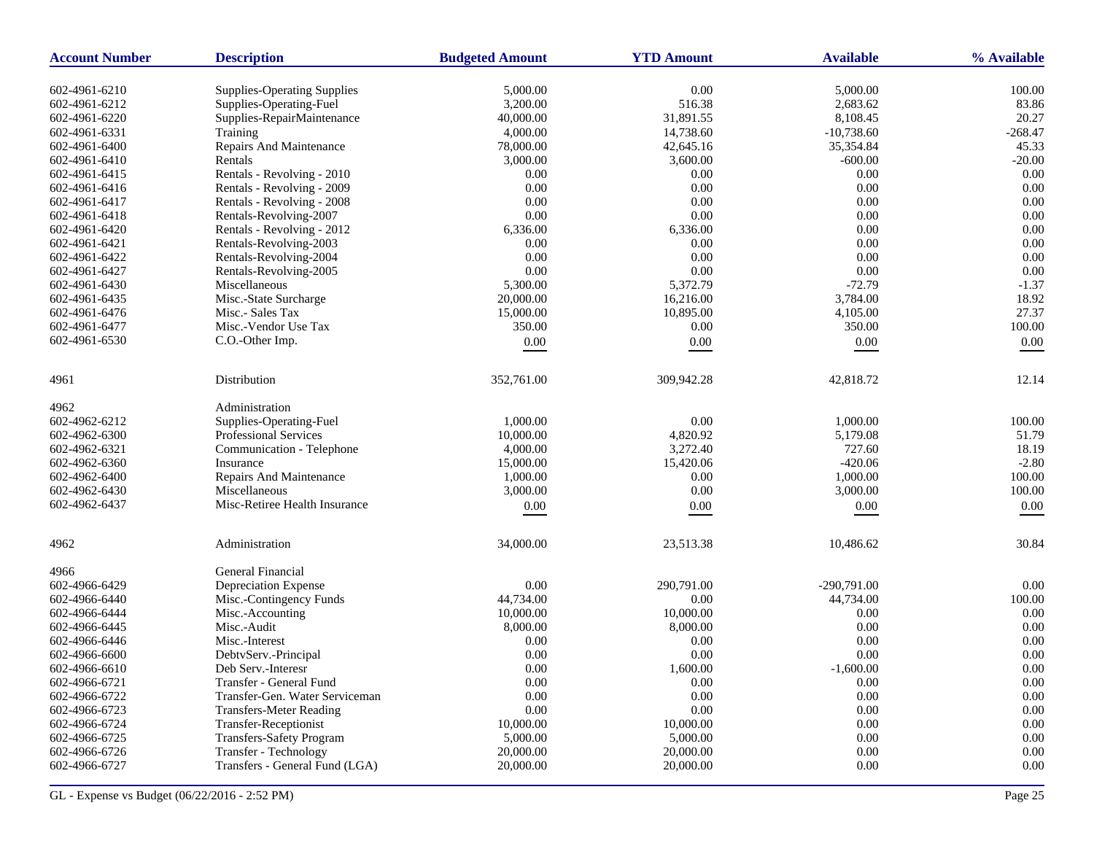| <b>Account Number</b> | <b>Description</b>                 | <b>Budgeted Amount</b> | <b>YTD Amount</b> | <b>Available</b> | % Available |
|-----------------------|------------------------------------|------------------------|-------------------|------------------|-------------|
| 602-4961-6210         | <b>Supplies-Operating Supplies</b> | 5,000.00               | 0.00              | 5,000.00         | 100.00      |
| 602-4961-6212         | Supplies-Operating-Fuel            | 3,200.00               | 516.38            | 2,683.62         | 83.86       |
| 602-4961-6220         | Supplies-RepairMaintenance         | 40,000.00              | 31,891.55         | 8,108.45         | 20.27       |
| 602-4961-6331         | Training                           | 4,000.00               | 14,738.60         | $-10,738.60$     | $-268.47$   |
| 602-4961-6400         | Repairs And Maintenance            | 78,000.00              | 42,645.16         | 35,354.84        | 45.33       |
| 602-4961-6410         | Rentals                            | 3,000.00               | 3,600.00          | $-600.00$        | $-20.00$    |
| 602-4961-6415         | Rentals - Revolving - 2010         | 0.00                   | 0.00              | 0.00             | 0.00        |
| 602-4961-6416         | Rentals - Revolving - 2009         | 0.00                   | 0.00              | 0.00             | 0.00        |
| 602-4961-6417         | Rentals - Revolving - 2008         | 0.00                   | 0.00              | 0.00             | 0.00        |
| 602-4961-6418         | Rentals-Revolving-2007             | 0.00                   | 0.00              | 0.00             | 0.00        |
| 602-4961-6420         | Rentals - Revolving - 2012         | 6,336.00               | 6,336.00          | 0.00             | 0.00        |
| 602-4961-6421         | Rentals-Revolving-2003             | 0.00                   | 0.00              | 0.00             | 0.00        |
| 602-4961-6422         | Rentals-Revolving-2004             | 0.00                   | 0.00              | 0.00             | 0.00        |
| 602-4961-6427         | Rentals-Revolving-2005             | 0.00                   | 0.00              | 0.00             | 0.00        |
| 602-4961-6430         | Miscellaneous                      | 5,300.00               | 5,372.79          | $-72.79$         | $-1.37$     |
| 602-4961-6435         | Misc.-State Surcharge              | 20,000.00              | 16,216.00         | 3,784.00         | 18.92       |
| 602-4961-6476         | Misc.- Sales Tax                   | 15,000.00              | 10,895.00         | 4,105.00         | 27.37       |
| 602-4961-6477         | Misc.-Vendor Use Tax               | 350.00                 | 0.00              | 350.00           | 100.00      |
| 602-4961-6530         | C.O.-Other Imp.                    | $0.00\,$               | 0.00              | $0.00\,$         | 0.00        |
|                       |                                    |                        |                   |                  |             |
| 4961                  | Distribution                       | 352,761.00             | 309,942.28        | 42,818.72        | 12.14       |
| 4962                  | Administration                     |                        |                   |                  |             |
| 602-4962-6212         | Supplies-Operating-Fuel            | 1,000.00               | 0.00              | 1,000.00         | 100.00      |
| 602-4962-6300         | Professional Services              | 10,000.00              | 4,820.92          | 5,179.08         | 51.79       |
| 602-4962-6321         | Communication - Telephone          | 4,000.00               | 3,272.40          | 727.60           | 18.19       |
| 602-4962-6360         | Insurance                          | 15,000.00              | 15,420.06         | $-420.06$        | $-2.80$     |
| 602-4962-6400         | Repairs And Maintenance            | 1,000.00               | 0.00              | 1,000.00         | 100.00      |
| 602-4962-6430         | Miscellaneous                      | 3,000.00               | 0.00              | 3,000.00         | 100.00      |
| 602-4962-6437         | Misc-Retiree Health Insurance      | $0.00\,$               | 0.00              | 0.00             | 0.00        |
| 4962                  | Administration                     | 34,000.00              | 23,513.38         | 10,486.62        | 30.84       |
|                       |                                    |                        |                   |                  |             |
| 4966                  | General Financial                  |                        |                   |                  |             |
| 602-4966-6429         | Depreciation Expense               | 0.00                   | 290,791.00        | $-290,791.00$    | 0.00        |
| 602-4966-6440         | Misc.-Contingency Funds            | 44,734.00              | $0.00\,$          | 44,734.00        | 100.00      |
| 602-4966-6444         | Misc.-Accounting                   | 10,000.00              | 10,000.00         | 0.00             | 0.00        |
| 602-4966-6445         | Misc.-Audit                        | 8,000.00               | 8,000.00          | 0.00             | 0.00        |
| 602-4966-6446         | Misc.-Interest                     | 0.00                   | 0.00              | 0.00             | $0.00\,$    |
| 602-4966-6600         | DebtyServ.-Principal               | 0.00                   | 0.00              | 0.00             | 0.00        |
| 602-4966-6610         | Deb Serv.-Interesr                 | $0.00\,$               | 1,600.00          | $-1,600.00$      | $0.00\,$    |
| 602-4966-6721         | Transfer - General Fund            | 0.00                   | 0.00              | 0.00             | 0.00        |
| 602-4966-6722         | Transfer-Gen. Water Serviceman     | 0.00                   | 0.00              | 0.00             | 0.00        |
| 602-4966-6723         | <b>Transfers-Meter Reading</b>     | 0.00                   | $0.00\,$          | 0.00             | 0.00        |
| 602-4966-6724         | Transfer-Receptionist              | 10,000.00              | 10,000.00         | 0.00             | 0.00        |
| 602-4966-6725         | <b>Transfers-Safety Program</b>    | 5,000.00               | 5,000.00          | 0.00             | 0.00        |
| 602-4966-6726         | Transfer - Technology              | 20,000.00              | 20,000.00         | 0.00             | $0.00\,$    |
| 602-4966-6727         | Transfers - General Fund (LGA)     | 20,000.00              | 20,000.00         | 0.00             | 0.00        |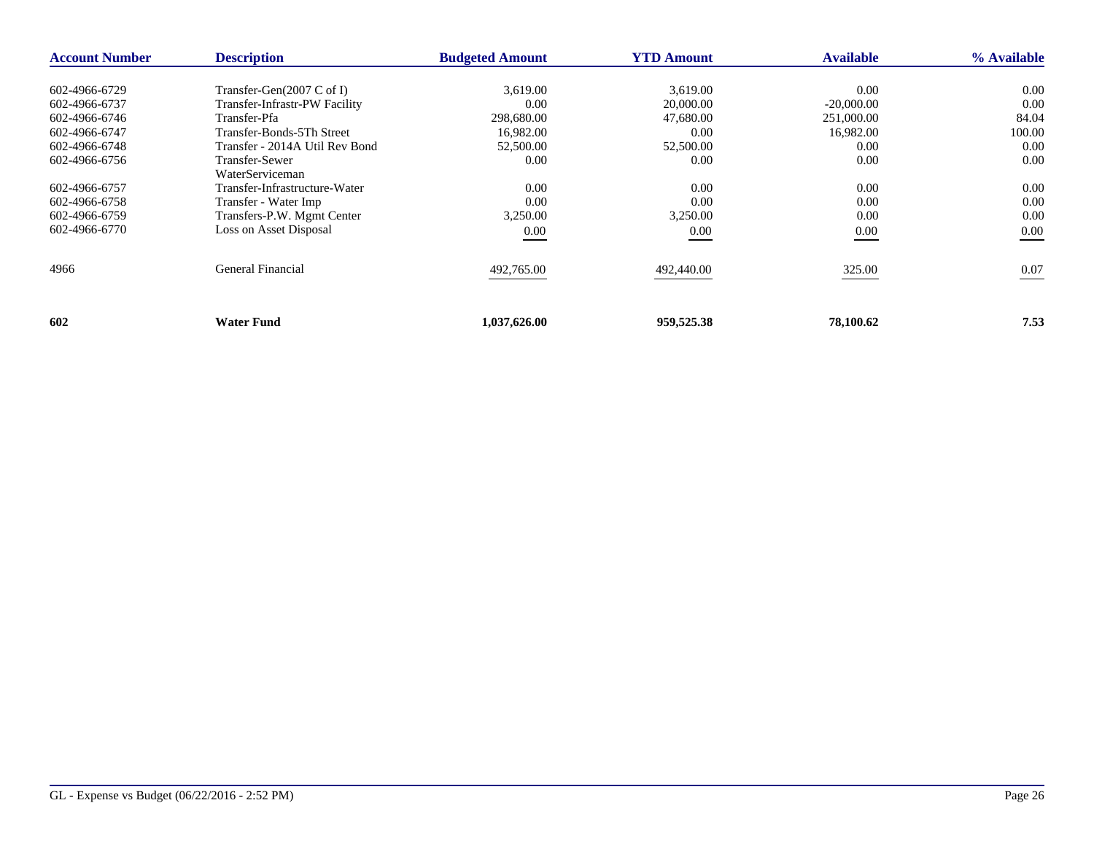| <b>Account Number</b> | <b>Description</b>                     | <b>Budgeted Amount</b> | <b>YTD Amount</b> | <b>Available</b> | % Available |
|-----------------------|----------------------------------------|------------------------|-------------------|------------------|-------------|
| 602-4966-6729         | Transfer-Gen $(2007 \, \text{C of I})$ | 3,619.00               | 3,619.00          | 0.00             | $0.00\,$    |
|                       |                                        | 0.00                   | 20,000.00         | $-20,000,00$     | 0.00        |
| 602-4966-6737         | Transfer-Infrastr-PW Facility          |                        |                   |                  |             |
| 602-4966-6746         | Transfer-Pfa                           | 298,680.00             | 47,680.00         | 251,000.00       | 84.04       |
| 602-4966-6747         | Transfer-Bonds-5Th Street              | 16,982.00              | 0.00              | 16,982.00        | 100.00      |
| 602-4966-6748         | Transfer - 2014A Util Rev Bond         | 52,500.00              | 52,500.00         | 0.00             | 0.00        |
| 602-4966-6756         | <b>Transfer-Sewer</b>                  | 0.00                   | 0.00              | 0.00             | 0.00        |
|                       | WaterServiceman                        |                        |                   |                  |             |
| 602-4966-6757         | Transfer-Infrastructure-Water          | 0.00                   | 0.00              | 0.00             | 0.00        |
| 602-4966-6758         | Transfer - Water Imp                   | 0.00                   | 0.00              | 0.00             | 0.00        |
| 602-4966-6759         | Transfers-P.W. Mgmt Center             | 3,250.00               | 3,250.00          | 0.00             | 0.00        |
| 602-4966-6770         | Loss on Asset Disposal                 | 0.00                   | 0.00              | $0.00\,$         | 0.00        |
| 4966                  | General Financial                      | 492,765.00             | 492,440.00        | 325.00           | 0.07        |
| 602                   | <b>Water Fund</b>                      | 1,037,626.00           | 959,525.38        | 78,100.62        | 7.53        |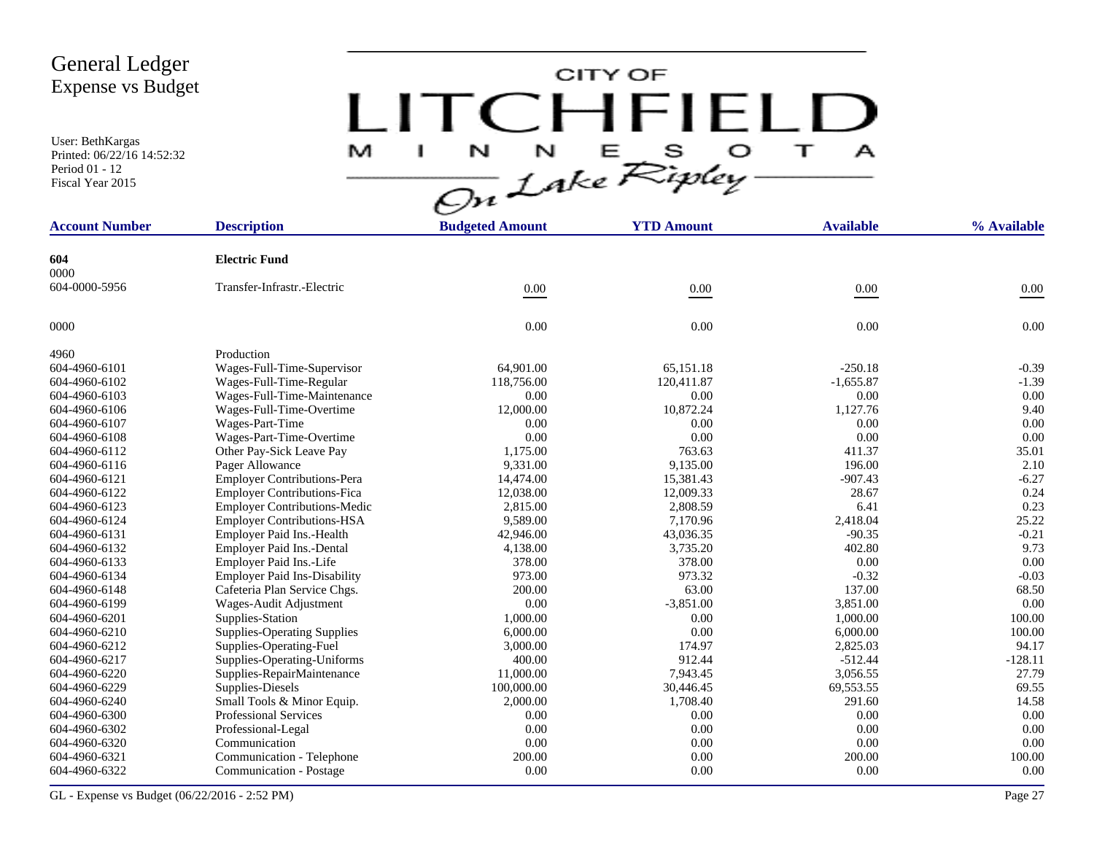User: BethKargas Printed: 06/22/16 14:52:32 Period 01 - 12 Fiscal Year 2015

# CITY OF LITCHFIELD  $M$  I N N E S O T A<br>On Lake Ripley

| <b>Account Number</b> | <b>Description</b>                  | <b>Budgeted Amount</b> | <b>YTD Amount</b> | <b>Available</b> | % Available |
|-----------------------|-------------------------------------|------------------------|-------------------|------------------|-------------|
|                       |                                     |                        |                   |                  |             |
| 604<br>0000           | <b>Electric Fund</b>                |                        |                   |                  |             |
| 604-0000-5956         | Transfer-Infrastr.-Electric         |                        |                   |                  |             |
|                       |                                     | 0.00                   | 0.00              | $0.00\,$         | $0.00\,$    |
| 0000                  |                                     | 0.00                   | 0.00              | 0.00             | 0.00        |
| 4960                  | Production                          |                        |                   |                  |             |
| 604-4960-6101         | Wages-Full-Time-Supervisor          | 64,901.00              | 65,151.18         | $-250.18$        | $-0.39$     |
| 604-4960-6102         | Wages-Full-Time-Regular             | 118,756.00             | 120,411.87        | $-1,655.87$      | $-1.39$     |
| 604-4960-6103         | Wages-Full-Time-Maintenance         | 0.00                   | 0.00              | 0.00             | 0.00        |
| 604-4960-6106         | Wages-Full-Time-Overtime            | 12,000.00              | 10,872.24         | 1,127.76         | 9.40        |
| 604-4960-6107         | Wages-Part-Time                     | 0.00                   | 0.00              | 0.00             | 0.00        |
| 604-4960-6108         | Wages-Part-Time-Overtime            | 0.00                   | 0.00              | $0.00\,$         | 0.00        |
| 604-4960-6112         | Other Pay-Sick Leave Pay            | 1,175.00               | 763.63            | 411.37           | 35.01       |
| 604-4960-6116         | Pager Allowance                     | 9,331.00               | 9,135.00          | 196.00           | 2.10        |
| 604-4960-6121         | <b>Employer Contributions-Pera</b>  | 14,474.00              | 15,381.43         | $-907.43$        | $-6.27$     |
| 604-4960-6122         | <b>Employer Contributions-Fica</b>  | 12,038.00              | 12,009.33         | 28.67            | 0.24        |
| 604-4960-6123         | <b>Employer Contributions-Medic</b> | 2,815.00               | 2,808.59          | 6.41             | 0.23        |
| 604-4960-6124         | <b>Employer Contributions-HSA</b>   | 9,589.00               | 7,170.96          | 2,418.04         | 25.22       |
| 604-4960-6131         | Employer Paid Ins.-Health           | 42,946.00              | 43,036.35         | $-90.35$         | $-0.21$     |
| 604-4960-6132         | Employer Paid Ins.-Dental           | 4,138.00               | 3,735.20          | 402.80           | 9.73        |
| 604-4960-6133         | Employer Paid Ins.-Life             | 378.00                 | 378.00            | 0.00             | 0.00        |
| 604-4960-6134         | <b>Employer Paid Ins-Disability</b> | 973.00                 | 973.32            | $-0.32$          | $-0.03$     |
| 604-4960-6148         | Cafeteria Plan Service Chgs.        | 200.00                 | 63.00             | 137.00           | 68.50       |
| 604-4960-6199         | Wages-Audit Adjustment              | $0.00\,$               | $-3,851.00$       | 3,851.00         | 0.00        |
| 604-4960-6201         | Supplies-Station                    | 1,000.00               | 0.00              | 1.000.00         | 100.00      |
| 604-4960-6210         | <b>Supplies-Operating Supplies</b>  | 6,000.00               | 0.00              | 6,000.00         | 100.00      |
| 604-4960-6212         | Supplies-Operating-Fuel             | 3,000.00               | 174.97            | 2,825.03         | 94.17       |
| 604-4960-6217         | Supplies-Operating-Uniforms         | 400.00                 | 912.44            | $-512.44$        | $-128.11$   |
| 604-4960-6220         | Supplies-RepairMaintenance          | 11,000.00              | 7,943.45          | 3,056.55         | 27.79       |
| 604-4960-6229         | Supplies-Diesels                    | 100,000.00             | 30,446.45         | 69,553.55        | 69.55       |
| 604-4960-6240         | Small Tools & Minor Equip.          | 2,000.00               | 1,708.40          | 291.60           | 14.58       |
| 604-4960-6300         | <b>Professional Services</b>        | 0.00                   | 0.00              | 0.00             | 0.00        |
| 604-4960-6302         | Professional-Legal                  | 0.00                   | 0.00              | 0.00             | 0.00        |
| 604-4960-6320         | Communication                       | 0.00                   | 0.00              | 0.00             | 0.00        |
| 604-4960-6321         | Communication - Telephone           | 200.00                 | 0.00              | 200.00           | 100.00      |
| 604-4960-6322         | Communication - Postage             | 0.00                   | 0.00              | 0.00             | 0.00        |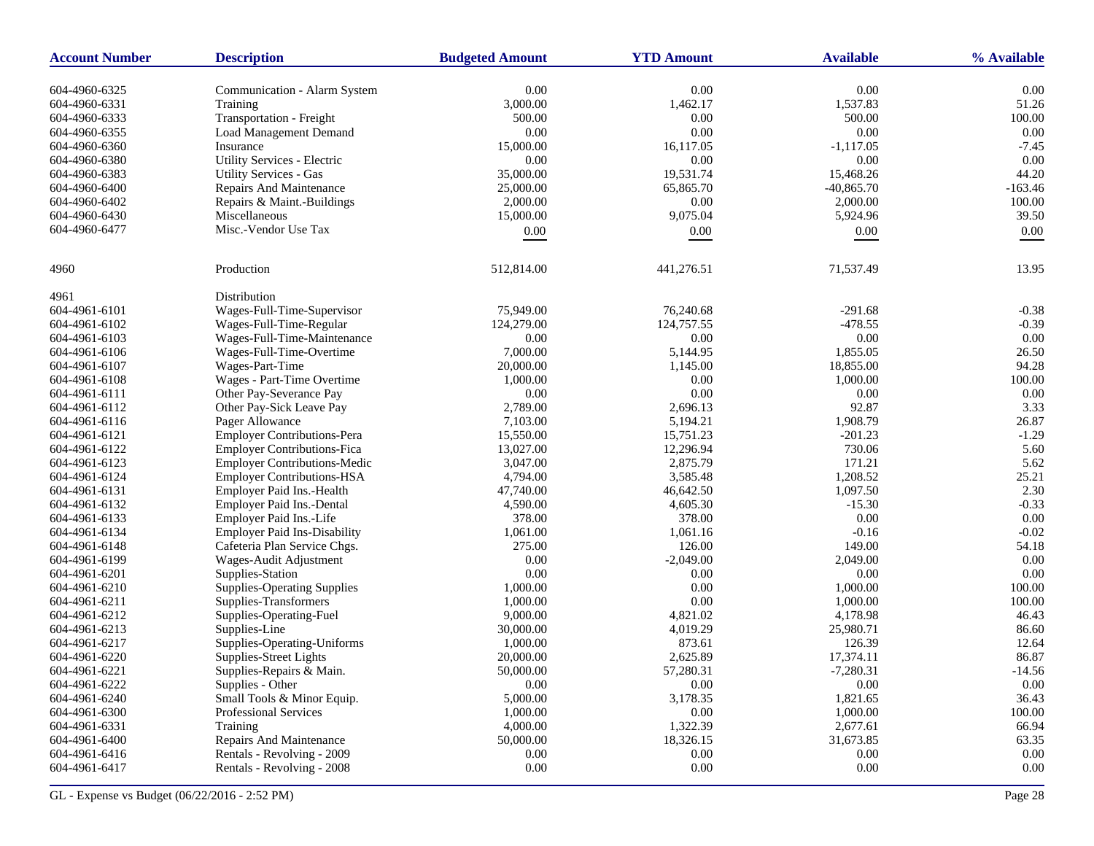| <b>Account Number</b> | <b>Description</b>                  | <b>Budgeted Amount</b> | <b>YTD Amount</b> | <b>Available</b> | % Available |
|-----------------------|-------------------------------------|------------------------|-------------------|------------------|-------------|
| 604-4960-6325         | Communication - Alarm System        | 0.00                   | 0.00              | 0.00             | 0.00        |
| 604-4960-6331         | Training                            | 3,000.00               | 1,462.17          | 1,537.83         | 51.26       |
| 604-4960-6333         | Transportation - Freight            | 500.00                 | 0.00              | 500.00           | 100.00      |
| 604-4960-6355         | <b>Load Management Demand</b>       | 0.00                   | 0.00              | 0.00             | 0.00        |
| 604-4960-6360         | Insurance                           | 15,000.00              | 16,117.05         | $-1,117.05$      | $-7.45$     |
| 604-4960-6380         | Utility Services - Electric         | 0.00                   | $0.00\,$          | 0.00             | 0.00        |
| 604-4960-6383         | <b>Utility Services - Gas</b>       | 35,000.00              | 19,531.74         | 15,468.26        | 44.20       |
| 604-4960-6400         | Repairs And Maintenance             | 25,000.00              | 65,865.70         | $-40,865.70$     | $-163.46$   |
| 604-4960-6402         | Repairs & Maint.-Buildings          | 2,000.00               | $0.00\,$          | 2,000.00         | 100.00      |
| 604-4960-6430         | Miscellaneous                       | 15,000.00              | 9,075.04          | 5,924.96         | 39.50       |
| 604-4960-6477         | Misc.-Vendor Use Tax                |                        | $0.00\,$          |                  | 0.00        |
|                       |                                     | 0.00                   |                   | 0.00             |             |
| 4960                  | Production                          | 512,814.00             | 441,276.51        | 71,537.49        | 13.95       |
| 4961                  | Distribution                        |                        |                   |                  |             |
| 604-4961-6101         | Wages-Full-Time-Supervisor          | 75,949.00              | 76,240.68         | $-291.68$        | $-0.38$     |
| 604-4961-6102         | Wages-Full-Time-Regular             | 124,279.00             | 124,757.55        | $-478.55$        | $-0.39$     |
| 604-4961-6103         | Wages-Full-Time-Maintenance         | 0.00                   | $0.00\,$          | 0.00             | 0.00        |
| 604-4961-6106         | Wages-Full-Time-Overtime            | 7,000.00               | 5,144.95          | 1,855.05         | 26.50       |
| 604-4961-6107         | Wages-Part-Time                     | 20,000.00              | 1,145.00          | 18,855.00        | 94.28       |
| 604-4961-6108         | Wages - Part-Time Overtime          | 1,000.00               | 0.00              | 1,000.00         | 100.00      |
| 604-4961-6111         | Other Pay-Severance Pay             | 0.00                   | $0.00\,$          | 0.00             | 0.00        |
| 604-4961-6112         | Other Pay-Sick Leave Pay            | 2,789.00               | 2,696.13          | 92.87            | 3.33        |
| 604-4961-6116         | Pager Allowance                     | 7,103.00               | 5,194.21          | 1,908.79         | 26.87       |
| 604-4961-6121         | <b>Employer Contributions-Pera</b>  | 15,550.00              | 15,751.23         | $-201.23$        | $-1.29$     |
| 604-4961-6122         | <b>Employer Contributions-Fica</b>  | 13,027.00              | 12,296.94         | 730.06           | 5.60        |
| 604-4961-6123         | <b>Employer Contributions-Medic</b> | 3,047.00               | 2,875.79          | 171.21           | 5.62        |
| 604-4961-6124         | <b>Employer Contributions-HSA</b>   | 4,794.00               | 3,585.48          | 1,208.52         | 25.21       |
| 604-4961-6131         | Employer Paid Ins.-Health           | 47,740.00              | 46,642.50         | 1,097.50         | 2.30        |
| 604-4961-6132         | Employer Paid Ins.-Dental           | 4,590.00               | 4,605.30          | $-15.30$         | $-0.33$     |
| 604-4961-6133         | Employer Paid Ins.-Life             | 378.00                 | 378.00            | 0.00             | 0.00        |
| 604-4961-6134         | <b>Employer Paid Ins-Disability</b> | 1,061.00               | 1,061.16          | $-0.16$          | $-0.02$     |
| 604-4961-6148         | Cafeteria Plan Service Chgs.        | 275.00                 | 126.00            | 149.00           | 54.18       |
| 604-4961-6199         | Wages-Audit Adjustment              | 0.00                   | $-2,049.00$       | 2,049.00         | 0.00        |
| 604-4961-6201         | Supplies-Station                    | 0.00                   | 0.00              | 0.00             | 0.00        |
| 604-4961-6210         | <b>Supplies-Operating Supplies</b>  | 1,000.00               | 0.00              | 1,000.00         | 100.00      |
| 604-4961-6211         | Supplies-Transformers               | 1,000.00               | $0.00\,$          | 1,000.00         | 100.00      |
| 604-4961-6212         | Supplies-Operating-Fuel             | 9,000.00               | 4,821.02          | 4,178.98         | 46.43       |
| 604-4961-6213         | Supplies-Line                       | 30,000.00              | 4,019.29          | 25,980.71        | 86.60       |
| 604-4961-6217         | Supplies-Operating-Uniforms         | 1,000.00               | 873.61            | 126.39           | 12.64       |
| 604-4961-6220         | Supplies-Street Lights              | 20,000.00              | 2,625.89          | 17,374.11        | 86.87       |
| 604-4961-6221         | Supplies-Repairs & Main.            | 50,000.00              | 57,280.31         | $-7,280.31$      | $-14.56$    |
| 604-4961-6222         | Supplies - Other                    | 0.00                   | 0.00              | 0.00             | $0.00\,$    |
| 604-4961-6240         | Small Tools & Minor Equip.          | 5,000.00               | 3,178.35          | 1,821.65         | 36.43       |
| 604-4961-6300         | Professional Services               | 1,000.00               | 0.00              | 1,000.00         | 100.00      |
| 604-4961-6331         | Training                            | 4,000.00               | 1,322.39          | 2,677.61         | 66.94       |
| 604-4961-6400         | Repairs And Maintenance             | 50,000.00              | 18,326.15         | 31,673.85        | 63.35       |
| 604-4961-6416         | Rentals - Revolving - 2009          | 0.00                   | 0.00              | $0.00\,$         | $0.00\,$    |
| 604-4961-6417         | Rentals - Revolving - 2008          | 0.00                   | $0.00\,$          | $0.00\,$         | $0.00\,$    |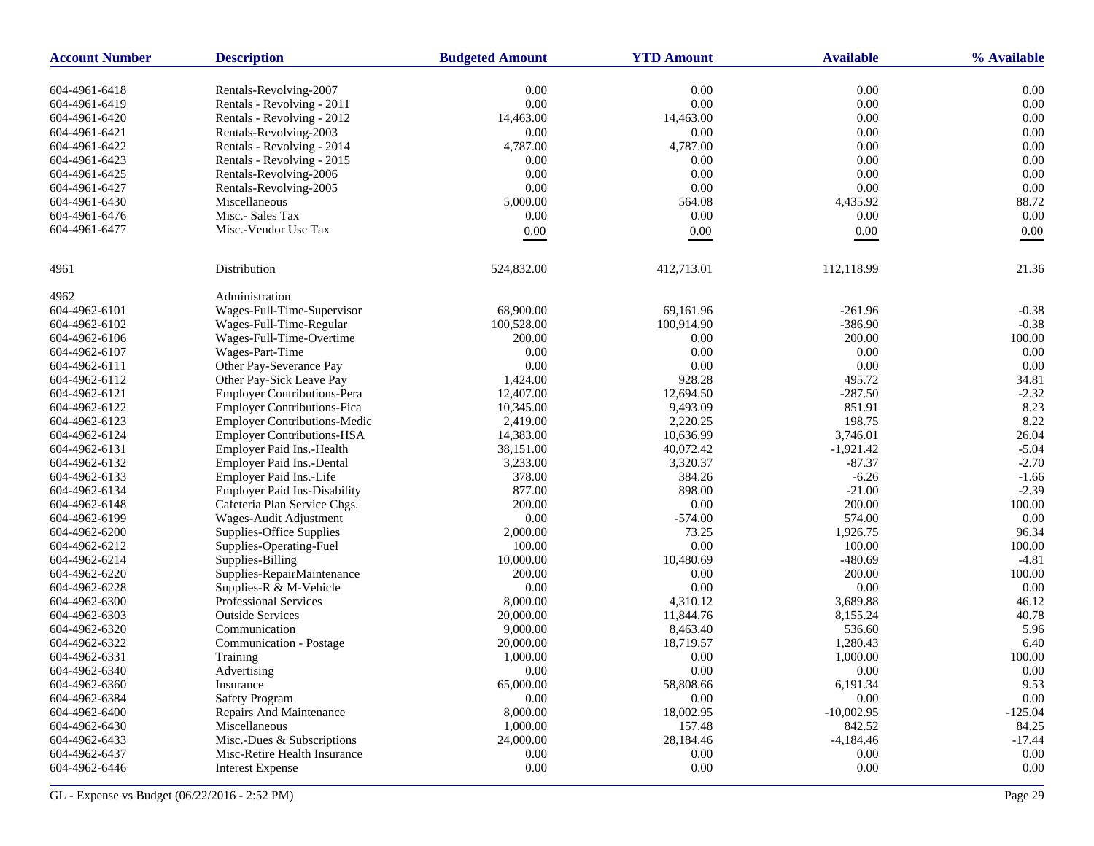| 0.00<br>0.00<br>0.00<br>0.00<br>604-4961-6418<br>Rentals-Revolving-2007<br>0.00<br>$0.00\,$<br>$0.00\,$<br>0.00<br>604-4961-6419<br>Rentals - Revolving - 2011<br>0.00<br>Rentals - Revolving - 2012<br>14,463.00<br>14,463.00<br>0.00<br>604-4961-6420<br>0.00<br>0.00<br>0.00<br>0.00<br>604-4961-6421<br>Rentals-Revolving-2003<br>0.00<br>604-4961-6422<br>Rentals - Revolving - 2014<br>4,787.00<br>4,787.00<br>0.00<br>0.00<br>604-4961-6423<br>Rentals - Revolving - 2015<br>0.00<br>0.00<br>0.00<br>0.00<br>0.00<br>0.00<br>0.00<br>604-4961-6425<br>Rentals-Revolving-2006<br>0.00<br>0.00<br>0.00<br>604-4961-6427<br>0.00<br>Rentals-Revolving-2005<br>88.72<br>604-4961-6430<br>Miscellaneous<br>5,000.00<br>564.08<br>4,435.92<br>Misc.- Sales Tax<br>0.00<br>0.00<br>0.00<br>0.00<br>604-4961-6476<br>604-4961-6477<br>Misc.-Vendor Use Tax<br>$0.00\,$<br>$0.00\,$<br>$0.00\,$<br>0.00<br>Distribution<br>524,832.00<br>412,713.01<br>112,118.99<br>21.36<br>Administration<br>4962<br>Wages-Full-Time-Supervisor<br>68,900.00<br>69,161.96<br>$-261.96$<br>$-0.38$<br>$-386.90$<br>$-0.38$<br>Wages-Full-Time-Regular<br>100,528.00<br>100,914.90<br>100.00<br>Wages-Full-Time-Overtime<br>200.00<br>0.00<br>200.00<br>604-4962-6106<br>0.00<br>Wages-Part-Time<br>0.00<br>0.00<br>0.00<br>0.00<br>Other Pay-Severance Pay<br>0.00<br>0.00<br>0.00<br>928.28<br>Other Pay-Sick Leave Pay<br>1,424.00<br>495.72<br>34.81<br>$-2.32$<br><b>Employer Contributions-Pera</b><br>12,407.00<br>12,694.50<br>$-287.50$<br>8.23<br><b>Employer Contributions-Fica</b><br>10,345.00<br>9,493.09<br>851.91<br>2,220.25<br>198.75<br>8.22<br><b>Employer Contributions-Medic</b><br>2,419.00<br>10,636.99<br><b>Employer Contributions-HSA</b><br>14,383.00<br>3.746.01<br>26.04<br>40,072.42<br>$-1,921.42$<br>$-5.04$<br>Employer Paid Ins.-Health<br>38,151.00<br>3,320.37<br>$-87.37$<br>$-2.70$<br>Employer Paid Ins.-Dental<br>3,233.00<br>604-4962-6132<br>384.26<br>$-6.26$<br>378.00<br>$-1.66$<br>Employer Paid Ins.-Life<br>877.00<br>898.00<br>$-21.00$<br>$-2.39$<br><b>Employer Paid Ins-Disability</b><br>604-4962-6134<br>$0.00\,$<br>100.00<br>Cafeteria Plan Service Chgs.<br>200.00<br>200.00<br>0.00<br>0.00<br>604-4962-6199<br>Wages-Audit Adjustment<br>$-574.00$<br>574.00<br>73.25<br>96.34<br>Supplies-Office Supplies<br>2,000.00<br>1,926.75<br>604-4962-6200<br>$0.00\,$<br>100.00<br>Supplies-Operating-Fuel<br>100.00<br>100.00<br>604-4962-6212<br>604-4962-6214<br>Supplies-Billing<br>10,000.00<br>10,480.69<br>$-480.69$<br>$-4.81$<br>200.00<br>100.00<br>Supplies-RepairMaintenance<br>200.00<br>0.00<br>604-4962-6220<br>0.00<br>Supplies-R & M-Vehicle<br>0.00<br>0.00<br>0.00<br>604-4962-6228<br>604-4962-6300<br>Professional Services<br>8,000.00<br>4,310.12<br>3,689.88<br>46.12<br>40.78<br><b>Outside Services</b><br>20,000.00<br>11,844.76<br>8,155.24<br>604-4962-6303<br>5.96<br>Communication<br>8,463.40<br>536.60<br>604-4962-6320<br>9,000.00<br>604-4962-6322<br>Communication - Postage<br>20,000.00<br>18,719.57<br>1,280.43<br>6.40<br>100.00<br>604-4962-6331<br>1,000.00<br>0.00<br>1,000.00<br>Training<br>604-4962-6340<br>Advertising<br>0.00<br>$0.00^{\circ}$<br>0.00<br>$0.00^{\circ}$<br>58,808.66<br>604-4962-6360<br>65,000.00<br>6,191.34<br>9.53<br>Insurance<br>$0.00\,$<br>604-4962-6384<br><b>Safety Program</b><br>0.00<br>0.00<br>0.00<br>604-4962-6400<br>Repairs And Maintenance<br>8,000.00<br>18,002.95<br>$-10,002.95$<br>$-125.04$<br>1,000.00<br>157.48<br>842.52<br>84.25<br>604-4962-6430<br>Miscellaneous<br>24,000.00<br>$-17.44$<br>604-4962-6433<br>Misc.-Dues & Subscriptions<br>28,184.46<br>$-4,184.46$<br>$0.00\,$<br>604-4962-6437<br>Misc-Retire Health Insurance<br>0.00<br>0.00<br>$0.00\,$<br>604-4962-6446<br>0.00<br>$0.00\,$<br>$0.00\,$<br>0.00<br><b>Interest Expense</b> | <b>Account Number</b> | <b>Description</b> | <b>Budgeted Amount</b> | <b>YTD Amount</b> | <b>Available</b> | % Available |
|----------------------------------------------------------------------------------------------------------------------------------------------------------------------------------------------------------------------------------------------------------------------------------------------------------------------------------------------------------------------------------------------------------------------------------------------------------------------------------------------------------------------------------------------------------------------------------------------------------------------------------------------------------------------------------------------------------------------------------------------------------------------------------------------------------------------------------------------------------------------------------------------------------------------------------------------------------------------------------------------------------------------------------------------------------------------------------------------------------------------------------------------------------------------------------------------------------------------------------------------------------------------------------------------------------------------------------------------------------------------------------------------------------------------------------------------------------------------------------------------------------------------------------------------------------------------------------------------------------------------------------------------------------------------------------------------------------------------------------------------------------------------------------------------------------------------------------------------------------------------------------------------------------------------------------------------------------------------------------------------------------------------------------------------------------------------------------------------------------------------------------------------------------------------------------------------------------------------------------------------------------------------------------------------------------------------------------------------------------------------------------------------------------------------------------------------------------------------------------------------------------------------------------------------------------------------------------------------------------------------------------------------------------------------------------------------------------------------------------------------------------------------------------------------------------------------------------------------------------------------------------------------------------------------------------------------------------------------------------------------------------------------------------------------------------------------------------------------------------------------------------------------------------------------------------------------------------------------------------------------------------------------------------------------------------------------------------------------------------------------------------------------------------------------------------------------------------------------------------------------------------------------------------------------------------------------------------------------------------------------------------------------------------------------------------------------------------------------------------------------------------------------------------------------------------------------------------------------------------------------------------------|-----------------------|--------------------|------------------------|-------------------|------------------|-------------|
|                                                                                                                                                                                                                                                                                                                                                                                                                                                                                                                                                                                                                                                                                                                                                                                                                                                                                                                                                                                                                                                                                                                                                                                                                                                                                                                                                                                                                                                                                                                                                                                                                                                                                                                                                                                                                                                                                                                                                                                                                                                                                                                                                                                                                                                                                                                                                                                                                                                                                                                                                                                                                                                                                                                                                                                                                                                                                                                                                                                                                                                                                                                                                                                                                                                                                                                                                                                                                                                                                                                                                                                                                                                                                                                                                                                                                                                                                        |                       |                    |                        |                   |                  |             |
|                                                                                                                                                                                                                                                                                                                                                                                                                                                                                                                                                                                                                                                                                                                                                                                                                                                                                                                                                                                                                                                                                                                                                                                                                                                                                                                                                                                                                                                                                                                                                                                                                                                                                                                                                                                                                                                                                                                                                                                                                                                                                                                                                                                                                                                                                                                                                                                                                                                                                                                                                                                                                                                                                                                                                                                                                                                                                                                                                                                                                                                                                                                                                                                                                                                                                                                                                                                                                                                                                                                                                                                                                                                                                                                                                                                                                                                                                        |                       |                    |                        |                   |                  |             |
|                                                                                                                                                                                                                                                                                                                                                                                                                                                                                                                                                                                                                                                                                                                                                                                                                                                                                                                                                                                                                                                                                                                                                                                                                                                                                                                                                                                                                                                                                                                                                                                                                                                                                                                                                                                                                                                                                                                                                                                                                                                                                                                                                                                                                                                                                                                                                                                                                                                                                                                                                                                                                                                                                                                                                                                                                                                                                                                                                                                                                                                                                                                                                                                                                                                                                                                                                                                                                                                                                                                                                                                                                                                                                                                                                                                                                                                                                        |                       |                    |                        |                   |                  |             |
|                                                                                                                                                                                                                                                                                                                                                                                                                                                                                                                                                                                                                                                                                                                                                                                                                                                                                                                                                                                                                                                                                                                                                                                                                                                                                                                                                                                                                                                                                                                                                                                                                                                                                                                                                                                                                                                                                                                                                                                                                                                                                                                                                                                                                                                                                                                                                                                                                                                                                                                                                                                                                                                                                                                                                                                                                                                                                                                                                                                                                                                                                                                                                                                                                                                                                                                                                                                                                                                                                                                                                                                                                                                                                                                                                                                                                                                                                        |                       |                    |                        |                   |                  |             |
|                                                                                                                                                                                                                                                                                                                                                                                                                                                                                                                                                                                                                                                                                                                                                                                                                                                                                                                                                                                                                                                                                                                                                                                                                                                                                                                                                                                                                                                                                                                                                                                                                                                                                                                                                                                                                                                                                                                                                                                                                                                                                                                                                                                                                                                                                                                                                                                                                                                                                                                                                                                                                                                                                                                                                                                                                                                                                                                                                                                                                                                                                                                                                                                                                                                                                                                                                                                                                                                                                                                                                                                                                                                                                                                                                                                                                                                                                        |                       |                    |                        |                   |                  |             |
|                                                                                                                                                                                                                                                                                                                                                                                                                                                                                                                                                                                                                                                                                                                                                                                                                                                                                                                                                                                                                                                                                                                                                                                                                                                                                                                                                                                                                                                                                                                                                                                                                                                                                                                                                                                                                                                                                                                                                                                                                                                                                                                                                                                                                                                                                                                                                                                                                                                                                                                                                                                                                                                                                                                                                                                                                                                                                                                                                                                                                                                                                                                                                                                                                                                                                                                                                                                                                                                                                                                                                                                                                                                                                                                                                                                                                                                                                        |                       |                    |                        |                   |                  |             |
|                                                                                                                                                                                                                                                                                                                                                                                                                                                                                                                                                                                                                                                                                                                                                                                                                                                                                                                                                                                                                                                                                                                                                                                                                                                                                                                                                                                                                                                                                                                                                                                                                                                                                                                                                                                                                                                                                                                                                                                                                                                                                                                                                                                                                                                                                                                                                                                                                                                                                                                                                                                                                                                                                                                                                                                                                                                                                                                                                                                                                                                                                                                                                                                                                                                                                                                                                                                                                                                                                                                                                                                                                                                                                                                                                                                                                                                                                        |                       |                    |                        |                   |                  |             |
|                                                                                                                                                                                                                                                                                                                                                                                                                                                                                                                                                                                                                                                                                                                                                                                                                                                                                                                                                                                                                                                                                                                                                                                                                                                                                                                                                                                                                                                                                                                                                                                                                                                                                                                                                                                                                                                                                                                                                                                                                                                                                                                                                                                                                                                                                                                                                                                                                                                                                                                                                                                                                                                                                                                                                                                                                                                                                                                                                                                                                                                                                                                                                                                                                                                                                                                                                                                                                                                                                                                                                                                                                                                                                                                                                                                                                                                                                        |                       |                    |                        |                   |                  |             |
|                                                                                                                                                                                                                                                                                                                                                                                                                                                                                                                                                                                                                                                                                                                                                                                                                                                                                                                                                                                                                                                                                                                                                                                                                                                                                                                                                                                                                                                                                                                                                                                                                                                                                                                                                                                                                                                                                                                                                                                                                                                                                                                                                                                                                                                                                                                                                                                                                                                                                                                                                                                                                                                                                                                                                                                                                                                                                                                                                                                                                                                                                                                                                                                                                                                                                                                                                                                                                                                                                                                                                                                                                                                                                                                                                                                                                                                                                        |                       |                    |                        |                   |                  |             |
|                                                                                                                                                                                                                                                                                                                                                                                                                                                                                                                                                                                                                                                                                                                                                                                                                                                                                                                                                                                                                                                                                                                                                                                                                                                                                                                                                                                                                                                                                                                                                                                                                                                                                                                                                                                                                                                                                                                                                                                                                                                                                                                                                                                                                                                                                                                                                                                                                                                                                                                                                                                                                                                                                                                                                                                                                                                                                                                                                                                                                                                                                                                                                                                                                                                                                                                                                                                                                                                                                                                                                                                                                                                                                                                                                                                                                                                                                        |                       |                    |                        |                   |                  |             |
|                                                                                                                                                                                                                                                                                                                                                                                                                                                                                                                                                                                                                                                                                                                                                                                                                                                                                                                                                                                                                                                                                                                                                                                                                                                                                                                                                                                                                                                                                                                                                                                                                                                                                                                                                                                                                                                                                                                                                                                                                                                                                                                                                                                                                                                                                                                                                                                                                                                                                                                                                                                                                                                                                                                                                                                                                                                                                                                                                                                                                                                                                                                                                                                                                                                                                                                                                                                                                                                                                                                                                                                                                                                                                                                                                                                                                                                                                        |                       |                    |                        |                   |                  |             |
|                                                                                                                                                                                                                                                                                                                                                                                                                                                                                                                                                                                                                                                                                                                                                                                                                                                                                                                                                                                                                                                                                                                                                                                                                                                                                                                                                                                                                                                                                                                                                                                                                                                                                                                                                                                                                                                                                                                                                                                                                                                                                                                                                                                                                                                                                                                                                                                                                                                                                                                                                                                                                                                                                                                                                                                                                                                                                                                                                                                                                                                                                                                                                                                                                                                                                                                                                                                                                                                                                                                                                                                                                                                                                                                                                                                                                                                                                        |                       |                    |                        |                   |                  |             |
|                                                                                                                                                                                                                                                                                                                                                                                                                                                                                                                                                                                                                                                                                                                                                                                                                                                                                                                                                                                                                                                                                                                                                                                                                                                                                                                                                                                                                                                                                                                                                                                                                                                                                                                                                                                                                                                                                                                                                                                                                                                                                                                                                                                                                                                                                                                                                                                                                                                                                                                                                                                                                                                                                                                                                                                                                                                                                                                                                                                                                                                                                                                                                                                                                                                                                                                                                                                                                                                                                                                                                                                                                                                                                                                                                                                                                                                                                        | 4961                  |                    |                        |                   |                  |             |
|                                                                                                                                                                                                                                                                                                                                                                                                                                                                                                                                                                                                                                                                                                                                                                                                                                                                                                                                                                                                                                                                                                                                                                                                                                                                                                                                                                                                                                                                                                                                                                                                                                                                                                                                                                                                                                                                                                                                                                                                                                                                                                                                                                                                                                                                                                                                                                                                                                                                                                                                                                                                                                                                                                                                                                                                                                                                                                                                                                                                                                                                                                                                                                                                                                                                                                                                                                                                                                                                                                                                                                                                                                                                                                                                                                                                                                                                                        |                       |                    |                        |                   |                  |             |
|                                                                                                                                                                                                                                                                                                                                                                                                                                                                                                                                                                                                                                                                                                                                                                                                                                                                                                                                                                                                                                                                                                                                                                                                                                                                                                                                                                                                                                                                                                                                                                                                                                                                                                                                                                                                                                                                                                                                                                                                                                                                                                                                                                                                                                                                                                                                                                                                                                                                                                                                                                                                                                                                                                                                                                                                                                                                                                                                                                                                                                                                                                                                                                                                                                                                                                                                                                                                                                                                                                                                                                                                                                                                                                                                                                                                                                                                                        | 604-4962-6101         |                    |                        |                   |                  |             |
|                                                                                                                                                                                                                                                                                                                                                                                                                                                                                                                                                                                                                                                                                                                                                                                                                                                                                                                                                                                                                                                                                                                                                                                                                                                                                                                                                                                                                                                                                                                                                                                                                                                                                                                                                                                                                                                                                                                                                                                                                                                                                                                                                                                                                                                                                                                                                                                                                                                                                                                                                                                                                                                                                                                                                                                                                                                                                                                                                                                                                                                                                                                                                                                                                                                                                                                                                                                                                                                                                                                                                                                                                                                                                                                                                                                                                                                                                        | 604-4962-6102         |                    |                        |                   |                  |             |
|                                                                                                                                                                                                                                                                                                                                                                                                                                                                                                                                                                                                                                                                                                                                                                                                                                                                                                                                                                                                                                                                                                                                                                                                                                                                                                                                                                                                                                                                                                                                                                                                                                                                                                                                                                                                                                                                                                                                                                                                                                                                                                                                                                                                                                                                                                                                                                                                                                                                                                                                                                                                                                                                                                                                                                                                                                                                                                                                                                                                                                                                                                                                                                                                                                                                                                                                                                                                                                                                                                                                                                                                                                                                                                                                                                                                                                                                                        |                       |                    |                        |                   |                  |             |
|                                                                                                                                                                                                                                                                                                                                                                                                                                                                                                                                                                                                                                                                                                                                                                                                                                                                                                                                                                                                                                                                                                                                                                                                                                                                                                                                                                                                                                                                                                                                                                                                                                                                                                                                                                                                                                                                                                                                                                                                                                                                                                                                                                                                                                                                                                                                                                                                                                                                                                                                                                                                                                                                                                                                                                                                                                                                                                                                                                                                                                                                                                                                                                                                                                                                                                                                                                                                                                                                                                                                                                                                                                                                                                                                                                                                                                                                                        | 604-4962-6107         |                    |                        |                   |                  |             |
|                                                                                                                                                                                                                                                                                                                                                                                                                                                                                                                                                                                                                                                                                                                                                                                                                                                                                                                                                                                                                                                                                                                                                                                                                                                                                                                                                                                                                                                                                                                                                                                                                                                                                                                                                                                                                                                                                                                                                                                                                                                                                                                                                                                                                                                                                                                                                                                                                                                                                                                                                                                                                                                                                                                                                                                                                                                                                                                                                                                                                                                                                                                                                                                                                                                                                                                                                                                                                                                                                                                                                                                                                                                                                                                                                                                                                                                                                        | 604-4962-6111         |                    |                        |                   |                  |             |
|                                                                                                                                                                                                                                                                                                                                                                                                                                                                                                                                                                                                                                                                                                                                                                                                                                                                                                                                                                                                                                                                                                                                                                                                                                                                                                                                                                                                                                                                                                                                                                                                                                                                                                                                                                                                                                                                                                                                                                                                                                                                                                                                                                                                                                                                                                                                                                                                                                                                                                                                                                                                                                                                                                                                                                                                                                                                                                                                                                                                                                                                                                                                                                                                                                                                                                                                                                                                                                                                                                                                                                                                                                                                                                                                                                                                                                                                                        | 604-4962-6112         |                    |                        |                   |                  |             |
|                                                                                                                                                                                                                                                                                                                                                                                                                                                                                                                                                                                                                                                                                                                                                                                                                                                                                                                                                                                                                                                                                                                                                                                                                                                                                                                                                                                                                                                                                                                                                                                                                                                                                                                                                                                                                                                                                                                                                                                                                                                                                                                                                                                                                                                                                                                                                                                                                                                                                                                                                                                                                                                                                                                                                                                                                                                                                                                                                                                                                                                                                                                                                                                                                                                                                                                                                                                                                                                                                                                                                                                                                                                                                                                                                                                                                                                                                        | 604-4962-6121         |                    |                        |                   |                  |             |
|                                                                                                                                                                                                                                                                                                                                                                                                                                                                                                                                                                                                                                                                                                                                                                                                                                                                                                                                                                                                                                                                                                                                                                                                                                                                                                                                                                                                                                                                                                                                                                                                                                                                                                                                                                                                                                                                                                                                                                                                                                                                                                                                                                                                                                                                                                                                                                                                                                                                                                                                                                                                                                                                                                                                                                                                                                                                                                                                                                                                                                                                                                                                                                                                                                                                                                                                                                                                                                                                                                                                                                                                                                                                                                                                                                                                                                                                                        | 604-4962-6122         |                    |                        |                   |                  |             |
|                                                                                                                                                                                                                                                                                                                                                                                                                                                                                                                                                                                                                                                                                                                                                                                                                                                                                                                                                                                                                                                                                                                                                                                                                                                                                                                                                                                                                                                                                                                                                                                                                                                                                                                                                                                                                                                                                                                                                                                                                                                                                                                                                                                                                                                                                                                                                                                                                                                                                                                                                                                                                                                                                                                                                                                                                                                                                                                                                                                                                                                                                                                                                                                                                                                                                                                                                                                                                                                                                                                                                                                                                                                                                                                                                                                                                                                                                        | 604-4962-6123         |                    |                        |                   |                  |             |
|                                                                                                                                                                                                                                                                                                                                                                                                                                                                                                                                                                                                                                                                                                                                                                                                                                                                                                                                                                                                                                                                                                                                                                                                                                                                                                                                                                                                                                                                                                                                                                                                                                                                                                                                                                                                                                                                                                                                                                                                                                                                                                                                                                                                                                                                                                                                                                                                                                                                                                                                                                                                                                                                                                                                                                                                                                                                                                                                                                                                                                                                                                                                                                                                                                                                                                                                                                                                                                                                                                                                                                                                                                                                                                                                                                                                                                                                                        | 604-4962-6124         |                    |                        |                   |                  |             |
|                                                                                                                                                                                                                                                                                                                                                                                                                                                                                                                                                                                                                                                                                                                                                                                                                                                                                                                                                                                                                                                                                                                                                                                                                                                                                                                                                                                                                                                                                                                                                                                                                                                                                                                                                                                                                                                                                                                                                                                                                                                                                                                                                                                                                                                                                                                                                                                                                                                                                                                                                                                                                                                                                                                                                                                                                                                                                                                                                                                                                                                                                                                                                                                                                                                                                                                                                                                                                                                                                                                                                                                                                                                                                                                                                                                                                                                                                        | 604-4962-6131         |                    |                        |                   |                  |             |
|                                                                                                                                                                                                                                                                                                                                                                                                                                                                                                                                                                                                                                                                                                                                                                                                                                                                                                                                                                                                                                                                                                                                                                                                                                                                                                                                                                                                                                                                                                                                                                                                                                                                                                                                                                                                                                                                                                                                                                                                                                                                                                                                                                                                                                                                                                                                                                                                                                                                                                                                                                                                                                                                                                                                                                                                                                                                                                                                                                                                                                                                                                                                                                                                                                                                                                                                                                                                                                                                                                                                                                                                                                                                                                                                                                                                                                                                                        |                       |                    |                        |                   |                  |             |
|                                                                                                                                                                                                                                                                                                                                                                                                                                                                                                                                                                                                                                                                                                                                                                                                                                                                                                                                                                                                                                                                                                                                                                                                                                                                                                                                                                                                                                                                                                                                                                                                                                                                                                                                                                                                                                                                                                                                                                                                                                                                                                                                                                                                                                                                                                                                                                                                                                                                                                                                                                                                                                                                                                                                                                                                                                                                                                                                                                                                                                                                                                                                                                                                                                                                                                                                                                                                                                                                                                                                                                                                                                                                                                                                                                                                                                                                                        | 604-4962-6133         |                    |                        |                   |                  |             |
|                                                                                                                                                                                                                                                                                                                                                                                                                                                                                                                                                                                                                                                                                                                                                                                                                                                                                                                                                                                                                                                                                                                                                                                                                                                                                                                                                                                                                                                                                                                                                                                                                                                                                                                                                                                                                                                                                                                                                                                                                                                                                                                                                                                                                                                                                                                                                                                                                                                                                                                                                                                                                                                                                                                                                                                                                                                                                                                                                                                                                                                                                                                                                                                                                                                                                                                                                                                                                                                                                                                                                                                                                                                                                                                                                                                                                                                                                        |                       |                    |                        |                   |                  |             |
|                                                                                                                                                                                                                                                                                                                                                                                                                                                                                                                                                                                                                                                                                                                                                                                                                                                                                                                                                                                                                                                                                                                                                                                                                                                                                                                                                                                                                                                                                                                                                                                                                                                                                                                                                                                                                                                                                                                                                                                                                                                                                                                                                                                                                                                                                                                                                                                                                                                                                                                                                                                                                                                                                                                                                                                                                                                                                                                                                                                                                                                                                                                                                                                                                                                                                                                                                                                                                                                                                                                                                                                                                                                                                                                                                                                                                                                                                        | 604-4962-6148         |                    |                        |                   |                  |             |
|                                                                                                                                                                                                                                                                                                                                                                                                                                                                                                                                                                                                                                                                                                                                                                                                                                                                                                                                                                                                                                                                                                                                                                                                                                                                                                                                                                                                                                                                                                                                                                                                                                                                                                                                                                                                                                                                                                                                                                                                                                                                                                                                                                                                                                                                                                                                                                                                                                                                                                                                                                                                                                                                                                                                                                                                                                                                                                                                                                                                                                                                                                                                                                                                                                                                                                                                                                                                                                                                                                                                                                                                                                                                                                                                                                                                                                                                                        |                       |                    |                        |                   |                  |             |
|                                                                                                                                                                                                                                                                                                                                                                                                                                                                                                                                                                                                                                                                                                                                                                                                                                                                                                                                                                                                                                                                                                                                                                                                                                                                                                                                                                                                                                                                                                                                                                                                                                                                                                                                                                                                                                                                                                                                                                                                                                                                                                                                                                                                                                                                                                                                                                                                                                                                                                                                                                                                                                                                                                                                                                                                                                                                                                                                                                                                                                                                                                                                                                                                                                                                                                                                                                                                                                                                                                                                                                                                                                                                                                                                                                                                                                                                                        |                       |                    |                        |                   |                  |             |
|                                                                                                                                                                                                                                                                                                                                                                                                                                                                                                                                                                                                                                                                                                                                                                                                                                                                                                                                                                                                                                                                                                                                                                                                                                                                                                                                                                                                                                                                                                                                                                                                                                                                                                                                                                                                                                                                                                                                                                                                                                                                                                                                                                                                                                                                                                                                                                                                                                                                                                                                                                                                                                                                                                                                                                                                                                                                                                                                                                                                                                                                                                                                                                                                                                                                                                                                                                                                                                                                                                                                                                                                                                                                                                                                                                                                                                                                                        |                       |                    |                        |                   |                  |             |
|                                                                                                                                                                                                                                                                                                                                                                                                                                                                                                                                                                                                                                                                                                                                                                                                                                                                                                                                                                                                                                                                                                                                                                                                                                                                                                                                                                                                                                                                                                                                                                                                                                                                                                                                                                                                                                                                                                                                                                                                                                                                                                                                                                                                                                                                                                                                                                                                                                                                                                                                                                                                                                                                                                                                                                                                                                                                                                                                                                                                                                                                                                                                                                                                                                                                                                                                                                                                                                                                                                                                                                                                                                                                                                                                                                                                                                                                                        |                       |                    |                        |                   |                  |             |
|                                                                                                                                                                                                                                                                                                                                                                                                                                                                                                                                                                                                                                                                                                                                                                                                                                                                                                                                                                                                                                                                                                                                                                                                                                                                                                                                                                                                                                                                                                                                                                                                                                                                                                                                                                                                                                                                                                                                                                                                                                                                                                                                                                                                                                                                                                                                                                                                                                                                                                                                                                                                                                                                                                                                                                                                                                                                                                                                                                                                                                                                                                                                                                                                                                                                                                                                                                                                                                                                                                                                                                                                                                                                                                                                                                                                                                                                                        |                       |                    |                        |                   |                  |             |
|                                                                                                                                                                                                                                                                                                                                                                                                                                                                                                                                                                                                                                                                                                                                                                                                                                                                                                                                                                                                                                                                                                                                                                                                                                                                                                                                                                                                                                                                                                                                                                                                                                                                                                                                                                                                                                                                                                                                                                                                                                                                                                                                                                                                                                                                                                                                                                                                                                                                                                                                                                                                                                                                                                                                                                                                                                                                                                                                                                                                                                                                                                                                                                                                                                                                                                                                                                                                                                                                                                                                                                                                                                                                                                                                                                                                                                                                                        |                       |                    |                        |                   |                  |             |
|                                                                                                                                                                                                                                                                                                                                                                                                                                                                                                                                                                                                                                                                                                                                                                                                                                                                                                                                                                                                                                                                                                                                                                                                                                                                                                                                                                                                                                                                                                                                                                                                                                                                                                                                                                                                                                                                                                                                                                                                                                                                                                                                                                                                                                                                                                                                                                                                                                                                                                                                                                                                                                                                                                                                                                                                                                                                                                                                                                                                                                                                                                                                                                                                                                                                                                                                                                                                                                                                                                                                                                                                                                                                                                                                                                                                                                                                                        |                       |                    |                        |                   |                  |             |
|                                                                                                                                                                                                                                                                                                                                                                                                                                                                                                                                                                                                                                                                                                                                                                                                                                                                                                                                                                                                                                                                                                                                                                                                                                                                                                                                                                                                                                                                                                                                                                                                                                                                                                                                                                                                                                                                                                                                                                                                                                                                                                                                                                                                                                                                                                                                                                                                                                                                                                                                                                                                                                                                                                                                                                                                                                                                                                                                                                                                                                                                                                                                                                                                                                                                                                                                                                                                                                                                                                                                                                                                                                                                                                                                                                                                                                                                                        |                       |                    |                        |                   |                  |             |
|                                                                                                                                                                                                                                                                                                                                                                                                                                                                                                                                                                                                                                                                                                                                                                                                                                                                                                                                                                                                                                                                                                                                                                                                                                                                                                                                                                                                                                                                                                                                                                                                                                                                                                                                                                                                                                                                                                                                                                                                                                                                                                                                                                                                                                                                                                                                                                                                                                                                                                                                                                                                                                                                                                                                                                                                                                                                                                                                                                                                                                                                                                                                                                                                                                                                                                                                                                                                                                                                                                                                                                                                                                                                                                                                                                                                                                                                                        |                       |                    |                        |                   |                  |             |
|                                                                                                                                                                                                                                                                                                                                                                                                                                                                                                                                                                                                                                                                                                                                                                                                                                                                                                                                                                                                                                                                                                                                                                                                                                                                                                                                                                                                                                                                                                                                                                                                                                                                                                                                                                                                                                                                                                                                                                                                                                                                                                                                                                                                                                                                                                                                                                                                                                                                                                                                                                                                                                                                                                                                                                                                                                                                                                                                                                                                                                                                                                                                                                                                                                                                                                                                                                                                                                                                                                                                                                                                                                                                                                                                                                                                                                                                                        |                       |                    |                        |                   |                  |             |
|                                                                                                                                                                                                                                                                                                                                                                                                                                                                                                                                                                                                                                                                                                                                                                                                                                                                                                                                                                                                                                                                                                                                                                                                                                                                                                                                                                                                                                                                                                                                                                                                                                                                                                                                                                                                                                                                                                                                                                                                                                                                                                                                                                                                                                                                                                                                                                                                                                                                                                                                                                                                                                                                                                                                                                                                                                                                                                                                                                                                                                                                                                                                                                                                                                                                                                                                                                                                                                                                                                                                                                                                                                                                                                                                                                                                                                                                                        |                       |                    |                        |                   |                  |             |
|                                                                                                                                                                                                                                                                                                                                                                                                                                                                                                                                                                                                                                                                                                                                                                                                                                                                                                                                                                                                                                                                                                                                                                                                                                                                                                                                                                                                                                                                                                                                                                                                                                                                                                                                                                                                                                                                                                                                                                                                                                                                                                                                                                                                                                                                                                                                                                                                                                                                                                                                                                                                                                                                                                                                                                                                                                                                                                                                                                                                                                                                                                                                                                                                                                                                                                                                                                                                                                                                                                                                                                                                                                                                                                                                                                                                                                                                                        |                       |                    |                        |                   |                  |             |
|                                                                                                                                                                                                                                                                                                                                                                                                                                                                                                                                                                                                                                                                                                                                                                                                                                                                                                                                                                                                                                                                                                                                                                                                                                                                                                                                                                                                                                                                                                                                                                                                                                                                                                                                                                                                                                                                                                                                                                                                                                                                                                                                                                                                                                                                                                                                                                                                                                                                                                                                                                                                                                                                                                                                                                                                                                                                                                                                                                                                                                                                                                                                                                                                                                                                                                                                                                                                                                                                                                                                                                                                                                                                                                                                                                                                                                                                                        |                       |                    |                        |                   |                  |             |
|                                                                                                                                                                                                                                                                                                                                                                                                                                                                                                                                                                                                                                                                                                                                                                                                                                                                                                                                                                                                                                                                                                                                                                                                                                                                                                                                                                                                                                                                                                                                                                                                                                                                                                                                                                                                                                                                                                                                                                                                                                                                                                                                                                                                                                                                                                                                                                                                                                                                                                                                                                                                                                                                                                                                                                                                                                                                                                                                                                                                                                                                                                                                                                                                                                                                                                                                                                                                                                                                                                                                                                                                                                                                                                                                                                                                                                                                                        |                       |                    |                        |                   |                  |             |
|                                                                                                                                                                                                                                                                                                                                                                                                                                                                                                                                                                                                                                                                                                                                                                                                                                                                                                                                                                                                                                                                                                                                                                                                                                                                                                                                                                                                                                                                                                                                                                                                                                                                                                                                                                                                                                                                                                                                                                                                                                                                                                                                                                                                                                                                                                                                                                                                                                                                                                                                                                                                                                                                                                                                                                                                                                                                                                                                                                                                                                                                                                                                                                                                                                                                                                                                                                                                                                                                                                                                                                                                                                                                                                                                                                                                                                                                                        |                       |                    |                        |                   |                  |             |
|                                                                                                                                                                                                                                                                                                                                                                                                                                                                                                                                                                                                                                                                                                                                                                                                                                                                                                                                                                                                                                                                                                                                                                                                                                                                                                                                                                                                                                                                                                                                                                                                                                                                                                                                                                                                                                                                                                                                                                                                                                                                                                                                                                                                                                                                                                                                                                                                                                                                                                                                                                                                                                                                                                                                                                                                                                                                                                                                                                                                                                                                                                                                                                                                                                                                                                                                                                                                                                                                                                                                                                                                                                                                                                                                                                                                                                                                                        |                       |                    |                        |                   |                  |             |
|                                                                                                                                                                                                                                                                                                                                                                                                                                                                                                                                                                                                                                                                                                                                                                                                                                                                                                                                                                                                                                                                                                                                                                                                                                                                                                                                                                                                                                                                                                                                                                                                                                                                                                                                                                                                                                                                                                                                                                                                                                                                                                                                                                                                                                                                                                                                                                                                                                                                                                                                                                                                                                                                                                                                                                                                                                                                                                                                                                                                                                                                                                                                                                                                                                                                                                                                                                                                                                                                                                                                                                                                                                                                                                                                                                                                                                                                                        |                       |                    |                        |                   |                  |             |
|                                                                                                                                                                                                                                                                                                                                                                                                                                                                                                                                                                                                                                                                                                                                                                                                                                                                                                                                                                                                                                                                                                                                                                                                                                                                                                                                                                                                                                                                                                                                                                                                                                                                                                                                                                                                                                                                                                                                                                                                                                                                                                                                                                                                                                                                                                                                                                                                                                                                                                                                                                                                                                                                                                                                                                                                                                                                                                                                                                                                                                                                                                                                                                                                                                                                                                                                                                                                                                                                                                                                                                                                                                                                                                                                                                                                                                                                                        |                       |                    |                        |                   |                  |             |
|                                                                                                                                                                                                                                                                                                                                                                                                                                                                                                                                                                                                                                                                                                                                                                                                                                                                                                                                                                                                                                                                                                                                                                                                                                                                                                                                                                                                                                                                                                                                                                                                                                                                                                                                                                                                                                                                                                                                                                                                                                                                                                                                                                                                                                                                                                                                                                                                                                                                                                                                                                                                                                                                                                                                                                                                                                                                                                                                                                                                                                                                                                                                                                                                                                                                                                                                                                                                                                                                                                                                                                                                                                                                                                                                                                                                                                                                                        |                       |                    |                        |                   |                  |             |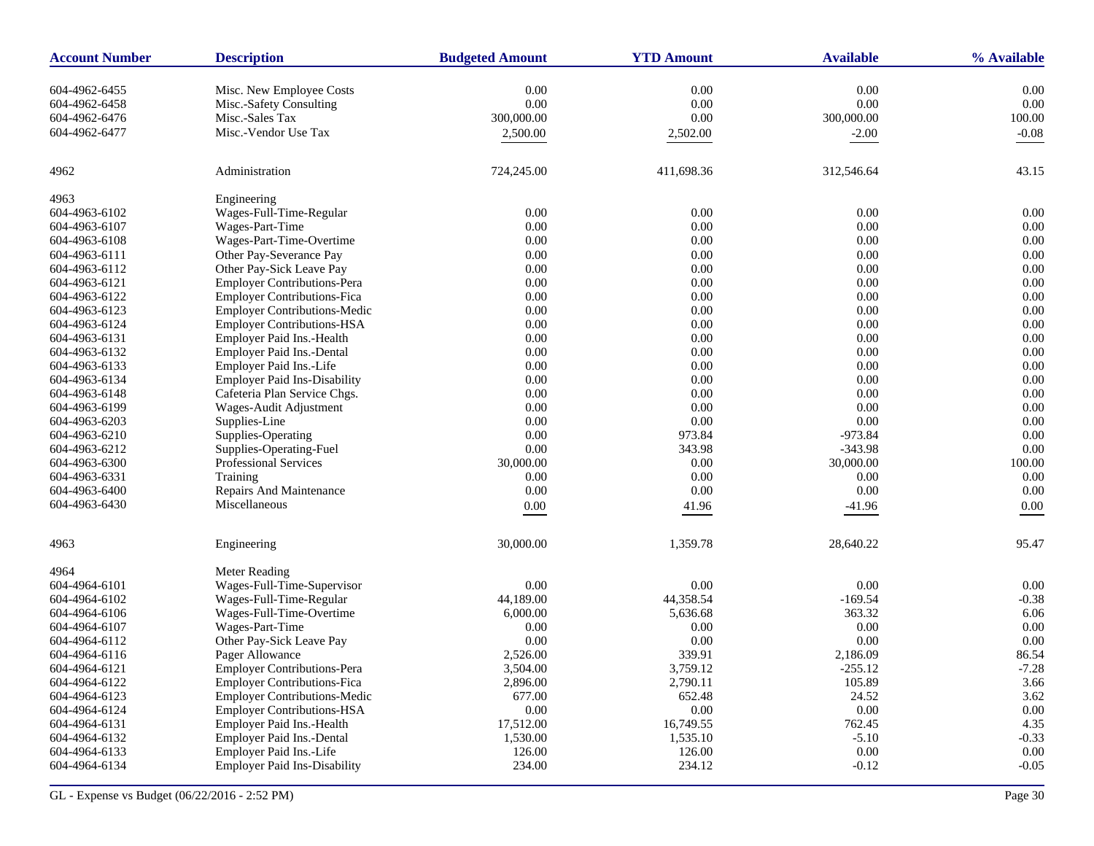| <b>Account Number</b> | <b>Description</b>                  | <b>Budgeted Amount</b> | <b>YTD Amount</b> | <b>Available</b> | % Available |
|-----------------------|-------------------------------------|------------------------|-------------------|------------------|-------------|
| 604-4962-6455         | Misc. New Employee Costs            | 0.00                   | 0.00              | 0.00             | 0.00        |
| 604-4962-6458         | Misc.-Safety Consulting             | 0.00                   | 0.00              | 0.00             | 0.00        |
| 604-4962-6476         | Misc.-Sales Tax                     | 300,000.00             | 0.00              | 300,000.00       | 100.00      |
| 604-4962-6477         | Misc.-Vendor Use Tax                | 2,500.00               | 2,502.00          | $-2.00$          | $-0.08$     |
|                       |                                     |                        |                   |                  |             |
| 4962                  | Administration                      | 724,245.00             | 411,698.36        | 312,546.64       | 43.15       |
| 4963                  | Engineering                         |                        |                   |                  |             |
| 604-4963-6102         | Wages-Full-Time-Regular             | 0.00                   | 0.00              | 0.00             | 0.00        |
| 604-4963-6107         | Wages-Part-Time                     | 0.00                   | 0.00              | 0.00             | 0.00        |
| 604-4963-6108         | Wages-Part-Time-Overtime            | 0.00                   | 0.00              | 0.00             | 0.00        |
| 604-4963-6111         | Other Pay-Severance Pay             | 0.00                   | $0.00\,$          | 0.00             | 0.00        |
| 604-4963-6112         | Other Pay-Sick Leave Pay            | 0.00                   | $0.00\,$          | 0.00             | 0.00        |
| 604-4963-6121         | <b>Employer Contributions-Pera</b>  | 0.00                   | 0.00              | 0.00             | 0.00        |
| 604-4963-6122         | <b>Employer Contributions-Fica</b>  | 0.00                   | $0.00\,$          | 0.00             | 0.00        |
| 604-4963-6123         | <b>Employer Contributions-Medic</b> | 0.00                   | $0.00\,$          | 0.00             | 0.00        |
| 604-4963-6124         | <b>Employer Contributions-HSA</b>   | 0.00                   | 0.00              | 0.00             | 0.00        |
| 604-4963-6131         | Employer Paid Ins.-Health           | 0.00                   | 0.00              | 0.00             | 0.00        |
| 604-4963-6132         | Employer Paid Ins.-Dental           | 0.00                   | 0.00              | 0.00             | 0.00        |
| 604-4963-6133         | Employer Paid Ins.-Life             | 0.00                   | 0.00              | 0.00             | 0.00        |
| 604-4963-6134         | <b>Employer Paid Ins-Disability</b> | 0.00                   | 0.00              | 0.00             | 0.00        |
| 604-4963-6148         | Cafeteria Plan Service Chgs.        | 0.00                   | $0.00\,$          | 0.00             | 0.00        |
| 604-4963-6199         | Wages-Audit Adjustment              | 0.00                   | 0.00              | 0.00             | 0.00        |
| 604-4963-6203         | Supplies-Line                       | 0.00                   | 0.00              | 0.00             | 0.00        |
| 604-4963-6210         | Supplies-Operating                  | 0.00                   | 973.84            | $-973.84$        | 0.00        |
| 604-4963-6212         | Supplies-Operating-Fuel             | 0.00                   | 343.98            | $-343.98$        | 0.00        |
| 604-4963-6300         | Professional Services               | 30,000.00              | 0.00              | 30,000.00        | 100.00      |
| 604-4963-6331         | Training                            | 0.00                   | 0.00              | 0.00             | 0.00        |
| 604-4963-6400         | Repairs And Maintenance             | 0.00                   | 0.00              | 0.00             | 0.00        |
| 604-4963-6430         | Miscellaneous                       | 0.00                   | 41.96             | $-41.96$         | 0.00        |
|                       |                                     |                        |                   |                  |             |
| 4963                  | Engineering                         | 30,000.00              | 1,359.78          | 28,640.22        | 95.47       |
| 4964                  | Meter Reading                       |                        |                   |                  |             |
| 604-4964-6101         | Wages-Full-Time-Supervisor          | 0.00                   | 0.00              | 0.00             | 0.00        |
| 604-4964-6102         | Wages-Full-Time-Regular             | 44,189.00              | 44,358.54         | $-169.54$        | $-0.38$     |
| 604-4964-6106         | Wages-Full-Time-Overtime            | 6,000.00               | 5,636.68          | 363.32           | 6.06        |
| 604-4964-6107         | Wages-Part-Time                     | 0.00                   | 0.00              | 0.00             | 0.00        |
| 604-4964-6112         | Other Pay-Sick Leave Pay            | 0.00                   | 0.00              | 0.00             | 0.00        |
| 604-4964-6116         | Pager Allowance                     | 2,526.00               | 339.91            | 2,186.09         | 86.54       |
| 604-4964-6121         | <b>Employer Contributions-Pera</b>  | 3,504.00               | 3,759.12          | $-255.12$        | $-7.28$     |
| 604-4964-6122         | <b>Employer Contributions-Fica</b>  | 2,896.00               | 2,790.11          | 105.89           | 3.66        |
| 604-4964-6123         | <b>Employer Contributions-Medic</b> | 677.00                 | 652.48            | 24.52            | 3.62        |
| 604-4964-6124         | <b>Employer Contributions-HSA</b>   | $0.00\,$               | $0.00\,$          | $0.00\,$         | $0.00\,$    |
| 604-4964-6131         | Employer Paid Ins.-Health           | 17,512.00              | 16,749.55         | 762.45           | 4.35        |
| 604-4964-6132         | Employer Paid Ins.-Dental           | 1,530.00               | 1,535.10          | $-5.10$          | $-0.33$     |
| 604-4964-6133         | Employer Paid Ins.-Life             | 126.00                 | 126.00            | $0.00\,$         | 0.00        |
| 604-4964-6134         | <b>Employer Paid Ins-Disability</b> | 234.00                 | 234.12            | $-0.12$          | $-0.05$     |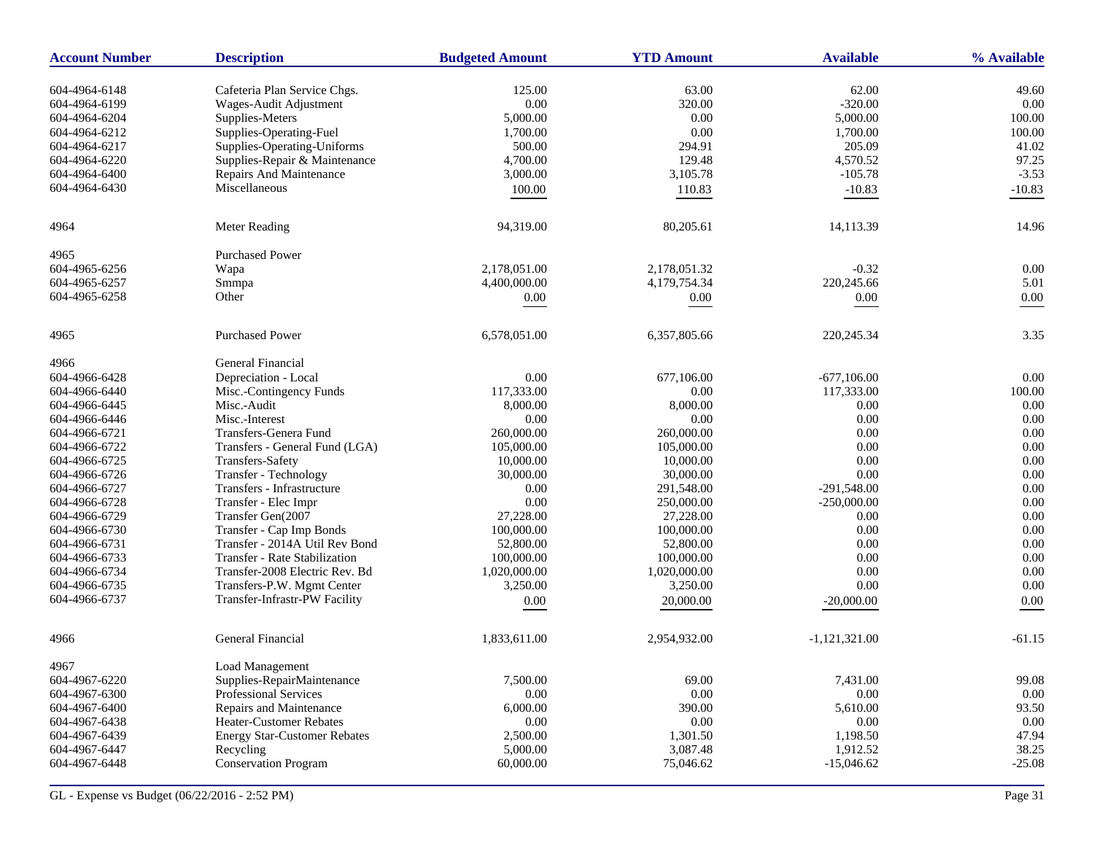| <b>Account Number</b> | <b>Description</b>                  | <b>Budgeted Amount</b> | <b>YTD Amount</b> | <b>Available</b> | % Available |
|-----------------------|-------------------------------------|------------------------|-------------------|------------------|-------------|
| 604-4964-6148         | Cafeteria Plan Service Chgs.        | 125.00                 | 63.00             | 62.00            | 49.60       |
| 604-4964-6199         | Wages-Audit Adjustment              | $0.00\,$               | 320.00            | $-320.00$        | 0.00        |
| 604-4964-6204         | Supplies-Meters                     | 5,000.00               | 0.00              | 5,000.00         | 100.00      |
| 604-4964-6212         | Supplies-Operating-Fuel             | 1,700.00               | 0.00              | 1,700.00         | 100.00      |
| 604-4964-6217         | Supplies-Operating-Uniforms         | 500.00                 | 294.91            | 205.09           | 41.02       |
| 604-4964-6220         | Supplies-Repair & Maintenance       | 4,700.00               | 129.48            | 4,570.52         | 97.25       |
| 604-4964-6400         | Repairs And Maintenance             | 3,000.00               | 3,105.78          | $-105.78$        | $-3.53$     |
| 604-4964-6430         | Miscellaneous                       | 100.00                 | 110.83            | $-10.83$         | $-10.83$    |
| 4964                  | Meter Reading                       | 94,319.00              | 80,205.61         | 14,113.39        | 14.96       |
| 4965                  | <b>Purchased Power</b>              |                        |                   |                  |             |
| 604-4965-6256         | Wapa                                | 2,178,051.00           | 2,178,051.32      | $-0.32$          | 0.00        |
| 604-4965-6257         | Smmpa                               | 4,400,000.00           | 4,179,754.34      | 220,245.66       | 5.01        |
| 604-4965-6258         | Other                               | 0.00                   | $0.00\,$          | 0.00             | 0.00        |
| 4965                  | <b>Purchased Power</b>              | 6,578,051.00           | 6,357,805.66      | 220, 245. 34     | 3.35        |
| 4966                  | General Financial                   |                        |                   |                  |             |
| 604-4966-6428         | Depreciation - Local                | 0.00                   | 677,106.00        | $-677,106.00$    | 0.00        |
| 604-4966-6440         | Misc.-Contingency Funds             | 117,333.00             | 0.00              | 117,333.00       | 100.00      |
| 604-4966-6445         | Misc.-Audit                         | 8,000.00               | 8,000.00          | 0.00             | 0.00        |
| 604-4966-6446         | Misc.-Interest                      | 0.00                   | 0.00              | 0.00             | 0.00        |
| 604-4966-6721         | Transfers-Genera Fund               | 260,000.00             | 260,000.00        | 0.00             | 0.00        |
| 604-4966-6722         | Transfers - General Fund (LGA)      | 105,000.00             | 105,000.00        | 0.00             | 0.00        |
| 604-4966-6725         | Transfers-Safety                    | 10,000.00              | 10,000.00         | 0.00             | 0.00        |
| 604-4966-6726         | Transfer - Technology               | 30,000.00              | 30,000.00         | 0.00             | 0.00        |
| 604-4966-6727         | Transfers - Infrastructure          | 0.00                   | 291,548.00        | $-291,548.00$    | 0.00        |
| 604-4966-6728         | Transfer - Elec Impr                | 0.00                   | 250,000.00        | $-250,000.00$    | 0.00        |
| 604-4966-6729         | Transfer Gen(2007                   | 27,228.00              | 27,228.00         | 0.00             | 0.00        |
| 604-4966-6730         | Transfer - Cap Imp Bonds            | 100,000.00             | 100,000.00        | 0.00             | 0.00        |
| 604-4966-6731         | Transfer - 2014A Util Rev Bond      | 52,800.00              | 52,800.00         | 0.00             | 0.00        |
| 604-4966-6733         | Transfer - Rate Stabilization       | 100,000.00             | 100,000.00        | 0.00             | 0.00        |
| 604-4966-6734         | Transfer-2008 Electric Rev. Bd      | 1,020,000.00           | 1,020,000.00      | 0.00             | 0.00        |
| 604-4966-6735         | Transfers-P.W. Mgmt Center          | 3,250.00               | 3,250.00          | 0.00             | 0.00        |
| 604-4966-6737         | Transfer-Infrastr-PW Facility       | $0.00\,$               | 20,000.00         | $-20,000.00$     | 0.00        |
| 4966                  | General Financial                   | 1,833,611.00           | 2,954,932.00      | $-1,121,321.00$  | $-61.15$    |
| 4967                  | Load Management                     |                        |                   |                  |             |
| 604-4967-6220         | Supplies-RepairMaintenance          | 7,500.00               | 69.00             | 7,431.00         | 99.08       |
| 604-4967-6300         | <b>Professional Services</b>        | 0.00                   | 0.00              | 0.00             | 0.00        |
| 604-4967-6400         | Repairs and Maintenance             | 6,000.00               | 390.00            | 5,610.00         | 93.50       |
| 604-4967-6438         | Heater-Customer Rebates             | 0.00                   | $0.00\,$          | 0.00             | 0.00        |
| 604-4967-6439         | <b>Energy Star-Customer Rebates</b> | 2,500.00               | 1,301.50          | 1,198.50         | 47.94       |
| 604-4967-6447         | Recycling                           | 5,000.00               | 3,087.48          | 1,912.52         | 38.25       |
| 604-4967-6448         | <b>Conservation Program</b>         | 60,000.00              | 75,046.62         | $-15,046.62$     | $-25.08$    |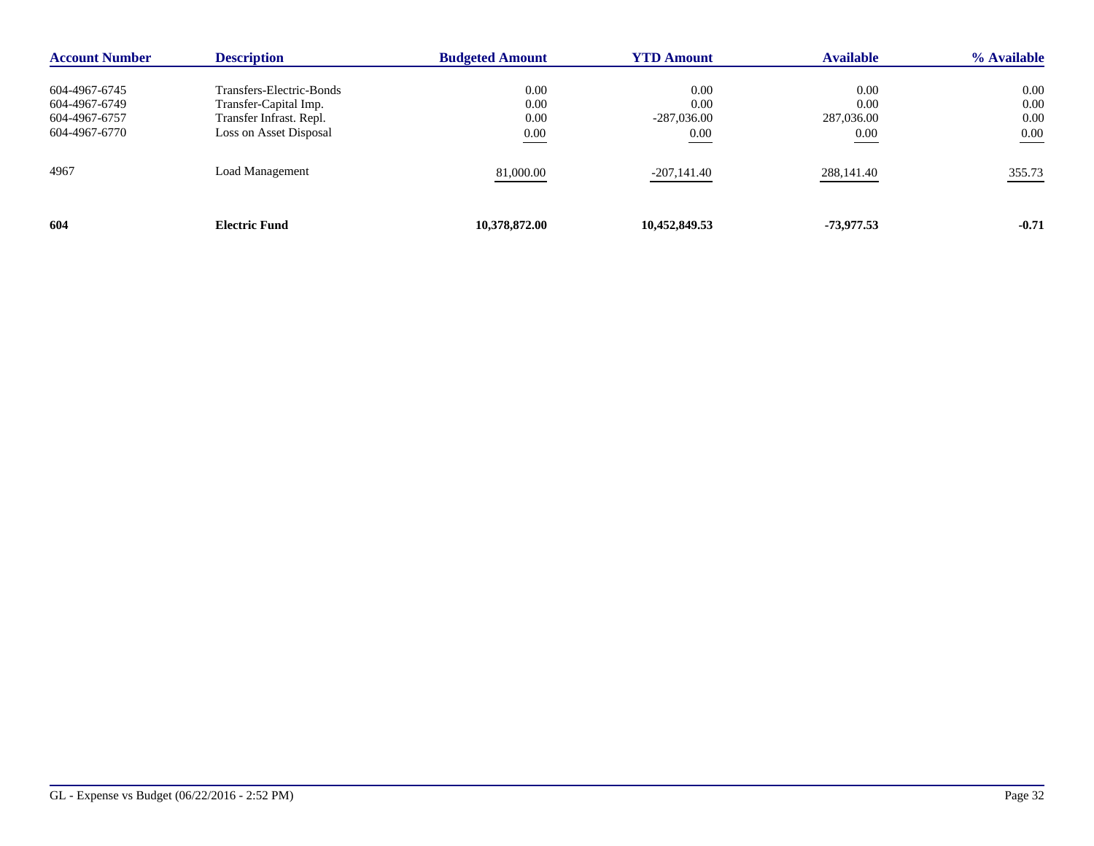| <b>Account Number</b> | <b>Description</b>       | <b>Budgeted Amount</b> | <b>YTD Amount</b> | <b>Available</b> | % Available |
|-----------------------|--------------------------|------------------------|-------------------|------------------|-------------|
|                       |                          |                        |                   |                  |             |
| 604-4967-6745         | Transfers-Electric-Bonds | 0.00                   | 0.00              | 0.00             | 0.00        |
| 604-4967-6749         | Transfer-Capital Imp.    | 0.00                   | 0.00              | 0.00             | 0.00        |
| 604-4967-6757         | Transfer Infrast. Repl.  | 0.00                   | $-287,036.00$     | 287,036.00       | 0.00        |
| 604-4967-6770         | Loss on Asset Disposal   | 0.00                   | 0.00              | 0.00             | 0.00        |
| 4967                  | Load Management          | 81,000.00              | -207,141.40       | 288,141.40       | 355.73      |
| 604                   | <b>Electric Fund</b>     | 10,378,872.00          | 10,452,849.53     | -73,977.53       | $-0.71$     |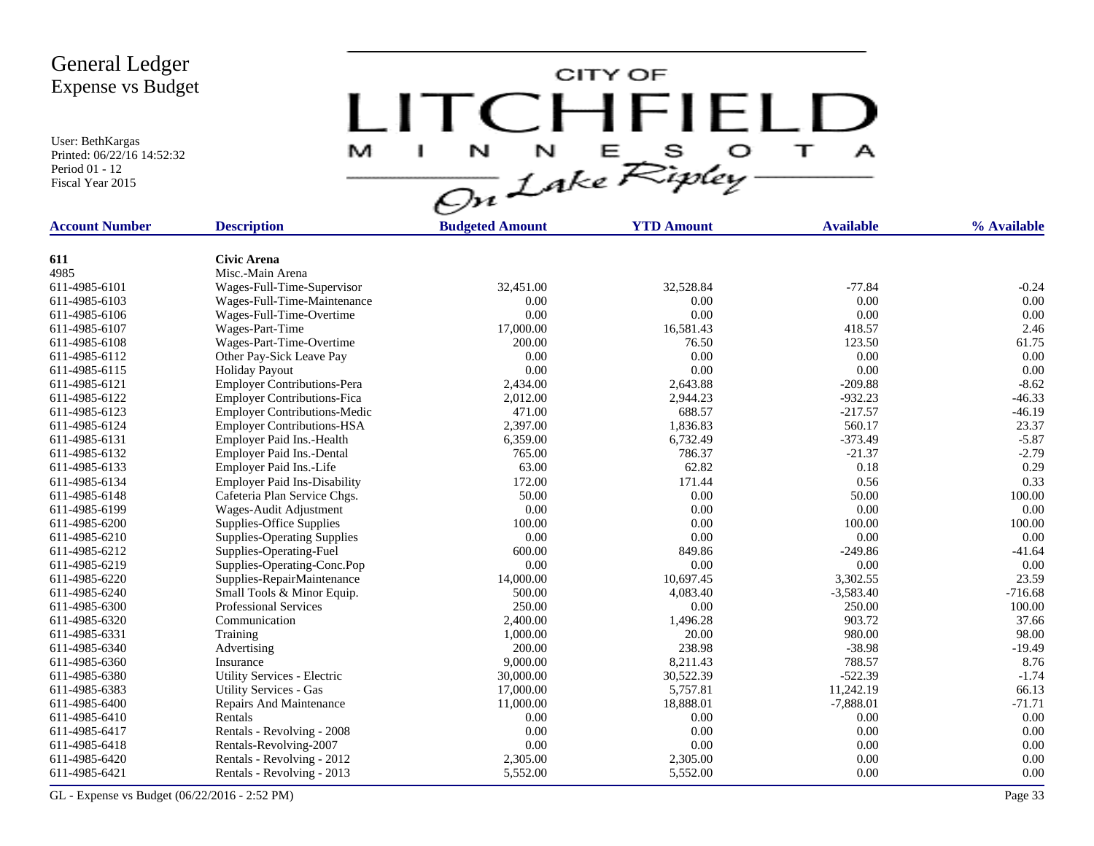User: BethKargas Printed: 06/22/16 14:52:32 Period 01 - 12 Fiscal Year 2015

CITY OF LITCHFIELD **TI** M  $\mathbf{I}$  $\mathbf{A}$ 

| <b>Account Number</b> | <b>Description</b>                  | <b>Budgeted Amount</b> | <b>YTD Amount</b> | <b>Available</b> | % Available |
|-----------------------|-------------------------------------|------------------------|-------------------|------------------|-------------|
|                       |                                     |                        |                   |                  |             |
| 611                   | <b>Civic Arena</b>                  |                        |                   |                  |             |
| 4985                  | Misc.-Main Arena                    |                        |                   |                  |             |
| 611-4985-6101         | Wages-Full-Time-Supervisor          | 32,451.00              | 32,528.84         | $-77.84$         | $-0.24$     |
| 611-4985-6103         | Wages-Full-Time-Maintenance         | 0.00                   | 0.00              | 0.00             | 0.00        |
| 611-4985-6106         | Wages-Full-Time-Overtime            | 0.00                   | 0.00              | 0.00             | 0.00        |
| 611-4985-6107         | Wages-Part-Time                     | 17,000.00              | 16,581.43         | 418.57           | 2.46        |
| 611-4985-6108         | Wages-Part-Time-Overtime            | 200.00                 | 76.50             | 123.50           | 61.75       |
| 611-4985-6112         | Other Pay-Sick Leave Pay            | 0.00                   | 0.00              | $0.00\,$         | 0.00        |
| 611-4985-6115         | <b>Holiday Payout</b>               | 0.00                   | 0.00              | 0.00             | 0.00        |
| 611-4985-6121         | <b>Employer Contributions-Pera</b>  | 2,434.00               | 2,643.88          | $-209.88$        | $-8.62$     |
| 611-4985-6122         | <b>Employer Contributions-Fica</b>  | 2,012.00               | 2,944.23          | $-932.23$        | $-46.33$    |
| 611-4985-6123         | <b>Employer Contributions-Medic</b> | 471.00                 | 688.57            | $-217.57$        | $-46.19$    |
| 611-4985-6124         | <b>Employer Contributions-HSA</b>   | 2,397.00               | 1,836.83          | 560.17           | 23.37       |
| 611-4985-6131         | Employer Paid Ins.-Health           | 6,359.00               | 6,732.49          | $-373.49$        | $-5.87$     |
| 611-4985-6132         | Employer Paid Ins.-Dental           | 765.00                 | 786.37            | $-21.37$         | $-2.79$     |
| 611-4985-6133         | Employer Paid Ins.-Life             | 63.00                  | 62.82             | 0.18             | 0.29        |
| 611-4985-6134         | <b>Employer Paid Ins-Disability</b> | 172.00                 | 171.44            | 0.56             | 0.33        |
| 611-4985-6148         | Cafeteria Plan Service Chgs.        | 50.00                  | 0.00              | 50.00            | 100.00      |
| 611-4985-6199         | Wages-Audit Adjustment              | 0.00                   | 0.00              | 0.00             | 0.00        |
| 611-4985-6200         | Supplies-Office Supplies            | 100.00                 | 0.00              | 100.00           | 100.00      |
| 611-4985-6210         | <b>Supplies-Operating Supplies</b>  | 0.00                   | 0.00              | 0.00             | 0.00        |
| 611-4985-6212         | Supplies-Operating-Fuel             | 600.00                 | 849.86            | $-249.86$        | $-41.64$    |
| 611-4985-6219         | Supplies-Operating-Conc.Pop         | 0.00                   | 0.00              | 0.00             | 0.00        |
| 611-4985-6220         | Supplies-RepairMaintenance          | 14,000.00              | 10,697.45         | 3,302.55         | 23.59       |
| 611-4985-6240         | Small Tools & Minor Equip.          | 500.00                 | 4,083.40          | $-3,583.40$      | $-716.68$   |
| 611-4985-6300         | <b>Professional Services</b>        | 250.00                 | 0.00              | 250.00           | 100.00      |
| 611-4985-6320         | Communication                       | 2,400.00               | 1,496.28          | 903.72           | 37.66       |
| 611-4985-6331         | Training                            | 1,000.00               | 20.00             | 980.00           | 98.00       |
| 611-4985-6340         | Advertising                         | 200.00                 | 238.98            | $-38.98$         | $-19.49$    |
| 611-4985-6360         | Insurance                           | 9,000.00               | 8,211.43          | 788.57           | 8.76        |
| 611-4985-6380         | Utility Services - Electric         | 30,000.00              | 30,522.39         | $-522.39$        | $-1.74$     |
| 611-4985-6383         | <b>Utility Services - Gas</b>       | 17,000.00              | 5,757.81          | 11,242.19        | 66.13       |
| 611-4985-6400         | Repairs And Maintenance             | 11,000.00              | 18,888.01         | $-7,888.01$      | $-71.71$    |
| 611-4985-6410         | Rentals                             | 0.00                   | 0.00              | 0.00             | 0.00        |
| 611-4985-6417         | Rentals - Revolving - 2008          | 0.00                   | 0.00              | 0.00             | 0.00        |
| 611-4985-6418         | Rentals-Revolving-2007              | 0.00                   | 0.00              | 0.00             | 0.00        |
| 611-4985-6420         | Rentals - Revolving - 2012          | 2,305.00               | 2,305.00          | 0.00             | 0.00        |
| 611-4985-6421         | Rentals - Revolving - 2013          | 5,552.00               | 5,552.00          | 0.00             | 0.00        |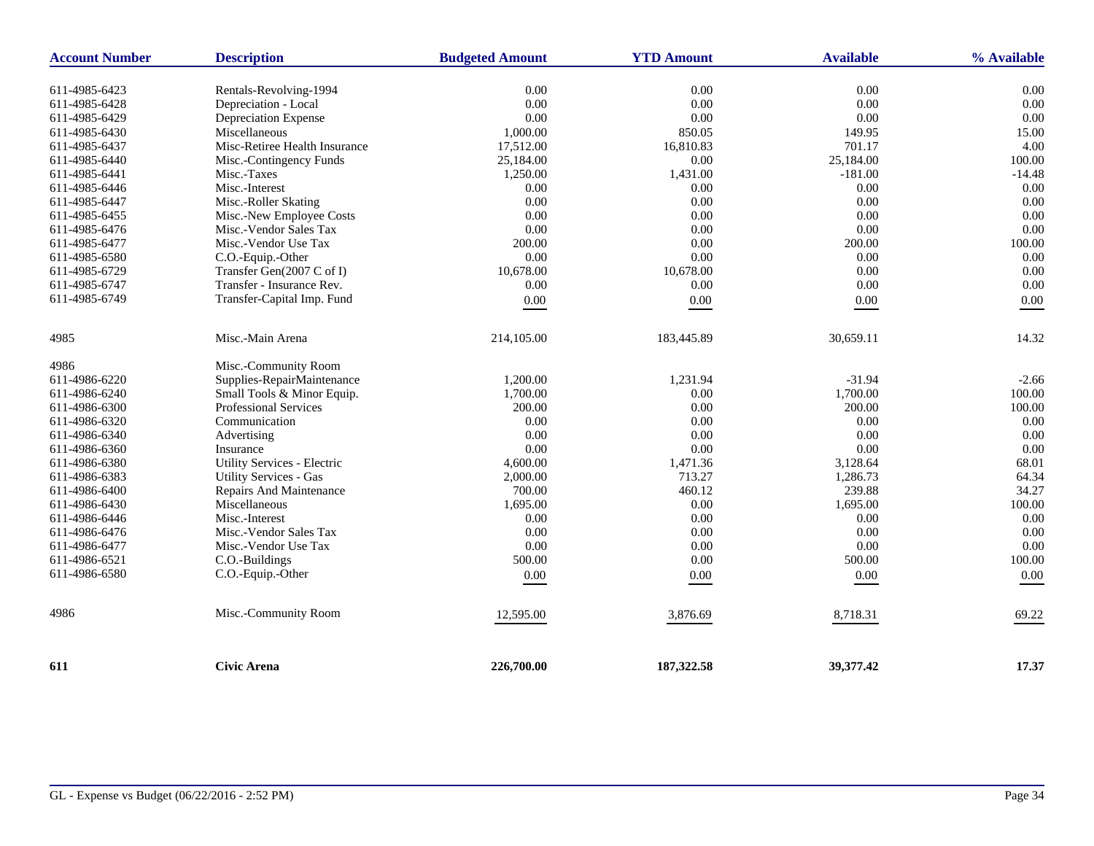| <b>Account Number</b> | <b>Description</b>                 | <b>Budgeted Amount</b> | <b>YTD Amount</b> | <b>Available</b> | % Available |
|-----------------------|------------------------------------|------------------------|-------------------|------------------|-------------|
| 611-4985-6423         | Rentals-Revolving-1994             | 0.00                   | 0.00              | 0.00             | 0.00        |
| 611-4985-6428         | Depreciation - Local               | 0.00                   | 0.00              | 0.00             | 0.00        |
| 611-4985-6429         | Depreciation Expense               | 0.00                   | 0.00              | 0.00             | 0.00        |
| 611-4985-6430         | Miscellaneous                      | 1,000.00               | 850.05            | 149.95           | 15.00       |
| 611-4985-6437         | Misc-Retiree Health Insurance      | 17,512.00              | 16,810.83         | 701.17           | 4.00        |
| 611-4985-6440         | Misc.-Contingency Funds            | 25,184.00              | 0.00              | 25,184.00        | 100.00      |
| 611-4985-6441         | Misc.-Taxes                        | 1,250.00               | 1,431.00          | $-181.00$        | $-14.48$    |
| 611-4985-6446         | Misc.-Interest                     | 0.00                   | 0.00              | 0.00             | 0.00        |
| 611-4985-6447         | Misc.-Roller Skating               | 0.00                   | 0.00              | 0.00             | 0.00        |
| 611-4985-6455         | Misc.-New Employee Costs           | 0.00                   | 0.00              | 0.00             | 0.00        |
| 611-4985-6476         | Misc.-Vendor Sales Tax             | 0.00                   | 0.00              | 0.00             | 0.00        |
| 611-4985-6477         | Misc.-Vendor Use Tax               | 200.00                 | 0.00              | 200.00           | 100.00      |
| 611-4985-6580         | C.O.-Equip.-Other                  | 0.00                   | 0.00              | 0.00             | 0.00        |
| 611-4985-6729         | Transfer Gen(2007 C of I)          | 10.678.00              | 10,678.00         | 0.00             | 0.00        |
| 611-4985-6747         | Transfer - Insurance Rev.          | 0.00                   | 0.00              | 0.00             | 0.00        |
| 611-4985-6749         | Transfer-Capital Imp. Fund         | 0.00                   | $0.00\,$          | $0.00\,$         | 0.00        |
|                       |                                    |                        |                   |                  |             |
| 4985                  | Misc.-Main Arena                   | 214,105.00             | 183,445.89        | 30,659.11        | 14.32       |
| 4986                  | Misc.-Community Room               |                        |                   |                  |             |
| 611-4986-6220         | Supplies-RepairMaintenance         | 1,200.00               | 1,231.94          | $-31.94$         | $-2.66$     |
| 611-4986-6240         | Small Tools & Minor Equip.         | 1,700.00               | 0.00              | 1,700.00         | 100.00      |
| 611-4986-6300         | <b>Professional Services</b>       | 200.00                 | 0.00              | 200.00           | 100.00      |
| 611-4986-6320         | Communication                      | 0.00                   | 0.00              | 0.00             | 0.00        |
| 611-4986-6340         | Advertising                        | 0.00                   | 0.00              | 0.00             | 0.00        |
| 611-4986-6360         | Insurance                          | 0.00                   | 0.00              | 0.00             | 0.00        |
| 611-4986-6380         | <b>Utility Services - Electric</b> | 4,600.00               | 1,471.36          | 3,128.64         | 68.01       |
| 611-4986-6383         | <b>Utility Services - Gas</b>      | 2,000.00               | 713.27            | 1,286.73         | 64.34       |
| 611-4986-6400         | Repairs And Maintenance            | 700.00                 | 460.12            | 239.88           | 34.27       |
| 611-4986-6430         | Miscellaneous                      | 1,695.00               | 0.00              | 1,695.00         | 100.00      |
| 611-4986-6446         | Misc.-Interest                     | 0.00                   | 0.00              | 0.00             | 0.00        |
| 611-4986-6476         | Misc.-Vendor Sales Tax             | 0.00                   | 0.00              | 0.00             | 0.00        |
| 611-4986-6477         | Misc.-Vendor Use Tax               | 0.00                   | 0.00              | $0.00\,$         | 0.00        |
| 611-4986-6521         | C.O.-Buildings                     | 500.00                 | 0.00              | 500.00           | 100.00      |
| 611-4986-6580         | C.O.-Equip.-Other                  | $0.00\,$               | 0.00              | 0.00             | $0.00\,$    |
| 4986                  | Misc.-Community Room               | 12,595.00              | 3,876.69          | 8,718.31         | 69.22       |
| 611                   | Civic Arena                        | 226,700.00             | 187,322.58        | 39,377.42        | 17.37       |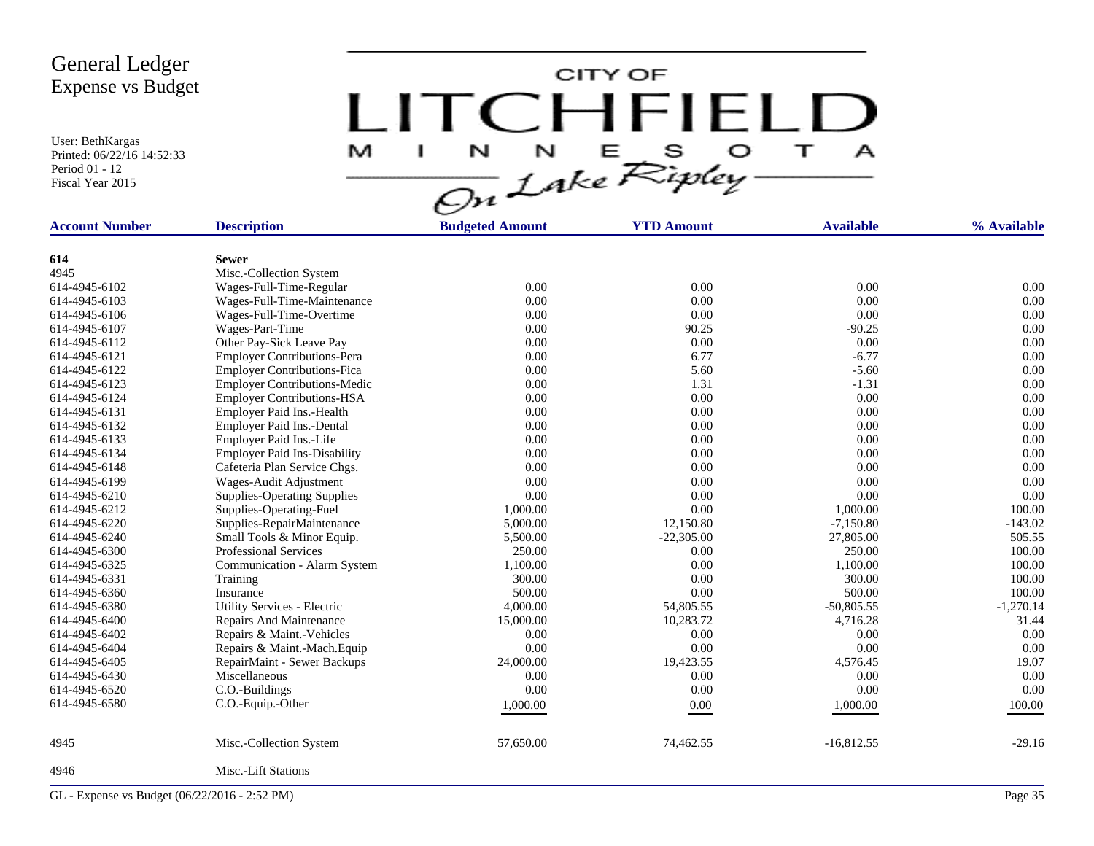User: BethKargas Printed: 06/22/16 14:52:33 Period 01 - 12 Fiscal Year 2015

CITY OF LITCHFIELD M  $\mathbf{A}$ a.

| <b>Account Number</b> | <b>Description</b>                  | <b>Budgeted Amount</b> | <b>YTD Amount</b> | <b>Available</b> | % Available |
|-----------------------|-------------------------------------|------------------------|-------------------|------------------|-------------|
|                       |                                     |                        |                   |                  |             |
| 614                   | <b>Sewer</b>                        |                        |                   |                  |             |
| 4945                  | Misc.-Collection System             |                        |                   |                  |             |
| 614-4945-6102         | Wages-Full-Time-Regular             | 0.00                   | 0.00              | 0.00             | 0.00        |
| 614-4945-6103         | Wages-Full-Time-Maintenance         | 0.00                   | 0.00              | 0.00             | 0.00        |
| 614-4945-6106         | Wages-Full-Time-Overtime            | 0.00                   | 0.00              | 0.00             | 0.00        |
| 614-4945-6107         | Wages-Part-Time                     | 0.00                   | 90.25             | $-90.25$         | 0.00        |
| 614-4945-6112         | Other Pay-Sick Leave Pay            | 0.00                   | 0.00              | 0.00             | 0.00        |
| 614-4945-6121         | <b>Employer Contributions-Pera</b>  | 0.00                   | 6.77              | $-6.77$          | 0.00        |
| 614-4945-6122         | <b>Employer Contributions-Fica</b>  | 0.00                   | 5.60              | $-5.60$          | 0.00        |
| 614-4945-6123         | <b>Employer Contributions-Medic</b> | 0.00                   | 1.31              | $-1.31$          | 0.00        |
| 614-4945-6124         | <b>Employer Contributions-HSA</b>   | 0.00                   | 0.00              | 0.00             | 0.00        |
| 614-4945-6131         | Employer Paid Ins.-Health           | 0.00                   | 0.00              | 0.00             | 0.00        |
| 614-4945-6132         | Employer Paid Ins.-Dental           | 0.00                   | 0.00              | 0.00             | 0.00        |
| 614-4945-6133         | Employer Paid Ins.-Life             | 0.00                   | 0.00              | 0.00             | 0.00        |
| 614-4945-6134         | <b>Employer Paid Ins-Disability</b> | 0.00                   | 0.00              | 0.00             | 0.00        |
| 614-4945-6148         | Cafeteria Plan Service Chgs.        | 0.00                   | 0.00              | 0.00             | 0.00        |
| 614-4945-6199         | Wages-Audit Adjustment              | 0.00                   | 0.00              | 0.00             | 0.00        |
| 614-4945-6210         | <b>Supplies-Operating Supplies</b>  | 0.00                   | 0.00              | 0.00             | 0.00        |
| 614-4945-6212         | Supplies-Operating-Fuel             | 1,000.00               | 0.00              | 1,000.00         | 100.00      |
| 614-4945-6220         | Supplies-RepairMaintenance          | 5,000.00               | 12,150.80         | $-7,150.80$      | $-143.02$   |
| 614-4945-6240         | Small Tools & Minor Equip.          | 5,500.00               | $-22,305.00$      | 27,805.00        | 505.55      |
| 614-4945-6300         | <b>Professional Services</b>        | 250.00                 | 0.00              | 250.00           | 100.00      |
| 614-4945-6325         | Communication - Alarm System        | 1,100.00               | 0.00              | 1,100.00         | 100.00      |
| 614-4945-6331         | Training                            | 300.00                 | 0.00              | 300.00           | 100.00      |
| 614-4945-6360         | Insurance                           | 500.00                 | 0.00              | 500.00           | 100.00      |
| 614-4945-6380         | Utility Services - Electric         | 4,000.00               | 54,805.55         | $-50,805.55$     | $-1,270.14$ |
| 614-4945-6400         | Repairs And Maintenance             | 15,000.00              | 10,283.72         | 4,716.28         | 31.44       |
| 614-4945-6402         | Repairs & Maint.-Vehicles           | 0.00                   | 0.00              | 0.00             | 0.00        |
| 614-4945-6404         | Repairs & Maint.-Mach.Equip         | 0.00                   | 0.00              | 0.00             | 0.00        |
| 614-4945-6405         | RepairMaint - Sewer Backups         | 24,000.00              | 19,423.55         | 4,576.45         | 19.07       |
| 614-4945-6430         | Miscellaneous                       | 0.00                   | 0.00              | 0.00             | 0.00        |
| 614-4945-6520         | C.O.-Buildings                      | 0.00                   | 0.00              | 0.00             | 0.00        |
| 614-4945-6580         | C.O.-Equip.-Other                   | 1,000.00               | 0.00              | 1,000.00         | 100.00      |
|                       |                                     |                        |                   |                  |             |
| 4945                  | Misc.-Collection System             | 57,650.00              | 74,462.55         | $-16,812.55$     | $-29.16$    |
| 4946                  | Misc.-Lift Stations                 |                        |                   |                  |             |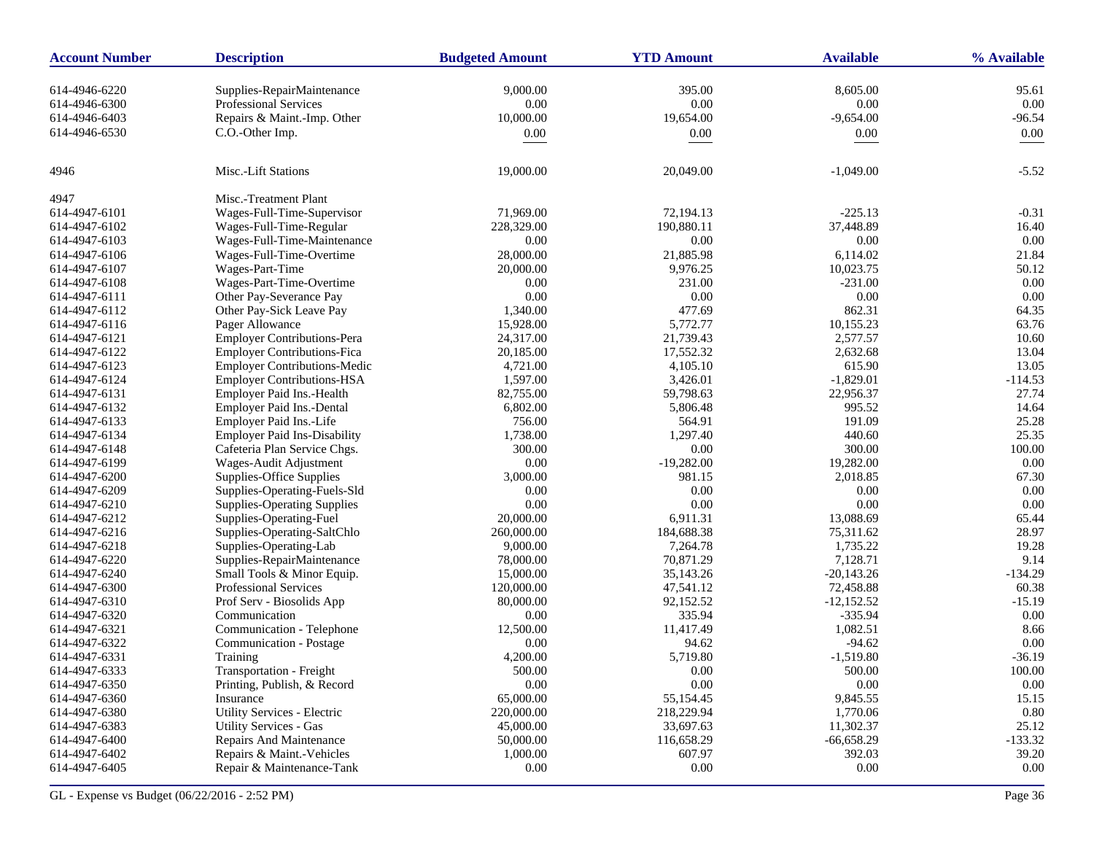| <b>Account Number</b> | <b>Description</b>                  | <b>Budgeted Amount</b> | <b>YTD Amount</b> | <b>Available</b> | % Available |
|-----------------------|-------------------------------------|------------------------|-------------------|------------------|-------------|
| 614-4946-6220         | Supplies-RepairMaintenance          | 9,000.00               | 395.00            | 8,605.00         | 95.61       |
| 614-4946-6300         | Professional Services               | 0.00                   | 0.00              | 0.00             | 0.00        |
| 614-4946-6403         | Repairs & Maint.-Imp. Other         | 10,000.00              | 19,654.00         | $-9,654.00$      | $-96.54$    |
| 614-4946-6530         | C.O.-Other Imp.                     |                        | 0.00              |                  | 0.00        |
|                       |                                     | 0.00                   |                   | 0.00             |             |
| 4946                  | Misc.-Lift Stations                 | 19,000.00              | 20,049.00         | $-1,049.00$      | $-5.52$     |
| 4947                  | Misc.-Treatment Plant               |                        |                   |                  |             |
| 614-4947-6101         | Wages-Full-Time-Supervisor          | 71,969.00              | 72,194.13         | $-225.13$        | $-0.31$     |
| 614-4947-6102         | Wages-Full-Time-Regular             | 228,329.00             | 190,880.11        | 37,448.89        | 16.40       |
| 614-4947-6103         | Wages-Full-Time-Maintenance         | 0.00                   | 0.00              | 0.00             | 0.00        |
| 614-4947-6106         | Wages-Full-Time-Overtime            | 28,000.00              | 21,885.98         | 6,114.02         | 21.84       |
| 614-4947-6107         | Wages-Part-Time                     | 20,000.00              | 9,976.25          | 10,023.75        | 50.12       |
| 614-4947-6108         | Wages-Part-Time-Overtime            | 0.00                   | 231.00            | $-231.00$        | 0.00        |
| 614-4947-6111         | Other Pay-Severance Pay             | 0.00                   | 0.00              | 0.00             | 0.00        |
| 614-4947-6112         | Other Pay-Sick Leave Pay            | 1,340.00               | 477.69            | 862.31           | 64.35       |
| 614-4947-6116         | Pager Allowance                     | 15,928.00              | 5,772.77          | 10,155.23        | 63.76       |
| 614-4947-6121         | <b>Employer Contributions-Pera</b>  | 24,317.00              | 21,739.43         | 2,577.57         | 10.60       |
| 614-4947-6122         | <b>Employer Contributions-Fica</b>  | 20,185.00              | 17,552.32         | 2,632.68         | 13.04       |
| 614-4947-6123         | <b>Employer Contributions-Medic</b> | 4,721.00               | 4,105.10          | 615.90           | 13.05       |
| 614-4947-6124         | <b>Employer Contributions-HSA</b>   | 1,597.00               | 3,426.01          | $-1,829.01$      | $-114.53$   |
| 614-4947-6131         | Employer Paid Ins.-Health           | 82,755.00              | 59,798.63         | 22,956.37        | 27.74       |
| 614-4947-6132         | Employer Paid Ins.-Dental           | 6,802.00               | 5,806.48          | 995.52           | 14.64       |
| 614-4947-6133         | Employer Paid Ins.-Life             | 756.00                 | 564.91            | 191.09           | 25.28       |
| 614-4947-6134         | <b>Employer Paid Ins-Disability</b> | 1,738.00               | 1,297.40          | 440.60           | 25.35       |
| 614-4947-6148         | Cafeteria Plan Service Chgs.        | 300.00                 | 0.00              | 300.00           | 100.00      |
| 614-4947-6199         | Wages-Audit Adjustment              | 0.00                   | $-19,282.00$      | 19,282.00        | 0.00        |
| 614-4947-6200         | Supplies-Office Supplies            | 3,000.00               | 981.15            | 2,018.85         | 67.30       |
| 614-4947-6209         | Supplies-Operating-Fuels-Sld        | 0.00                   | 0.00              | 0.00             | 0.00        |
| 614-4947-6210         | <b>Supplies-Operating Supplies</b>  | 0.00                   | 0.00              | 0.00             | 0.00        |
| 614-4947-6212         | Supplies-Operating-Fuel             | 20,000.00              | 6,911.31          | 13,088.69        | 65.44       |
| 614-4947-6216         | Supplies-Operating-SaltChlo         | 260,000.00             | 184,688.38        | 75,311.62        | 28.97       |
| 614-4947-6218         | Supplies-Operating-Lab              | 9,000.00               | 7,264.78          | 1,735.22         | 19.28       |
| 614-4947-6220         | Supplies-RepairMaintenance          | 78,000.00              | 70,871.29         | 7,128.71         | 9.14        |
| 614-4947-6240         | Small Tools & Minor Equip.          | 15,000.00              | 35,143.26         | $-20,143.26$     | $-134.29$   |
| 614-4947-6300         | <b>Professional Services</b>        | 120,000.00             | 47,541.12         | 72,458.88        | 60.38       |
| 614-4947-6310         | Prof Serv - Biosolids App           | 80,000.00              | 92,152.52         | $-12,152.52$     | $-15.19$    |
| 614-4947-6320         | Communication                       | 0.00                   | 335.94            | $-335.94$        | $0.00\,$    |
| 614-4947-6321         | Communication - Telephone           | 12,500.00              | 11,417.49         | 1,082.51         | 8.66        |
| 614-4947-6322         | Communication - Postage             | 0.00                   | 94.62             | $-94.62$         | 0.00        |
| 614-4947-6331         | Training                            | 4,200.00               | 5,719.80          | $-1,519.80$      | $-36.19$    |
| 614-4947-6333         | <b>Transportation - Freight</b>     | 500.00                 | 0.00              | 500.00           | 100.00      |
| 614-4947-6350         | Printing, Publish, & Record         | $0.00\,$               | 0.00              | $0.00\,$         | 0.00        |
| 614-4947-6360         | Insurance                           | 65,000.00              | 55,154.45         | 9,845.55         | 15.15       |
| 614-4947-6380         | Utility Services - Electric         | 220,000.00             | 218,229.94        | 1,770.06         | 0.80        |
| 614-4947-6383         | <b>Utility Services - Gas</b>       | 45,000.00              | 33,697.63         | 11,302.37        | 25.12       |
| 614-4947-6400         | Repairs And Maintenance             | 50,000.00              | 116,658.29        | $-66,658.29$     | $-133.32$   |
| 614-4947-6402         | Repairs & Maint.-Vehicles           | 1,000.00               | 607.97            | 392.03           | 39.20       |
| 614-4947-6405         | Repair & Maintenance-Tank           | 0.00                   | 0.00              | $0.00\,$         | $0.00\,$    |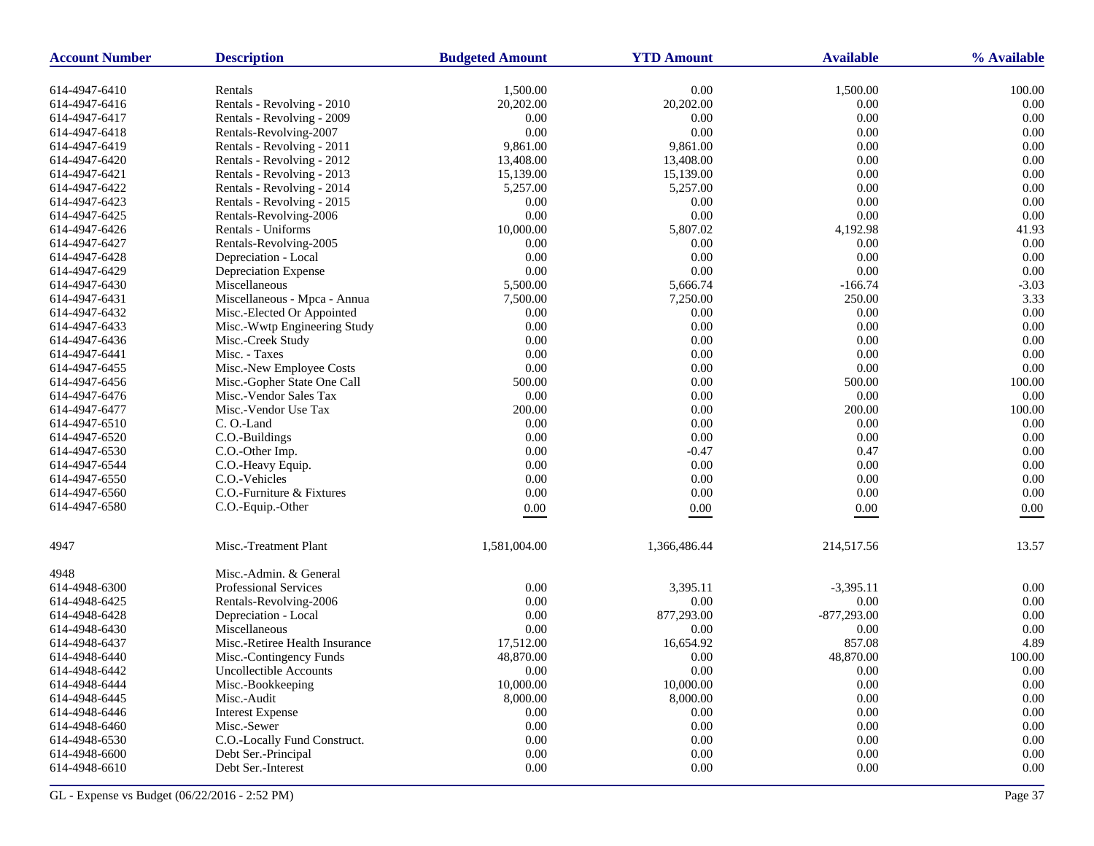| <b>Account Number</b> | <b>Description</b><br><b>Budgeted Amount</b><br><b>YTD Amount</b> |              |                | <b>Available</b> | % Available       |  |
|-----------------------|-------------------------------------------------------------------|--------------|----------------|------------------|-------------------|--|
| 614-4947-6410         | Rentals                                                           | 1,500.00     | 0.00           | 1,500.00         | 100.00            |  |
| 614-4947-6416         | Rentals - Revolving - 2010                                        | 20,202.00    | 20,202.00      | 0.00             | 0.00              |  |
| 614-4947-6417         | Rentals - Revolving - 2009                                        | 0.00         | 0.00           | 0.00             | 0.00              |  |
| 614-4947-6418         | Rentals-Revolving-2007                                            | 0.00         | 0.00           | 0.00             | 0.00              |  |
| 614-4947-6419         | Rentals - Revolving - 2011                                        | 9,861.00     | 9,861.00       | 0.00             | 0.00              |  |
| 614-4947-6420         | Rentals - Revolving - 2012                                        | 13,408.00    | 13,408.00      | 0.00             | 0.00              |  |
| 614-4947-6421         | Rentals - Revolving - 2013                                        | 15,139.00    | 15,139.00      | 0.00             | 0.00              |  |
| 614-4947-6422         | Rentals - Revolving - 2014                                        | 5,257.00     | 5,257.00       | 0.00             | 0.00              |  |
| 614-4947-6423         | Rentals - Revolving - 2015                                        | 0.00         | 0.00           | 0.00             | 0.00              |  |
| 614-4947-6425         | Rentals-Revolving-2006                                            | 0.00         | 0.00           | 0.00             | 0.00              |  |
| 614-4947-6426         | Rentals - Uniforms                                                | 10,000.00    | 5,807.02       | 4,192.98         | 41.93             |  |
| 614-4947-6427         | Rentals-Revolving-2005                                            | 0.00         | 0.00           | 0.00             | 0.00              |  |
| 614-4947-6428         | Depreciation - Local                                              | 0.00         | 0.00           | 0.00             | 0.00              |  |
| 614-4947-6429         | Depreciation Expense                                              | 0.00         | $0.00\,$       | 0.00             | 0.00              |  |
| 614-4947-6430         | Miscellaneous                                                     | 5,500.00     | 5,666.74       | $-166.74$        | $-3.03$           |  |
| 614-4947-6431         | Miscellaneous - Mpca - Annua                                      | 7,500.00     | 7,250.00       | 250.00           | 3.33              |  |
| 614-4947-6432         | Misc.-Elected Or Appointed                                        | 0.00         | 0.00           | 0.00             | 0.00              |  |
| 614-4947-6433         | Misc.-Wwtp Engineering Study                                      | 0.00         | 0.00           | 0.00             | 0.00              |  |
| 614-4947-6436         | Misc.-Creek Study                                                 | 0.00         | 0.00           | 0.00             | 0.00              |  |
| 614-4947-6441         | Misc. - Taxes                                                     | 0.00         | 0.00           | $0.00\,$         | 0.00              |  |
| 614-4947-6455         | Misc.-New Employee Costs                                          | 0.00         | 0.00           | 0.00             | 0.00              |  |
| 614-4947-6456         | Misc.-Gopher State One Call                                       | 500.00       | 0.00           | 500.00           | 100.00            |  |
| 614-4947-6476         | Misc.-Vendor Sales Tax                                            | 0.00         | 0.00           | 0.00             | 0.00              |  |
| 614-4947-6477         | Misc.-Vendor Use Tax                                              | 200.00       | 0.00           | 200.00           | 100.00            |  |
| 614-4947-6510         | C. O.-Land                                                        | 0.00         | 0.00           | 0.00             | 0.00              |  |
| 614-4947-6520         | C.O.-Buildings                                                    | 0.00         | 0.00           | 0.00             | 0.00              |  |
| 614-4947-6530         | C.O.-Other Imp.                                                   | 0.00         | $-0.47$        | 0.47             | 0.00              |  |
| 614-4947-6544         | C.O.-Heavy Equip.                                                 | 0.00         | 0.00           | $0.00\,$         | 0.00              |  |
| 614-4947-6550         | C.O.-Vehicles                                                     | 0.00         | $0.00\,$       | 0.00             | 0.00              |  |
| 614-4947-6560         | C.O.-Furniture & Fixtures                                         | 0.00         | 0.00           | 0.00             | 0.00              |  |
| 614-4947-6580         | C.O.-Equip.-Other                                                 | 0.00         | 0.00           | 0.00             | 0.00              |  |
|                       |                                                                   |              |                |                  |                   |  |
| 4947                  | Misc.-Treatment Plant                                             | 1,581,004.00 | 1,366,486.44   | 214,517.56       | 13.57             |  |
| 4948                  | Misc.-Admin. & General                                            |              |                |                  |                   |  |
| 614-4948-6300         | <b>Professional Services</b>                                      | 0.00         | 3,395.11       | $-3,395.11$      | 0.00              |  |
| 614-4948-6425         | Rentals-Revolving-2006                                            | 0.00         | 0.00           | 0.00             | 0.00              |  |
| 614-4948-6428         | Depreciation - Local                                              | 0.00         | 877,293.00     | $-877,293.00$    | 0.00              |  |
| 614-4948-6430         | Miscellaneous                                                     | 0.00         | 0.00           | 0.00             | 0.00              |  |
| 614-4948-6437         | Misc.-Retiree Health Insurance                                    | 17,512.00    | 16,654.92      | 857.08           | 4.89              |  |
| 614-4948-6440         | Misc.-Contingency Funds                                           | 48,870.00    | 0.00           | 48,870.00        | 100.00            |  |
| 614-4948-6442         | Uncollectible Accounts                                            | 0.00         | $0.00^{\circ}$ | 0.00             | 0.00 <sub>1</sub> |  |
| 614-4948-6444         | Misc.-Bookkeeping                                                 | 10,000.00    | 10,000.00      | $0.00\,$         | $0.00\,$          |  |
| 614-4948-6445         | Misc.-Audit                                                       | 8,000.00     | 8,000.00       | $0.00\,$         | $0.00\,$          |  |
| 614-4948-6446         | <b>Interest Expense</b>                                           | 0.00         | 0.00           | 0.00             | 0.00              |  |
| 614-4948-6460         | Misc.-Sewer                                                       | 0.00         | $0.00\,$       | $0.00\,$         | $0.00\,$          |  |
| 614-4948-6530         | C.O.-Locally Fund Construct.                                      | 0.00         | $0.00\,$       | 0.00             | $0.00\,$          |  |
| 614-4948-6600         | Debt Ser.-Principal                                               | 0.00         | 0.00           | 0.00             | 0.00              |  |
| 614-4948-6610         | Debt Ser.-Interest                                                | 0.00         | $0.00\,$       | $0.00\,$         | 0.00              |  |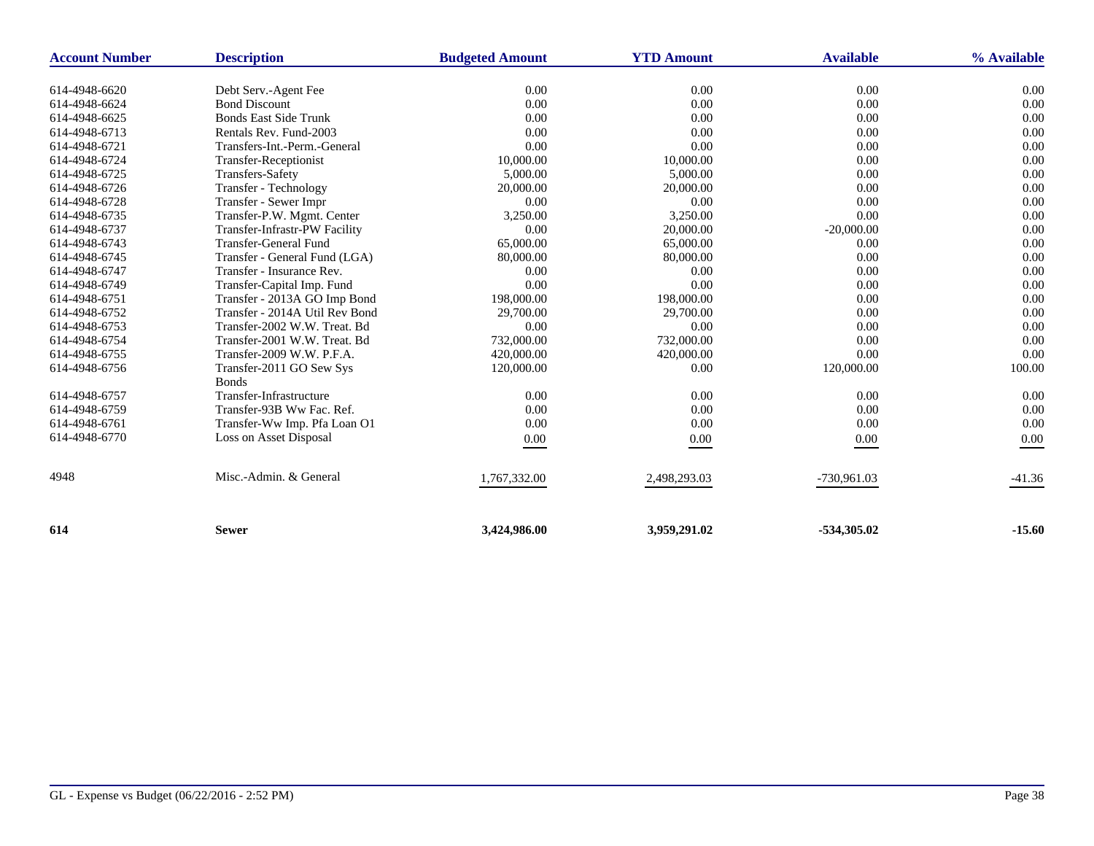| <b>Account Number</b> | <b>Description</b>                       | <b>Budgeted Amount</b> | <b>YTD Amount</b> | <b>Available</b> | % Available |
|-----------------------|------------------------------------------|------------------------|-------------------|------------------|-------------|
| 614-4948-6620         | Debt Serv.-Agent Fee                     | 0.00                   | 0.00              | 0.00             | 0.00        |
| 614-4948-6624         | <b>Bond Discount</b>                     | 0.00                   | 0.00              | 0.00             | 0.00        |
| 614-4948-6625         | <b>Bonds East Side Trunk</b>             | 0.00                   | 0.00              | 0.00             | 0.00        |
| 614-4948-6713         | Rentals Rev. Fund-2003                   | 0.00                   | 0.00              | 0.00             | 0.00        |
| 614-4948-6721         | Transfers-Int.-Perm.-General             | 0.00                   | 0.00              | 0.00             | 0.00        |
| 614-4948-6724         | <b>Transfer-Receptionist</b>             | 10,000.00              | 10,000.00         | 0.00             | 0.00        |
| 614-4948-6725         | <b>Transfers-Safety</b>                  | 5,000.00               | 5,000.00          | 0.00             | 0.00        |
| 614-4948-6726         | Transfer - Technology                    | 20,000.00              | 20,000.00         | 0.00             | 0.00        |
| 614-4948-6728         | Transfer - Sewer Impr                    | 0.00                   | 0.00              | 0.00             | 0.00        |
| 614-4948-6735         | Transfer-P.W. Mgmt. Center               | 3,250.00               | 3,250.00          | 0.00             | 0.00        |
| 614-4948-6737         | Transfer-Infrastr-PW Facility            | 0.00                   | 20,000.00         | $-20,000.00$     | 0.00        |
| 614-4948-6743         | <b>Transfer-General Fund</b>             | 65,000.00              | 65,000.00         | 0.00             | 0.00        |
| 614-4948-6745         | Transfer - General Fund (LGA)            | 80,000.00              | 80,000.00         | 0.00             | 0.00        |
| 614-4948-6747         | Transfer - Insurance Rev.                | 0.00                   | 0.00              | 0.00             | 0.00        |
| 614-4948-6749         | Transfer-Capital Imp. Fund               | 0.00                   | 0.00              | 0.00             | 0.00        |
| 614-4948-6751         | Transfer - 2013A GO Imp Bond             | 198,000.00             | 198,000.00        | 0.00             | 0.00        |
| 614-4948-6752         | Transfer - 2014A Util Rev Bond           | 29,700.00              | 29,700.00         | 0.00             | 0.00        |
| 614-4948-6753         | Transfer-2002 W.W. Treat. Bd             | 0.00                   | 0.00              | 0.00             | 0.00        |
| 614-4948-6754         | Transfer-2001 W.W. Treat. Bd             | 732,000.00             | 732,000.00        | 0.00             | 0.00        |
| 614-4948-6755         | Transfer-2009 W.W. P.F.A.                | 420,000.00             | 420,000.00        | 0.00             | 0.00        |
| 614-4948-6756         | Transfer-2011 GO Sew Sys<br><b>Bonds</b> | 120,000.00             | 0.00              | 120,000.00       | 100.00      |
| 614-4948-6757         | Transfer-Infrastructure                  | 0.00                   | 0.00              | 0.00             | 0.00        |
| 614-4948-6759         | Transfer-93B Ww Fac. Ref.                | 0.00                   | 0.00              | 0.00             | 0.00        |
| 614-4948-6761         | Transfer-Ww Imp. Pfa Loan O1             | 0.00                   | 0.00              | 0.00             | 0.00        |
| 614-4948-6770         | Loss on Asset Disposal                   | 0.00                   | 0.00              | 0.00             | 0.00        |
| 4948                  | Misc.-Admin. & General                   | 1,767,332.00           | 2,498,293.03      | -730,961.03      | $-41.36$    |
| 614                   | <b>Sewer</b>                             | 3,424,986.00           | 3,959,291.02      | $-534,305.02$    | $-15.60$    |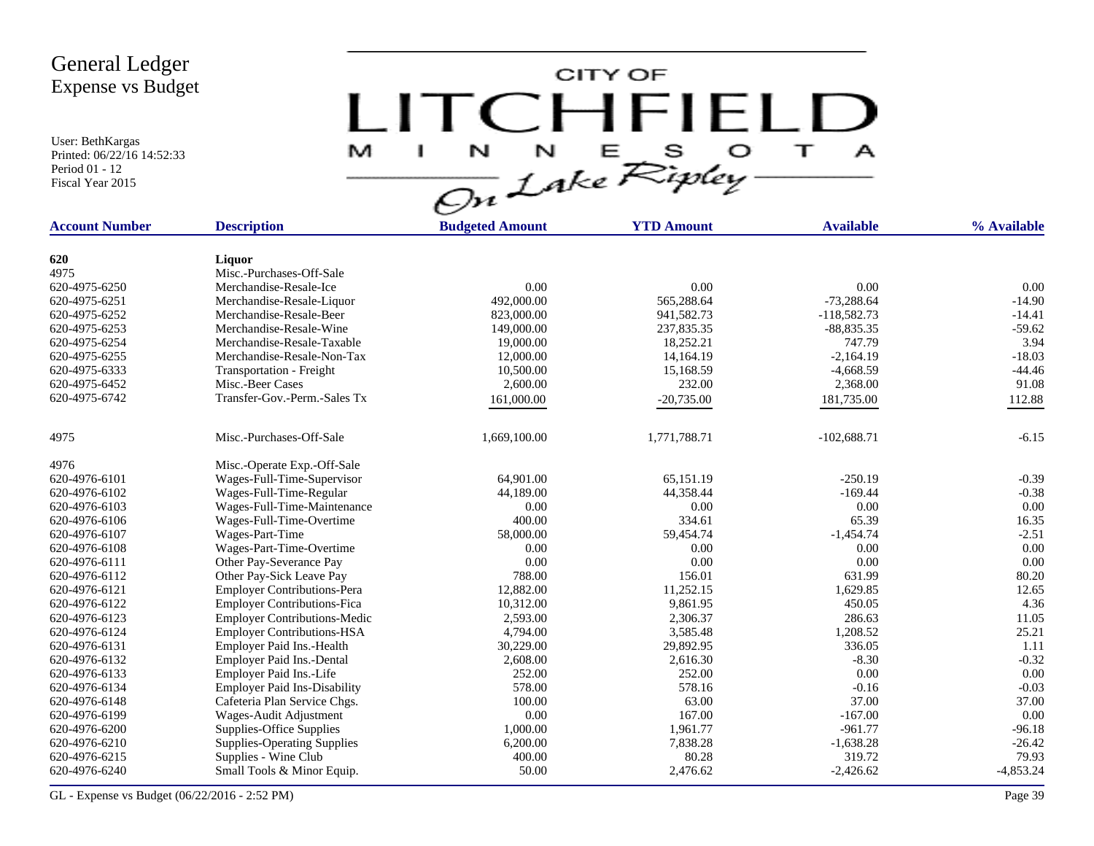User: BethKargas Printed: 06/22/16 14:52:33 Period 01 - 12 Fiscal Year 2015

CITY OF LITCHFIELD  $M$  I N N E S O T A<br>On Lake Ripley

| <b>Account Number</b> | <b>Description</b>                  | <b>Budgeted Amount</b> | <b>YTD Amount</b> | <b>Available</b> | % Available |
|-----------------------|-------------------------------------|------------------------|-------------------|------------------|-------------|
|                       |                                     |                        |                   |                  |             |
| 620                   | Liquor                              |                        |                   |                  |             |
| 4975                  | Misc.-Purchases-Off-Sale            |                        |                   |                  |             |
| 620-4975-6250         | Merchandise-Resale-Ice              | 0.00                   | 0.00              | 0.00             | 0.00        |
| 620-4975-6251         | Merchandise-Resale-Liquor           | 492,000.00             | 565,288.64        | $-73,288.64$     | $-14.90$    |
| 620-4975-6252         | Merchandise-Resale-Beer             | 823,000.00             | 941,582.73        | $-118,582.73$    | $-14.41$    |
| 620-4975-6253         | Merchandise-Resale-Wine             | 149,000.00             | 237,835.35        | $-88,835.35$     | $-59.62$    |
| 620-4975-6254         | Merchandise-Resale-Taxable          | 19,000.00              | 18,252.21         | 747.79           | 3.94        |
| 620-4975-6255         | Merchandise-Resale-Non-Tax          | 12,000.00              | 14,164.19         | $-2,164.19$      | $-18.03$    |
| 620-4975-6333         | <b>Transportation - Freight</b>     | 10,500.00              | 15,168.59         | $-4,668.59$      | $-44.46$    |
| 620-4975-6452         | Misc.-Beer Cases                    | 2,600.00               | 232.00            | 2,368.00         | 91.08       |
| 620-4975-6742         | Transfer-Gov.-Perm.-Sales Tx        | 161,000.00             | $-20,735.00$      | 181,735.00       | 112.88      |
| 4975                  | Misc.-Purchases-Off-Sale            | 1,669,100.00           | 1,771,788.71      | $-102,688.71$    | $-6.15$     |
|                       |                                     |                        |                   |                  |             |
| 4976                  | Misc.-Operate Exp.-Off-Sale         |                        |                   |                  |             |
| 620-4976-6101         | Wages-Full-Time-Supervisor          | 64,901.00              | 65,151.19         | $-250.19$        | $-0.39$     |
| 620-4976-6102         | Wages-Full-Time-Regular             | 44,189.00              | 44,358.44         | $-169.44$        | $-0.38$     |
| 620-4976-6103         | Wages-Full-Time-Maintenance         | 0.00                   | 0.00              | 0.00             | 0.00        |
| 620-4976-6106         | Wages-Full-Time-Overtime            | 400.00                 | 334.61            | 65.39            | 16.35       |
| 620-4976-6107         | Wages-Part-Time                     | 58,000.00              | 59,454.74         | $-1,454.74$      | $-2.51$     |
| 620-4976-6108         | Wages-Part-Time-Overtime            | 0.00                   | 0.00              | 0.00             | 0.00        |
| 620-4976-6111         | Other Pay-Severance Pay             | 0.00                   | 0.00              | 0.00             | 0.00        |
| 620-4976-6112         | Other Pay-Sick Leave Pay            | 788.00                 | 156.01            | 631.99           | 80.20       |
| 620-4976-6121         | <b>Employer Contributions-Pera</b>  | 12,882.00              | 11,252.15         | 1,629.85         | 12.65       |
| 620-4976-6122         | <b>Employer Contributions-Fica</b>  | 10,312.00              | 9,861.95          | 450.05           | 4.36        |
| 620-4976-6123         | <b>Employer Contributions-Medic</b> | 2,593.00               | 2,306.37          | 286.63           | 11.05       |
| 620-4976-6124         | Employer Contributions-HSA          | 4,794.00               | 3,585.48          | 1,208.52         | 25.21       |
| 620-4976-6131         | Employer Paid Ins.-Health           | 30,229.00              | 29,892.95         | 336.05           | 1.11        |
| 620-4976-6132         | Employer Paid Ins.-Dental           | 2,608.00               | 2,616.30          | $-8.30$          | $-0.32$     |
| 620-4976-6133         | Employer Paid Ins.-Life             | 252.00                 | 252.00            | 0.00             | 0.00        |
| 620-4976-6134         | <b>Employer Paid Ins-Disability</b> | 578.00                 | 578.16            | $-0.16$          | $-0.03$     |
| 620-4976-6148         | Cafeteria Plan Service Chgs.        | 100.00                 | 63.00             | 37.00            | 37.00       |
| 620-4976-6199         | Wages-Audit Adjustment              | 0.00                   | 167.00            | $-167.00$        | 0.00        |
| 620-4976-6200         | Supplies-Office Supplies            | 1,000.00               | 1,961.77          | $-961.77$        | $-96.18$    |
| 620-4976-6210         | <b>Supplies-Operating Supplies</b>  | 6,200.00               | 7,838.28          | $-1,638.28$      | $-26.42$    |
| 620-4976-6215         | Supplies - Wine Club                | 400.00                 | 80.28             | 319.72           | 79.93       |
| 620-4976-6240         | Small Tools & Minor Equip.          | 50.00                  | 2,476.62          | $-2,426.62$      | $-4,853.24$ |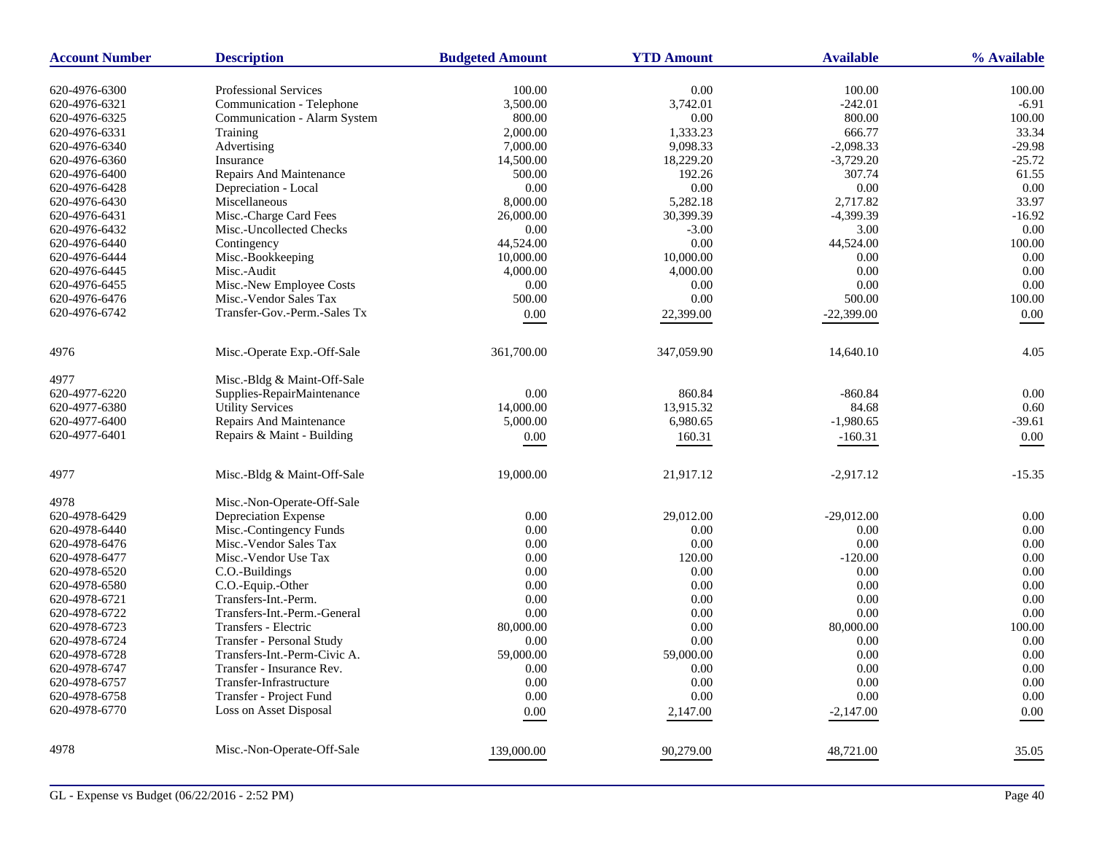| <b>Account Number</b> | <b>Description</b>           | <b>Budgeted Amount</b> | <b>YTD Amount</b> |              | % Available |  |
|-----------------------|------------------------------|------------------------|-------------------|--------------|-------------|--|
| 620-4976-6300         | <b>Professional Services</b> | 100.00                 | $0.00\,$          | 100.00       | 100.00      |  |
| 620-4976-6321         | Communication - Telephone    | 3,500.00               | 3,742.01          | $-242.01$    | $-6.91$     |  |
| 620-4976-6325         | Communication - Alarm System | 800.00                 | 0.00              | 800.00       | 100.00      |  |
| 620-4976-6331         | Training                     | 2,000.00               | 1,333.23          | 666.77       | 33.34       |  |
| 620-4976-6340         | Advertising                  | 7,000.00               | 9,098.33          | $-2,098.33$  | $-29.98$    |  |
| 620-4976-6360         | Insurance                    | 14,500.00              | 18,229.20         | $-3,729.20$  | $-25.72$    |  |
| 620-4976-6400         | Repairs And Maintenance      | 500.00                 | 192.26            | 307.74       | 61.55       |  |
| 620-4976-6428         | Depreciation - Local         | 0.00                   | 0.00              | 0.00         | 0.00        |  |
| 620-4976-6430         | Miscellaneous                | 8,000.00               | 5,282.18          | 2,717.82     | 33.97       |  |
| 620-4976-6431         | Misc.-Charge Card Fees       | 26,000.00              | 30,399.39         | -4,399.39    | $-16.92$    |  |
| 620-4976-6432         | Misc.-Uncollected Checks     | 0.00                   | $-3.00$           | 3.00         | 0.00        |  |
| 620-4976-6440         | Contingency                  | 44,524.00              | 0.00              | 44,524.00    | 100.00      |  |
| 620-4976-6444         | Misc.-Bookkeeping            | 10,000.00              | 10,000.00         | 0.00         | 0.00        |  |
| 620-4976-6445         | Misc.-Audit                  | 4,000.00               | 4,000.00          | 0.00         | 0.00        |  |
| 620-4976-6455         | Misc.-New Employee Costs     | 0.00                   | 0.00              | 0.00         | 0.00        |  |
| 620-4976-6476         | Misc.-Vendor Sales Tax       | 500.00                 | 0.00              | 500.00       | 100.00      |  |
| 620-4976-6742         | Transfer-Gov.-Perm.-Sales Tx | $0.00\,$               | 22,399.00         | $-22,399.00$ | 0.00        |  |
|                       |                              |                        |                   |              |             |  |
| 4976                  | Misc.-Operate Exp.-Off-Sale  | 361,700.00             | 347,059.90        | 14,640.10    | 4.05        |  |
| 4977                  | Misc.-Bldg & Maint-Off-Sale  |                        |                   |              |             |  |
| 620-4977-6220         | Supplies-RepairMaintenance   | 0.00                   | 860.84            | $-860.84$    | 0.00        |  |
| 620-4977-6380         | <b>Utility Services</b>      | 14,000.00              | 13,915.32         | 84.68        | 0.60        |  |
| 620-4977-6400         | Repairs And Maintenance      | 5,000.00               | 6,980.65          | $-1,980.65$  | $-39.61$    |  |
| 620-4977-6401         | Repairs & Maint - Building   | 0.00                   | 160.31            | $-160.31$    | 0.00        |  |
|                       |                              | 19,000.00              | 21,917.12         | $-2,917.12$  | $-15.35$    |  |
| 4977                  | Misc.-Bldg & Maint-Off-Sale  |                        |                   |              |             |  |
| 4978                  | Misc.-Non-Operate-Off-Sale   |                        |                   |              |             |  |
| 620-4978-6429         | Depreciation Expense         | 0.00                   | 29,012.00         | $-29,012.00$ | 0.00        |  |
| 620-4978-6440         | Misc.-Contingency Funds      | 0.00                   | 0.00              | 0.00         | 0.00        |  |
| 620-4978-6476         | Misc.-Vendor Sales Tax       | 0.00                   | 0.00              | 0.00         | 0.00        |  |
| 620-4978-6477         | Misc.-Vendor Use Tax         | 0.00                   | 120.00            | $-120.00$    | 0.00        |  |
| 620-4978-6520         | C.O.-Buildings               | 0.00                   | 0.00              | 0.00         | 0.00        |  |
| 620-4978-6580         | C.O.-Equip.-Other            | 0.00                   | 0.00              | 0.00         | 0.00        |  |
| 620-4978-6721         | Transfers-Int.-Perm.         | 0.00                   | 0.00              | 0.00         | 0.00        |  |
| 620-4978-6722         | Transfers-Int.-Perm.-General | 0.00                   | 0.00              | 0.00         | 0.00        |  |
| 620-4978-6723         | Transfers - Electric         | 80,000.00              | 0.00              | 80,000.00    | 100.00      |  |
| 620-4978-6724         | Transfer - Personal Study    | 0.00                   | 0.00              | 0.00         | 0.00        |  |
| 620-4978-6728         | Transfers-Int.-Perm-Civic A. | 59,000.00              | 59,000.00         | 0.00         | 0.00        |  |
| 620-4978-6747         | Transfer - Insurance Rev.    | 0.00                   | 0.00              | 0.00         | 0.00        |  |
| 620-4978-6757         | Transfer-Infrastructure      | 0.00                   | 0.00              | 0.00         | 0.00        |  |
| 620-4978-6758         | Transfer - Project Fund      | 0.00                   | 0.00              | 0.00         | 0.00        |  |
| 620-4978-6770         | Loss on Asset Disposal       | 0.00                   | 2,147.00          | $-2,147.00$  | 0.00        |  |
| 4978                  | Misc.-Non-Operate-Off-Sale   | 139,000.00             | 90,279.00         | 48,721.00    | 35.05       |  |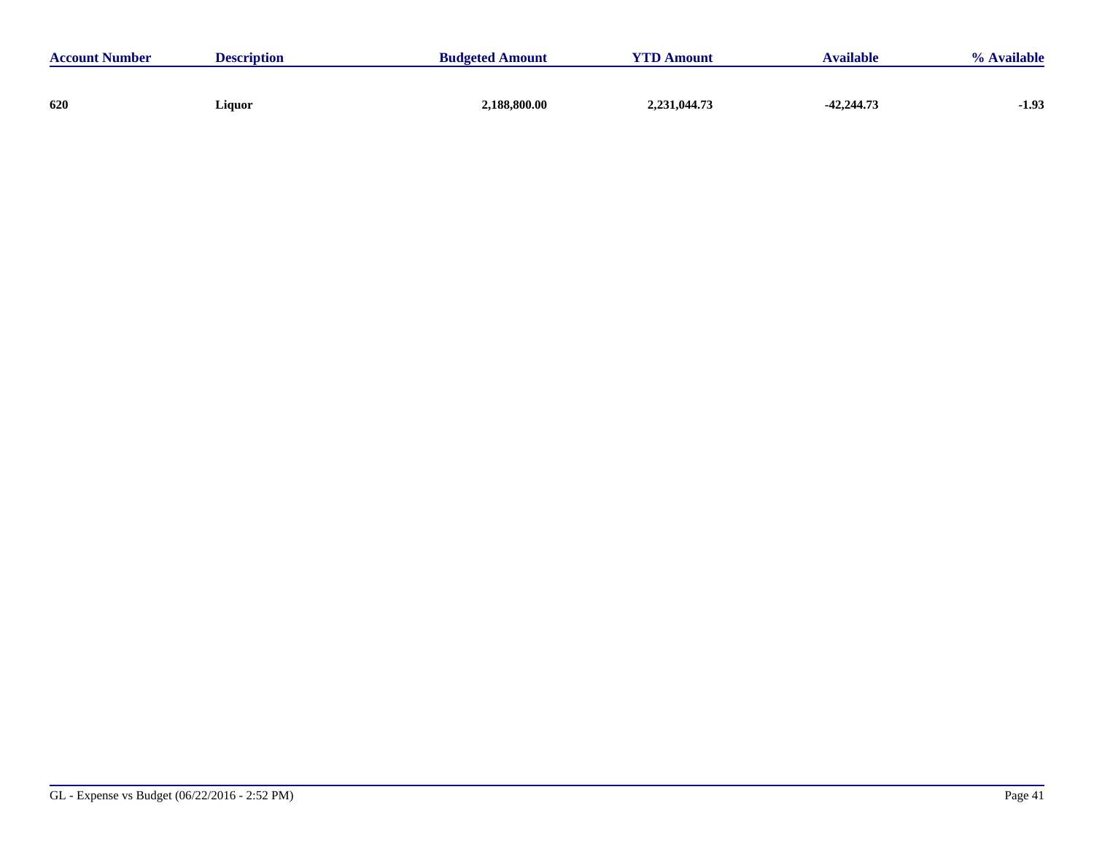| <b>Account Number</b> | <b>Description</b> | <b>Budgeted Amount</b> | <b>YTD Amount</b> | <b>Available</b> | % Available |
|-----------------------|--------------------|------------------------|-------------------|------------------|-------------|
|                       |                    |                        |                   |                  |             |
| 620                   | Liquor             | 2,188,800.00           | 2,231,044.73      | $-42,244.73$     | $-1.93$     |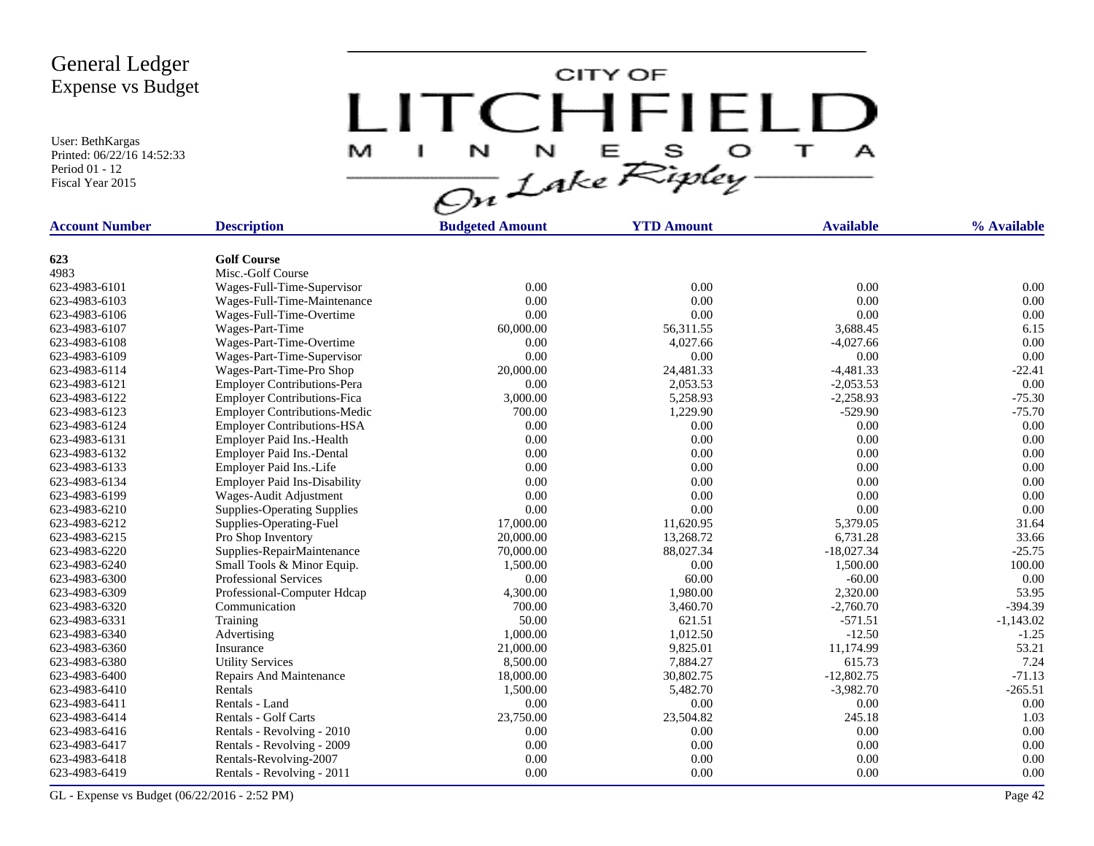User: BethKargas Printed: 06/22/16 14:52:33 Period 01 - 12 Fiscal Year 2015

CITY OF LITCHFIELD  $\top$ M J.  $\mathbf{A}$ 

| <b>Account Number</b> | <b>Description</b>                  | <b>Budgeted Amount</b> | <b>YTD Amount</b> | <b>Available</b> | % Available |
|-----------------------|-------------------------------------|------------------------|-------------------|------------------|-------------|
|                       |                                     |                        |                   |                  |             |
| 623                   | <b>Golf Course</b>                  |                        |                   |                  |             |
| 4983                  | Misc.-Golf Course                   |                        |                   |                  |             |
| 623-4983-6101         | Wages-Full-Time-Supervisor          | 0.00                   | 0.00              | 0.00             | 0.00        |
| 623-4983-6103         | Wages-Full-Time-Maintenance         | 0.00                   | 0.00              | 0.00             | 0.00        |
| 623-4983-6106         | Wages-Full-Time-Overtime            | 0.00                   | 0.00              | 0.00             | 0.00        |
| 623-4983-6107         | Wages-Part-Time                     | 60,000.00              | 56,311.55         | 3,688.45         | 6.15        |
| 623-4983-6108         | Wages-Part-Time-Overtime            | 0.00                   | 4,027.66          | $-4,027.66$      | 0.00        |
| 623-4983-6109         | Wages-Part-Time-Supervisor          | 0.00                   | 0.00              | 0.00             | 0.00        |
| 623-4983-6114         | Wages-Part-Time-Pro Shop            | 20,000.00              | 24,481.33         | $-4,481.33$      | $-22.41$    |
| 623-4983-6121         | <b>Employer Contributions-Pera</b>  | 0.00                   | 2,053.53          | $-2,053.53$      | 0.00        |
| 623-4983-6122         | <b>Employer Contributions-Fica</b>  | 3,000.00               | 5,258.93          | $-2,258.93$      | $-75.30$    |
| 623-4983-6123         | <b>Employer Contributions-Medic</b> | 700.00                 | 1,229.90          | $-529.90$        | $-75.70$    |
| 623-4983-6124         | <b>Employer Contributions-HSA</b>   | 0.00                   | 0.00              | 0.00             | 0.00        |
| 623-4983-6131         | Employer Paid Ins.-Health           | 0.00                   | 0.00              | 0.00             | 0.00        |
| 623-4983-6132         | Employer Paid Ins.-Dental           | 0.00                   | 0.00              | 0.00             | 0.00        |
| 623-4983-6133         | Employer Paid Ins.-Life             | 0.00                   | 0.00              | 0.00             | 0.00        |
| 623-4983-6134         | <b>Employer Paid Ins-Disability</b> | 0.00                   | 0.00              | 0.00             | 0.00        |
| 623-4983-6199         | Wages-Audit Adjustment              | 0.00                   | 0.00              | 0.00             | 0.00        |
| 623-4983-6210         | <b>Supplies-Operating Supplies</b>  | 0.00                   | 0.00              | 0.00             | 0.00        |
| 623-4983-6212         | Supplies-Operating-Fuel             | 17,000.00              | 11,620.95         | 5,379.05         | 31.64       |
| 623-4983-6215         | Pro Shop Inventory                  | 20,000.00              | 13,268.72         | 6,731.28         | 33.66       |
| 623-4983-6220         | Supplies-RepairMaintenance          | 70,000.00              | 88,027.34         | $-18,027.34$     | $-25.75$    |
| 623-4983-6240         | Small Tools & Minor Equip.          | 1,500.00               | 0.00              | 1,500.00         | 100.00      |
| 623-4983-6300         | <b>Professional Services</b>        | 0.00                   | 60.00             | $-60.00$         | 0.00        |
| 623-4983-6309         | Professional-Computer Hdcap         | 4,300.00               | 1,980.00          | 2,320.00         | 53.95       |
| 623-4983-6320         | Communication                       | 700.00                 | 3,460.70          | $-2,760.70$      | $-394.39$   |
| 623-4983-6331         | Training                            | 50.00                  | 621.51            | $-571.51$        | $-1,143.02$ |
| 623-4983-6340         | Advertising                         | 1,000.00               | 1,012.50          | $-12.50$         | $-1.25$     |
| 623-4983-6360         | Insurance                           | 21,000.00              | 9,825.01          | 11,174.99        | 53.21       |
| 623-4983-6380         | <b>Utility Services</b>             | 8,500.00               | 7,884.27          | 615.73           | 7.24        |
| 623-4983-6400         | Repairs And Maintenance             | 18,000.00              | 30,802.75         | $-12,802.75$     | $-71.13$    |
| 623-4983-6410         | Rentals                             | 1,500.00               | 5,482.70          | $-3,982.70$      | $-265.51$   |
| 623-4983-6411         | Rentals - Land                      | 0.00                   | 0.00              | 0.00             | 0.00        |
| 623-4983-6414         | Rentals - Golf Carts                | 23,750.00              | 23,504.82         | 245.18           | 1.03        |
| 623-4983-6416         | Rentals - Revolving - 2010          | 0.00                   | 0.00              | 0.00             | 0.00        |
| 623-4983-6417         | Rentals - Revolving - 2009          | 0.00                   | 0.00              | 0.00             | 0.00        |
| 623-4983-6418         | Rentals-Revolving-2007              | 0.00                   | 0.00              | 0.00             | 0.00        |
| 623-4983-6419         | Rentals - Revolving - 2011          | 0.00                   | 0.00              | 0.00             | 0.00        |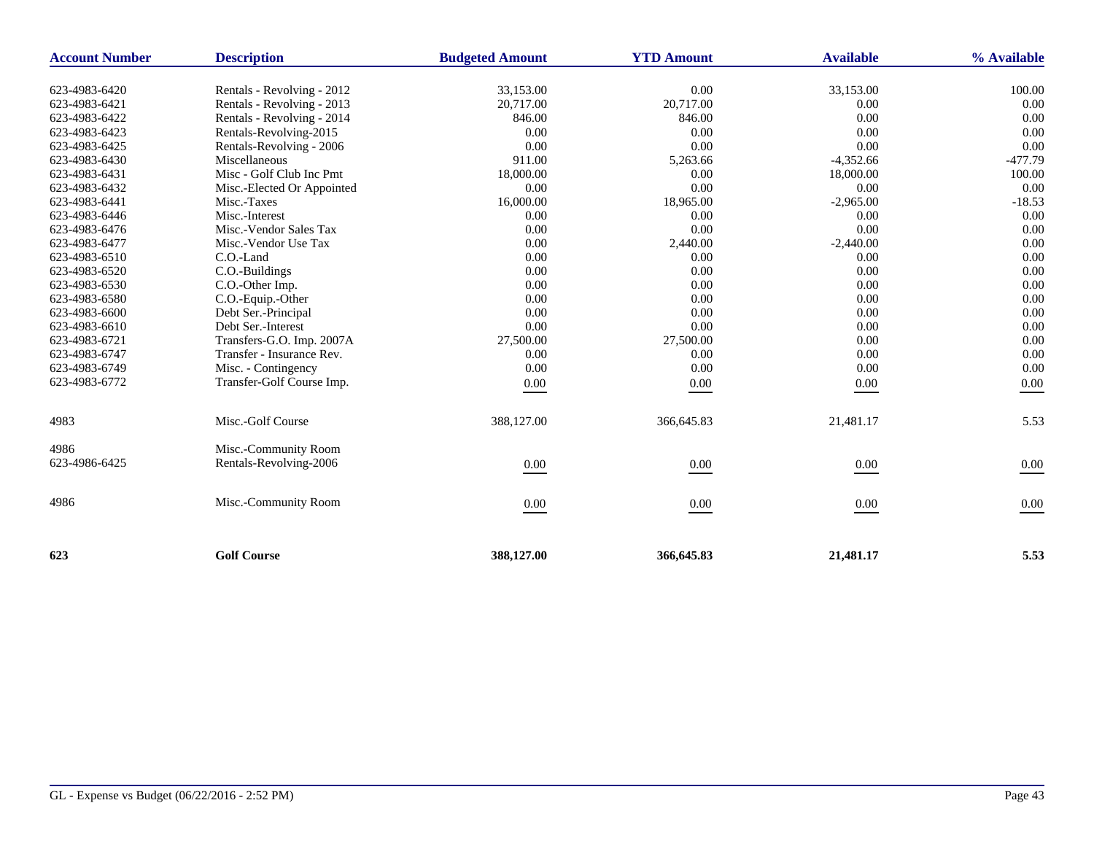| <b>Account Number</b> | <b>Description</b>         | <b>Budgeted Amount</b> | <b>YTD Amount</b> |             | % Available |
|-----------------------|----------------------------|------------------------|-------------------|-------------|-------------|
| 623-4983-6420         | Rentals - Revolving - 2012 | 33,153.00              | 0.00              | 33,153.00   | 100.00      |
| 623-4983-6421         | Rentals - Revolving - 2013 | 20,717.00              | 20,717.00         | 0.00        | 0.00        |
| 623-4983-6422         | Rentals - Revolving - 2014 | 846.00                 | 846.00            | 0.00        | 0.00        |
| 623-4983-6423         | Rentals-Revolving-2015     | 0.00                   | 0.00              | 0.00        | 0.00        |
| 623-4983-6425         | Rentals-Revolving - 2006   | 0.00                   | 0.00              | 0.00        | 0.00        |
| 623-4983-6430         | Miscellaneous              | 911.00                 | 5,263.66          | $-4,352.66$ | $-477.79$   |
| 623-4983-6431         | Misc - Golf Club Inc Pmt   | 18,000.00              | 0.00              | 18,000.00   | 100.00      |
| 623-4983-6432         | Misc.-Elected Or Appointed | 0.00                   | 0.00              | 0.00        | 0.00        |
| 623-4983-6441         | Misc.-Taxes                | 16,000.00              | 18,965.00         | $-2,965.00$ | $-18.53$    |
| 623-4983-6446         | Misc.-Interest             | 0.00                   | 0.00              | 0.00        | 0.00        |
| 623-4983-6476         | Misc.-Vendor Sales Tax     | 0.00                   | 0.00              | 0.00        | 0.00        |
| 623-4983-6477         | Misc.-Vendor Use Tax       | 0.00                   | 2,440.00          | $-2,440.00$ | 0.00        |
| 623-4983-6510         | C.O.-Land                  | 0.00                   | 0.00              | 0.00        | 0.00        |
| 623-4983-6520         | C.O.-Buildings             | 0.00                   | 0.00              | 0.00        | 0.00        |
| 623-4983-6530         | C.O.-Other Imp.            | 0.00                   | 0.00              | 0.00        | 0.00        |
| 623-4983-6580         | C.O.-Equip.-Other          | 0.00                   | 0.00              | 0.00        | 0.00        |
| 623-4983-6600         | Debt Ser.-Principal        | 0.00                   | 0.00              | 0.00        | 0.00        |
| 623-4983-6610         | Debt Ser.-Interest         | 0.00                   | 0.00              | 0.00        | 0.00        |
| 623-4983-6721         | Transfers-G.O. Imp. 2007A  | 27,500.00              | 27,500.00         | 0.00        | 0.00        |
| 623-4983-6747         | Transfer - Insurance Rev.  | 0.00                   | 0.00              | 0.00        | 0.00        |
| 623-4983-6749         | Misc. - Contingency        | 0.00                   | 0.00              | 0.00        | 0.00        |
| 623-4983-6772         | Transfer-Golf Course Imp.  | $0.00\,$               | 0.00              | 0.00        | 0.00        |
| 4983                  | Misc.-Golf Course          | 388,127.00             | 366,645.83        | 21,481.17   | 5.53        |
| 4986                  | Misc.-Community Room       |                        |                   |             |             |
| 623-4986-6425         | Rentals-Revolving-2006     | 0.00                   | 0.00              | 0.00        | 0.00        |
| 4986                  | Misc.-Community Room       | 0.00                   | $0.00\,$          | 0.00        | 0.00        |
| 623                   | <b>Golf Course</b>         | 388,127.00             | 366,645.83        | 21,481.17   | 5.53        |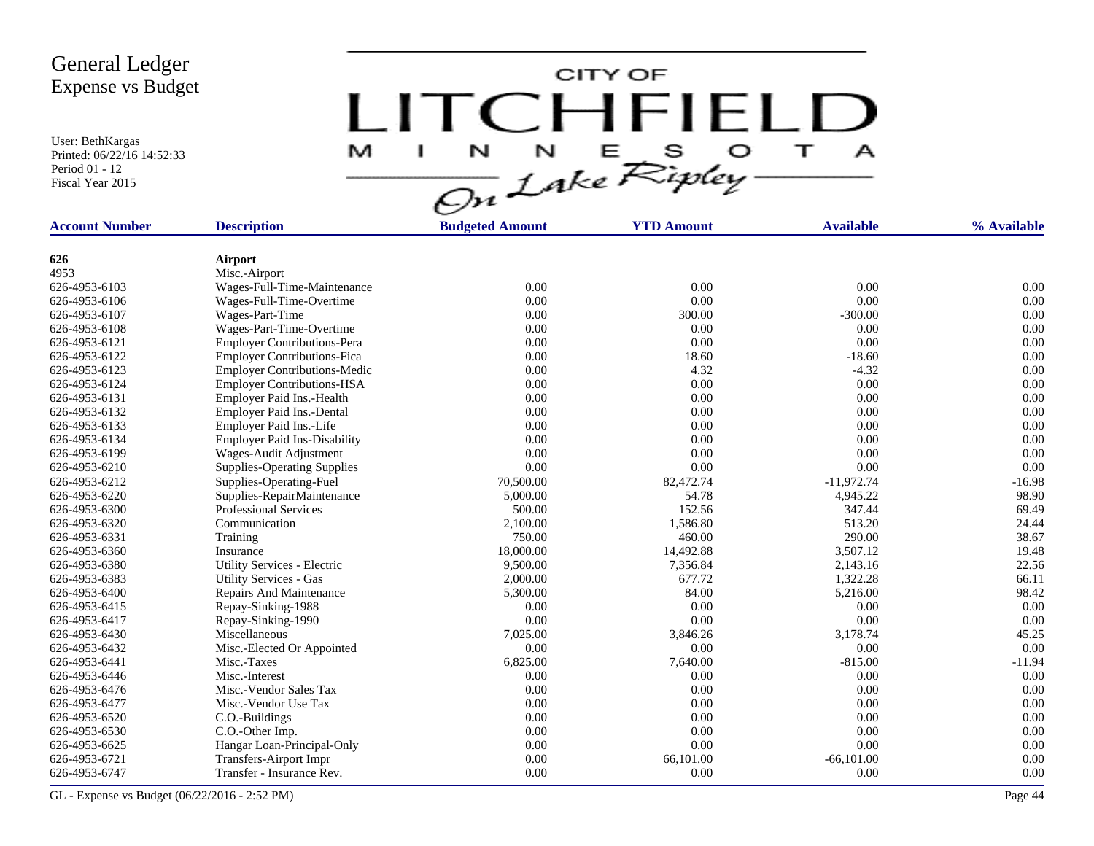User: BethKargas Printed: 06/22/16 14:52:33 Period 01 - 12 Fiscal Year 2015

CITY OF LITCHFIELD  $\top$ M J.  $\mathbf{A}$ 

| <b>Account Number</b> | <b>Description</b>                  | <b>Budgeted Amount</b> | <b>YTD Amount</b> | <b>Available</b> | % Available |
|-----------------------|-------------------------------------|------------------------|-------------------|------------------|-------------|
|                       |                                     |                        |                   |                  |             |
| 626                   | Airport                             |                        |                   |                  |             |
| 4953                  | Misc.-Airport                       |                        |                   |                  |             |
| 626-4953-6103         | Wages-Full-Time-Maintenance         | 0.00                   | 0.00              | 0.00             | 0.00        |
| 626-4953-6106         | Wages-Full-Time-Overtime            | 0.00                   | 0.00              | 0.00             | 0.00        |
| 626-4953-6107         | Wages-Part-Time                     | 0.00                   | 300.00            | $-300.00$        | 0.00        |
| 626-4953-6108         | Wages-Part-Time-Overtime            | 0.00                   | 0.00              | 0.00             | 0.00        |
| 626-4953-6121         | <b>Employer Contributions-Pera</b>  | 0.00                   | 0.00              | 0.00             | 0.00        |
| 626-4953-6122         | <b>Employer Contributions-Fica</b>  | 0.00                   | 18.60             | $-18.60$         | 0.00        |
| 626-4953-6123         | <b>Employer Contributions-Medic</b> | 0.00                   | 4.32              | $-4.32$          | 0.00        |
| 626-4953-6124         | <b>Employer Contributions-HSA</b>   | 0.00                   | 0.00              | 0.00             | 0.00        |
| 626-4953-6131         | Employer Paid Ins.-Health           | 0.00                   | 0.00              | 0.00             | 0.00        |
| 626-4953-6132         | Employer Paid Ins.-Dental           | 0.00                   | 0.00              | 0.00             | 0.00        |
| 626-4953-6133         | Employer Paid Ins.-Life             | 0.00                   | 0.00              | 0.00             | 0.00        |
| 626-4953-6134         | <b>Employer Paid Ins-Disability</b> | 0.00                   | 0.00              | 0.00             | 0.00        |
| 626-4953-6199         | Wages-Audit Adjustment              | 0.00                   | 0.00              | 0.00             | 0.00        |
| 626-4953-6210         | <b>Supplies-Operating Supplies</b>  | 0.00                   | 0.00              | 0.00             | 0.00        |
| 626-4953-6212         | Supplies-Operating-Fuel             | 70,500.00              | 82,472.74         | $-11,972.74$     | $-16.98$    |
| 626-4953-6220         | Supplies-RepairMaintenance          | 5,000.00               | 54.78             | 4,945.22         | 98.90       |
| 626-4953-6300         | <b>Professional Services</b>        | 500.00                 | 152.56            | 347.44           | 69.49       |
| 626-4953-6320         | Communication                       | 2,100.00               | 1,586.80          | 513.20           | 24.44       |
| 626-4953-6331         | Training                            | 750.00                 | 460.00            | 290.00           | 38.67       |
| 626-4953-6360         | Insurance                           | 18,000.00              | 14,492.88         | 3,507.12         | 19.48       |
| 626-4953-6380         | Utility Services - Electric         | 9,500.00               | 7,356.84          | 2,143.16         | 22.56       |
| 626-4953-6383         | <b>Utility Services - Gas</b>       | 2,000.00               | 677.72            | 1,322.28         | 66.11       |
| 626-4953-6400         | Repairs And Maintenance             | 5,300.00               | 84.00             | 5,216.00         | 98.42       |
| 626-4953-6415         | Repay-Sinking-1988                  | 0.00                   | 0.00              | 0.00             | 0.00        |
| 626-4953-6417         | Repay-Sinking-1990                  | 0.00                   | 0.00              | 0.00             | 0.00        |
| 626-4953-6430         | Miscellaneous                       | 7,025.00               | 3,846.26          | 3,178.74         | 45.25       |
| 626-4953-6432         | Misc.-Elected Or Appointed          | 0.00                   | 0.00              | 0.00             | 0.00        |
| 626-4953-6441         | Misc.-Taxes                         | 6,825.00               | 7,640.00          | $-815.00$        | $-11.94$    |
| 626-4953-6446         | Misc.-Interest                      | 0.00                   | 0.00              | 0.00             | 0.00        |
| 626-4953-6476         | Misc.-Vendor Sales Tax              | 0.00                   | 0.00              | 0.00             | 0.00        |
| 626-4953-6477         | Misc.-Vendor Use Tax                | 0.00                   | 0.00              | 0.00             | 0.00        |
| 626-4953-6520         | C.O.-Buildings                      | 0.00                   | 0.00              | 0.00             | 0.00        |
| 626-4953-6530         | C.O.-Other Imp.                     | 0.00                   | 0.00              | 0.00             | 0.00        |
| 626-4953-6625         | Hangar Loan-Principal-Only          | 0.00                   | 0.00              | 0.00             | 0.00        |
| 626-4953-6721         | <b>Transfers-Airport Impr</b>       | 0.00                   | 66,101.00         | $-66,101.00$     | 0.00        |
| 626-4953-6747         | Transfer - Insurance Rev.           | 0.00                   | 0.00              | 0.00             | 0.00        |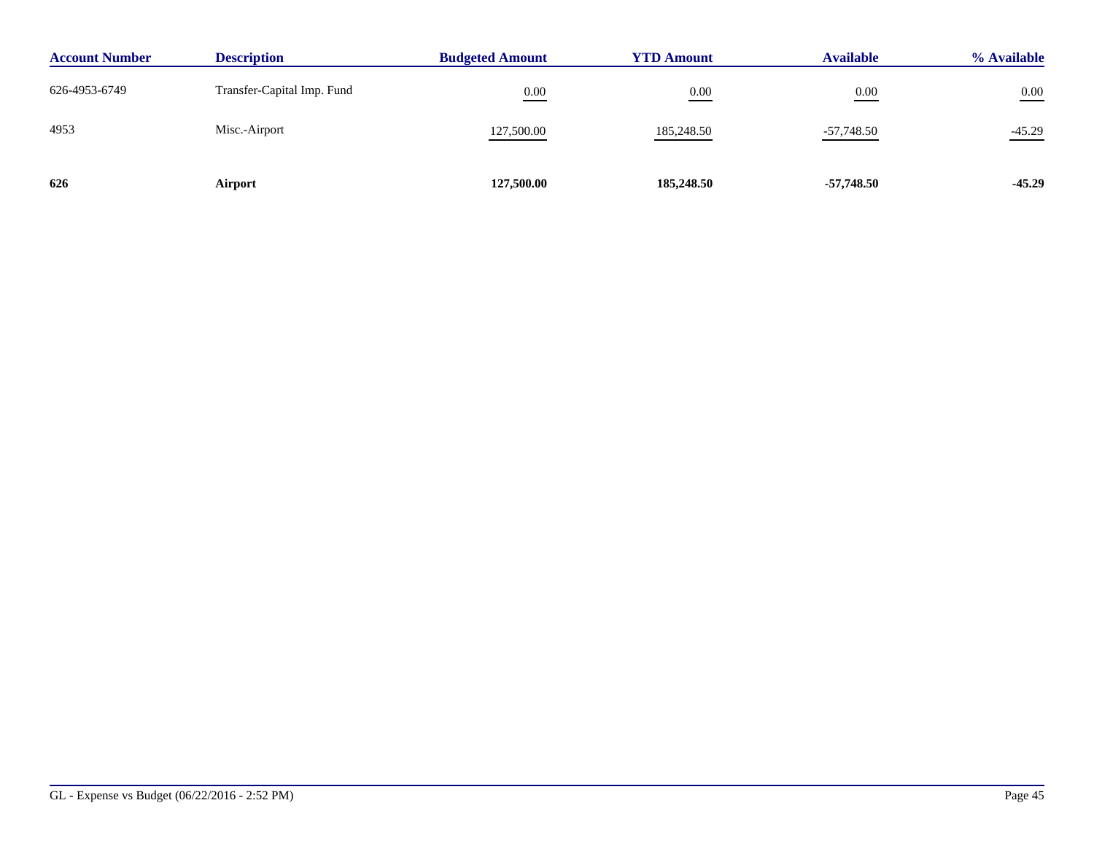| <b>Account Number</b> | <b>Description</b>         | <b>Budgeted Amount</b> | <b>YTD Amount</b> | <b>Available</b> | % Available |
|-----------------------|----------------------------|------------------------|-------------------|------------------|-------------|
| 626-4953-6749         | Transfer-Capital Imp. Fund | 0.00                   | 0.00              | 0.00             | $0.00\,$    |
| 4953                  | Misc.-Airport              | 127,500.00             | 185,248.50        | $-57,748.50$     | $-45.29$    |
| 626                   | Airport                    | 127,500.00             | 185,248.50        | $-57,748.50$     | $-45.29$    |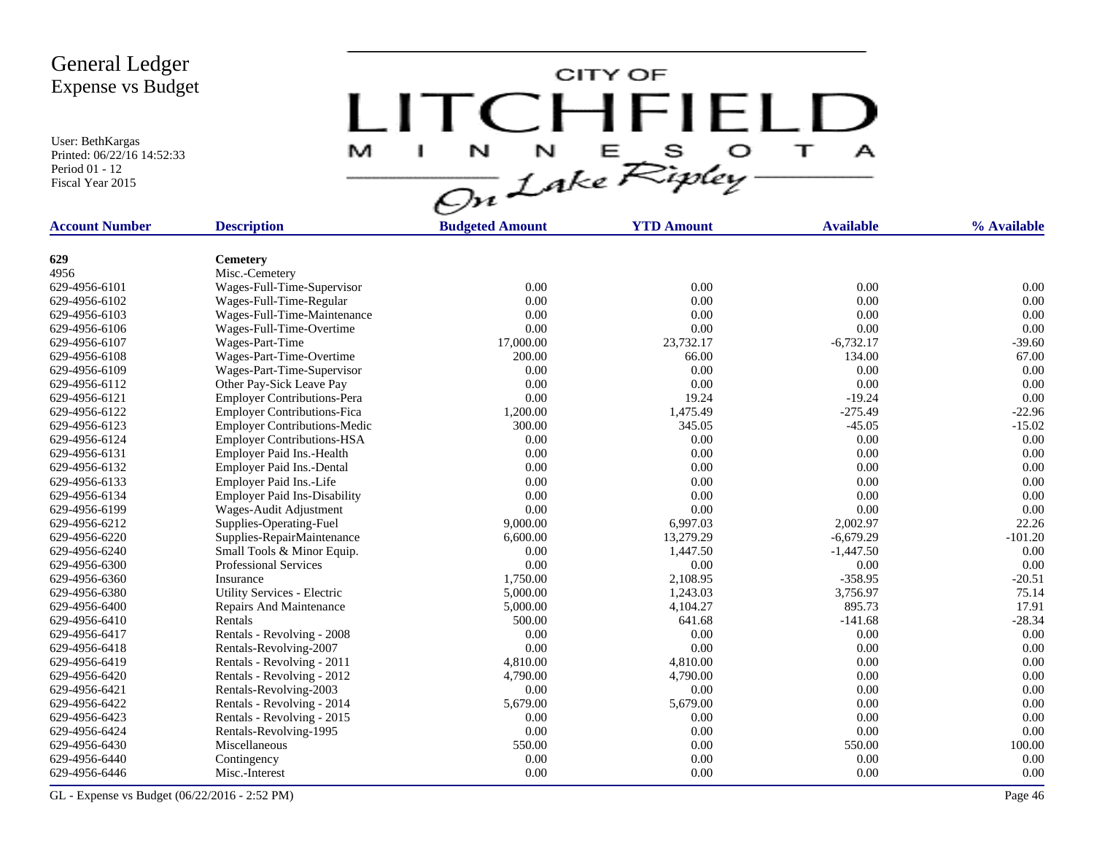User: BethKargas Printed: 06/22/16 14:52:33 Period 01 - 12 Fiscal Year 2015

CITY OF LITCHFIELD  $\mathbf{r}$ M J.  $\mathbf{A}$ 

| <b>Account Number</b> | <b>Description</b>                  | <b>Budgeted Amount</b> | <b>YTD Amount</b> | <b>Available</b> | % Available |
|-----------------------|-------------------------------------|------------------------|-------------------|------------------|-------------|
|                       |                                     |                        |                   |                  |             |
| 629                   | <b>Cemetery</b>                     |                        |                   |                  |             |
| 4956                  | Misc.-Cemetery                      |                        |                   |                  |             |
| 629-4956-6101         | Wages-Full-Time-Supervisor          | 0.00                   | 0.00              | 0.00             | 0.00        |
| 629-4956-6102         | Wages-Full-Time-Regular             | 0.00                   | 0.00              | 0.00             | 0.00        |
| 629-4956-6103         | Wages-Full-Time-Maintenance         | 0.00                   | 0.00              | 0.00             | 0.00        |
| 629-4956-6106         | Wages-Full-Time-Overtime            | 0.00                   | 0.00              | 0.00             | 0.00        |
| 629-4956-6107         | Wages-Part-Time                     | 17,000.00              | 23,732.17         | $-6,732.17$      | $-39.60$    |
| 629-4956-6108         | Wages-Part-Time-Overtime            | 200.00                 | 66.00             | 134.00           | 67.00       |
| 629-4956-6109         | Wages-Part-Time-Supervisor          | 0.00                   | 0.00              | 0.00             | 0.00        |
| 629-4956-6112         | Other Pay-Sick Leave Pay            | 0.00                   | 0.00              | 0.00             | 0.00        |
| 629-4956-6121         | Employer Contributions-Pera         | 0.00                   | 19.24             | $-19.24$         | 0.00        |
| 629-4956-6122         | <b>Employer Contributions-Fica</b>  | 1,200.00               | 1,475.49          | $-275.49$        | $-22.96$    |
| 629-4956-6123         | <b>Employer Contributions-Medic</b> | 300.00                 | 345.05            | $-45.05$         | $-15.02$    |
| 629-4956-6124         | <b>Employer Contributions-HSA</b>   | 0.00                   | 0.00              | 0.00             | 0.00        |
| 629-4956-6131         | Employer Paid Ins.-Health           | 0.00                   | 0.00              | 0.00             | 0.00        |
| 629-4956-6132         | Employer Paid Ins.-Dental           | 0.00                   | 0.00              | 0.00             | 0.00        |
| 629-4956-6133         | Employer Paid Ins.-Life             | 0.00                   | 0.00              | 0.00             | 0.00        |
| 629-4956-6134         | <b>Employer Paid Ins-Disability</b> | 0.00                   | 0.00              | 0.00             | 0.00        |
| 629-4956-6199         | Wages-Audit Adjustment              | 0.00                   | 0.00              | 0.00             | 0.00        |
| 629-4956-6212         | Supplies-Operating-Fuel             | 9,000.00               | 6,997.03          | 2,002.97         | 22.26       |
| 629-4956-6220         | Supplies-RepairMaintenance          | 6,600.00               | 13,279.29         | $-6,679.29$      | $-101.20$   |
| 629-4956-6240         | Small Tools & Minor Equip.          | 0.00                   | 1,447.50          | $-1,447.50$      | 0.00        |
| 629-4956-6300         | <b>Professional Services</b>        | 0.00                   | 0.00              | 0.00             | 0.00        |
| 629-4956-6360         | Insurance                           | 1,750.00               | 2,108.95          | $-358.95$        | $-20.51$    |
| 629-4956-6380         | Utility Services - Electric         | 5,000.00               | 1,243.03          | 3,756.97         | 75.14       |
| 629-4956-6400         | Repairs And Maintenance             | 5,000.00               | 4,104.27          | 895.73           | 17.91       |
| 629-4956-6410         | Rentals                             | 500.00                 | 641.68            | $-141.68$        | $-28.34$    |
| 629-4956-6417         | Rentals - Revolving - 2008          | 0.00                   | 0.00              | 0.00             | 0.00        |
| 629-4956-6418         | Rentals-Revolving-2007              | 0.00                   | 0.00              | 0.00             | 0.00        |
| 629-4956-6419         | Rentals - Revolving - 2011          | 4,810.00               | 4,810.00          | 0.00             | 0.00        |
| 629-4956-6420         | Rentals - Revolving - 2012          | 4,790.00               | 4,790.00          | 0.00             | 0.00        |
| 629-4956-6421         | Rentals-Revolving-2003              | 0.00                   | 0.00              | 0.00             | 0.00        |
| 629-4956-6422         | Rentals - Revolving - 2014          | 5,679.00               | 5,679.00          | 0.00             | 0.00        |
| 629-4956-6423         | Rentals - Revolving - 2015          | 0.00                   | 0.00              | 0.00             | 0.00        |
| 629-4956-6424         | Rentals-Revolving-1995              | 0.00                   | 0.00              | 0.00             | 0.00        |
| 629-4956-6430         | Miscellaneous                       | 550.00                 | 0.00              | 550.00           | 100.00      |
| 629-4956-6440         | Contingency                         | 0.00                   | 0.00              | 0.00             | 0.00        |
| 629-4956-6446         | Misc.-Interest                      | 0.00                   | 0.00              | 0.00             | 0.00        |
|                       |                                     |                        |                   |                  |             |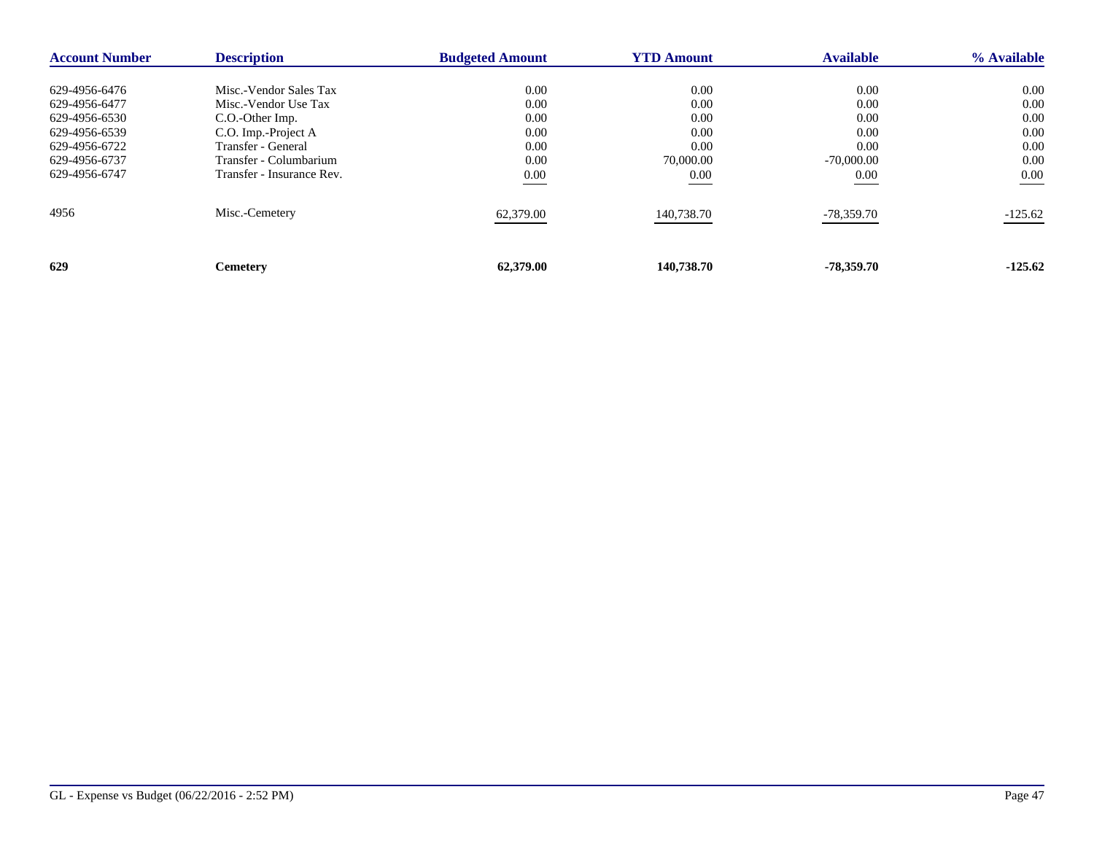| <b>Account Number</b> | <b>Description</b>        | <b>Budgeted Amount</b> | <b>YTD Amount</b> | <b>Available</b> | % Available |
|-----------------------|---------------------------|------------------------|-------------------|------------------|-------------|
| 629-4956-6476         | Misc.-Vendor Sales Tax    | 0.00                   | 0.00              | 0.00             | $0.00\,$    |
| 629-4956-6477         | Misc.-Vendor Use Tax      | 0.00                   | 0.00              | 0.00             | 0.00        |
| 629-4956-6530         | C.O.-Other Imp.           | 0.00                   | 0.00              | 0.00             | 0.00        |
| 629-4956-6539         | C.O. Imp.-Project A       | 0.00                   | 0.00              | 0.00             | 0.00        |
| 629-4956-6722         | Transfer - General        | 0.00                   | 0.00              | 0.00             | 0.00        |
| 629-4956-6737         | Transfer - Columbarium    | 0.00                   | 70,000.00         | $-70,000,00$     | 0.00        |
| 629-4956-6747         | Transfer - Insurance Rev. | 0.00                   | 0.00              | 0.00             | 0.00        |
| 4956                  | Misc.-Cemetery            | 62,379.00              | 140,738.70        | -78,359.70       | $-125.62$   |
| 629                   | <b>Cemetery</b>           | 62,379.00              | 140,738.70        | $-78,359.70$     | $-125.62$   |